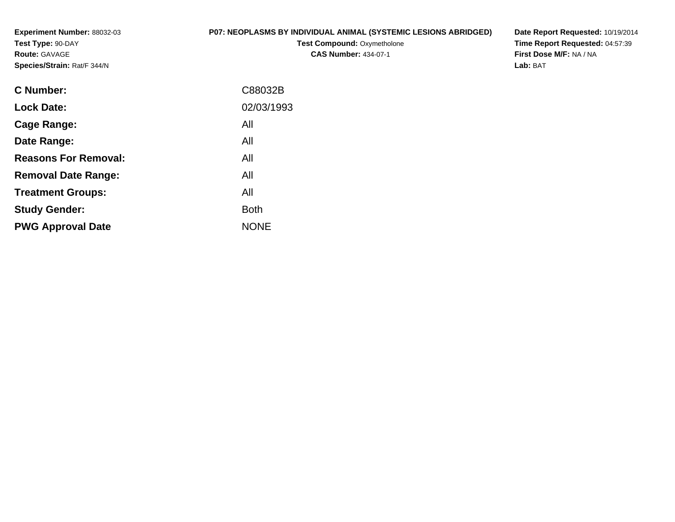**Experiment Number:** 88032-03**Test Type:** 90-DAY**Route:** GAVAGE**Species/Strain:** Rat/F 344/N

#### **P07: NEOPLASMS BY INDIVIDUAL ANIMAL (SYSTEMIC LESIONS ABRIDGED)**

**Test Compound: Oxymetholone CAS Number:** 434-07-1

**Date Report Requested:** 10/19/2014 **Time Report Requested:** 04:57:39**First Dose M/F:** NA / NA**Lab:** BAT

| C88032B     |
|-------------|
| 02/03/1993  |
| All         |
| All         |
| All         |
| All         |
| All         |
| <b>Both</b> |
| <b>NONE</b> |
|             |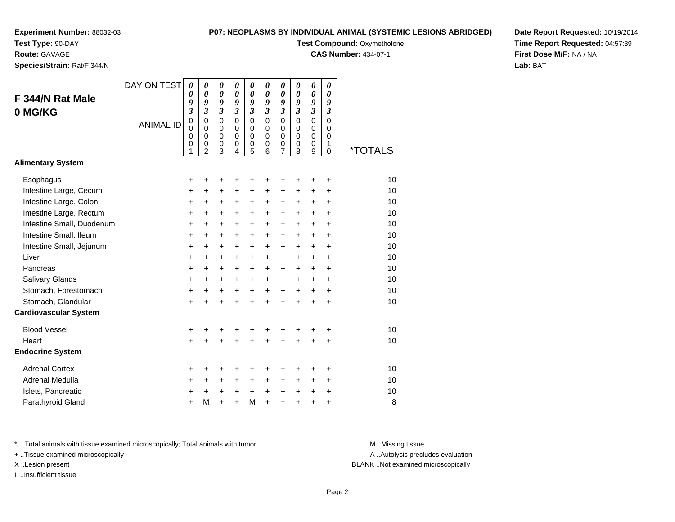**Test Type:** 90-DAY

**Route:** GAVAGE

**Species/Strain:** Rat/F 344/N

#### **P07: NEOPLASMS BY INDIVIDUAL ANIMAL (SYSTEMIC LESIONS ABRIDGED)**

**Test Compound: Oxymetholone** 

**CAS Number:** 434-07-1

**Date Report Requested:** 10/19/2014**Time Report Requested:** 04:57:39**First Dose M/F:** NA / NA**Lab:** BAT

| F 344/N Rat Male<br>0 MG/KG<br><b>Alimentary System</b> | DAY ON TEST<br><b>ANIMAL ID</b> | $\boldsymbol{\theta}$<br>0<br>9<br>$\overline{\mathbf{3}}$<br>$\mathbf 0$<br>$\mathbf 0$<br>0<br>0<br>1 | $\boldsymbol{\theta}$<br>$\boldsymbol{\theta}$<br>9<br>$\mathfrak{z}$<br>$\mathbf 0$<br>$\mathbf 0$<br>$\mathbf 0$<br>$\mathbf 0$<br>$\overline{2}$ | $\boldsymbol{\theta}$<br>$\boldsymbol{\theta}$<br>9<br>$\mathfrak{z}$<br>$\mathbf 0$<br>$\mathbf 0$<br>0<br>$\mathbf 0$<br>3 | $\pmb{\theta}$<br>$\boldsymbol{\theta}$<br>9<br>$\overline{\mathbf{3}}$<br>$\Omega$<br>$\mathbf 0$<br>$\mathbf 0$<br>0<br>4 | $\pmb{\theta}$<br>$\boldsymbol{\theta}$<br>9<br>$\mathfrak{z}$<br>$\Omega$<br>$\mathbf 0$<br>$\mathbf 0$<br>0<br>5 | $\pmb{\theta}$<br>$\boldsymbol{\theta}$<br>9<br>$\mathfrak{z}$<br>$\Omega$<br>$\Omega$<br>$\Omega$<br>$\mathbf 0$<br>6 | $\pmb{\theta}$<br>$\boldsymbol{\theta}$<br>9<br>$\mathfrak{z}$<br>$\mathbf 0$<br>$\mathbf 0$<br>0<br>$\mathbf 0$<br>$\overline{7}$ | 0<br>$\boldsymbol{\theta}$<br>9<br>$\overline{\mathbf{3}}$<br>$\Omega$<br>$\Omega$<br>$\Omega$<br>0<br>8 | 0<br>$\boldsymbol{\theta}$<br>9<br>$\overline{\mathbf{3}}$<br>$\Omega$<br>0<br>$\mathbf 0$<br>0<br>9 | 0<br>0<br>9<br>3<br>$\mathbf 0$<br>0<br>$\Omega$<br>1<br>$\mathbf 0$ | <i><b>*TOTALS</b></i> |
|---------------------------------------------------------|---------------------------------|---------------------------------------------------------------------------------------------------------|-----------------------------------------------------------------------------------------------------------------------------------------------------|------------------------------------------------------------------------------------------------------------------------------|-----------------------------------------------------------------------------------------------------------------------------|--------------------------------------------------------------------------------------------------------------------|------------------------------------------------------------------------------------------------------------------------|------------------------------------------------------------------------------------------------------------------------------------|----------------------------------------------------------------------------------------------------------|------------------------------------------------------------------------------------------------------|----------------------------------------------------------------------|-----------------------|
|                                                         |                                 |                                                                                                         |                                                                                                                                                     |                                                                                                                              |                                                                                                                             |                                                                                                                    |                                                                                                                        |                                                                                                                                    |                                                                                                          |                                                                                                      |                                                                      |                       |
| Esophagus                                               |                                 | +                                                                                                       | +                                                                                                                                                   | +                                                                                                                            | +                                                                                                                           | +                                                                                                                  | +                                                                                                                      | +                                                                                                                                  | +                                                                                                        | +                                                                                                    | +                                                                    | 10                    |
| Intestine Large, Cecum                                  |                                 | +                                                                                                       | $\ddot{}$                                                                                                                                           | $\ddot{}$                                                                                                                    | $\ddot{}$                                                                                                                   | $\ddot{}$                                                                                                          | $\ddot{}$                                                                                                              | $\ddot{}$                                                                                                                          | $\ddot{}$                                                                                                | $\ddot{}$                                                                                            | $\ddot{}$                                                            | 10                    |
| Intestine Large, Colon                                  |                                 | +                                                                                                       | +                                                                                                                                                   | +                                                                                                                            | +                                                                                                                           | +                                                                                                                  | $\ddot{}$                                                                                                              | $\ddot{}$                                                                                                                          | $\pm$                                                                                                    | +                                                                                                    | +                                                                    | 10                    |
| Intestine Large, Rectum                                 |                                 | $\ddot{}$                                                                                               | $\ddot{}$                                                                                                                                           | $\ddot{}$                                                                                                                    | $\ddot{}$                                                                                                                   | $\ddot{}$                                                                                                          | $\ddot{}$                                                                                                              | $\ddot{}$                                                                                                                          | $\ddot{}$                                                                                                | +                                                                                                    | $\ddot{}$                                                            | 10                    |
| Intestine Small, Duodenum                               |                                 | $\ddot{}$                                                                                               | $\ddot{}$                                                                                                                                           | $\ddot{}$                                                                                                                    | +                                                                                                                           | $\ddot{}$                                                                                                          | $\ddot{}$                                                                                                              | $\ddot{}$                                                                                                                          | $\ddot{}$                                                                                                | $\ddot{}$                                                                                            | $\ddot{}$                                                            | 10                    |
| Intestine Small, Ileum                                  |                                 | $\ddot{}$                                                                                               | $\ddot{}$                                                                                                                                           | $+$                                                                                                                          | $+$                                                                                                                         | $+$                                                                                                                | $+$                                                                                                                    | $+$                                                                                                                                | $\ddot{}$                                                                                                | $+$                                                                                                  | $\ddot{}$                                                            | 10                    |
| Intestine Small, Jejunum                                |                                 | +                                                                                                       | $\ddot{}$                                                                                                                                           | $\ddot{}$                                                                                                                    | $\ddot{}$                                                                                                                   | $\ddot{}$                                                                                                          | $\ddot{}$                                                                                                              | $\ddot{}$                                                                                                                          | $+$                                                                                                      | $+$                                                                                                  | $\ddot{}$                                                            | 10                    |
| Liver                                                   |                                 | +                                                                                                       | $\ddot{}$                                                                                                                                           | $\ddot{}$                                                                                                                    | $\ddot{}$                                                                                                                   | $\ddot{}$                                                                                                          | $\ddot{}$                                                                                                              | $\ddot{}$                                                                                                                          | +                                                                                                        | $\ddot{}$                                                                                            | $\ddot{}$                                                            | 10                    |
| Pancreas                                                |                                 | $\ddot{}$                                                                                               | $\ddot{}$                                                                                                                                           | $\ddot{}$                                                                                                                    | $\ddot{}$                                                                                                                   | $\ddot{}$                                                                                                          | $\ddot{}$                                                                                                              | $\ddot{}$                                                                                                                          | $\pm$                                                                                                    | $\ddot{}$                                                                                            | $\ddot{}$                                                            | 10                    |
| Salivary Glands                                         |                                 | $\ddot{}$                                                                                               | $\ddot{}$                                                                                                                                           | $\ddot{}$                                                                                                                    | $\ddot{}$                                                                                                                   | $\ddot{}$                                                                                                          | $\ddot{}$                                                                                                              | $\ddot{}$                                                                                                                          | $\ddot{}$                                                                                                | $\ddot{}$                                                                                            | $\ddot{}$                                                            | 10                    |
| Stomach, Forestomach                                    |                                 | +                                                                                                       | $\ddot{}$                                                                                                                                           | $\ddot{}$                                                                                                                    | $+$                                                                                                                         | $+$                                                                                                                | $+$                                                                                                                    | $+$                                                                                                                                | $+$                                                                                                      | $\ddot{}$                                                                                            | $\ddot{}$                                                            | 10                    |
| Stomach, Glandular                                      |                                 | $\ddot{}$                                                                                               | +                                                                                                                                                   | $\ddot{}$                                                                                                                    | $\ddot{}$                                                                                                                   | $\ddot{}$                                                                                                          | $\ddot{}$                                                                                                              | $\ddot{}$                                                                                                                          | $\ddot{}$                                                                                                | $\ddot{}$                                                                                            | $\ddot{}$                                                            | 10                    |
| <b>Cardiovascular System</b>                            |                                 |                                                                                                         |                                                                                                                                                     |                                                                                                                              |                                                                                                                             |                                                                                                                    |                                                                                                                        |                                                                                                                                    |                                                                                                          |                                                                                                      |                                                                      |                       |
| <b>Blood Vessel</b>                                     |                                 | +                                                                                                       | +                                                                                                                                                   |                                                                                                                              | +                                                                                                                           | +                                                                                                                  |                                                                                                                        |                                                                                                                                    |                                                                                                          | +                                                                                                    | +                                                                    | 10                    |
| Heart                                                   |                                 | $\ddot{}$                                                                                               | $\ddot{}$                                                                                                                                           | $\ddot{}$                                                                                                                    | $\ddot{}$                                                                                                                   | $\ddot{}$                                                                                                          | $\ddot{}$                                                                                                              | $\ddot{}$                                                                                                                          | ÷                                                                                                        | $\ddot{}$                                                                                            | +                                                                    | 10                    |
| <b>Endocrine System</b>                                 |                                 |                                                                                                         |                                                                                                                                                     |                                                                                                                              |                                                                                                                             |                                                                                                                    |                                                                                                                        |                                                                                                                                    |                                                                                                          |                                                                                                      |                                                                      |                       |
| <b>Adrenal Cortex</b>                                   |                                 | +                                                                                                       | +                                                                                                                                                   | +                                                                                                                            | ٠                                                                                                                           | +                                                                                                                  | +                                                                                                                      | +                                                                                                                                  | +                                                                                                        | +                                                                                                    | ٠                                                                    | 10                    |
| Adrenal Medulla                                         |                                 | +                                                                                                       | $\ddot{}$                                                                                                                                           | $\ddot{}$                                                                                                                    | $\ddot{}$                                                                                                                   | +                                                                                                                  | $\ddot{}$                                                                                                              | $\ddot{}$                                                                                                                          | $\ddot{}$                                                                                                | $\ddot{}$                                                                                            | $\ddot{}$                                                            | 10                    |
| Islets, Pancreatic                                      |                                 | +                                                                                                       | $\ddot{}$                                                                                                                                           | $\ddot{}$                                                                                                                    | $\ddot{}$                                                                                                                   | $\ddot{}$                                                                                                          | $\ddot{}$                                                                                                              | $\ddot{}$                                                                                                                          | $\ddot{}$                                                                                                | +                                                                                                    | $\ddot{}$                                                            | 10                    |
| Parathyroid Gland                                       |                                 | +                                                                                                       | M                                                                                                                                                   | ÷                                                                                                                            | ÷                                                                                                                           | M                                                                                                                  | $\ddot{}$                                                                                                              | $\ddot{}$                                                                                                                          | ÷                                                                                                        | $\ddot{}$                                                                                            | +                                                                    | 8                     |

\* ..Total animals with tissue examined microscopically; Total animals with tumor **M** . Missing tissue M ..Missing tissue

+ ..Tissue examined microscopically

I ..Insufficient tissue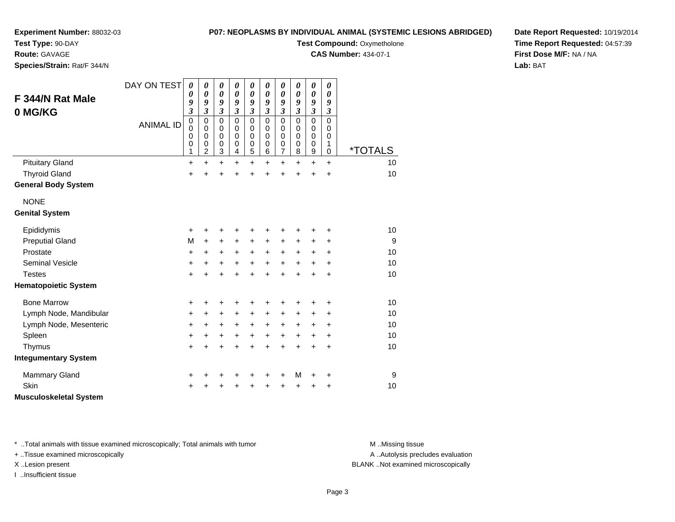**Test Type:** 90-DAY

**Route:** GAVAGE

**Species/Strain:** Rat/F 344/N

#### **P07: NEOPLASMS BY INDIVIDUAL ANIMAL (SYSTEMIC LESIONS ABRIDGED)**

**Test Compound: Oxymetholone** 

**CAS Number:** 434-07-1

**Date Report Requested:** 10/19/2014**Time Report Requested:** 04:57:39**First Dose M/F:** NA / NA**Lab:** BAT

| F 344/N Rat Male<br>0 MG/KG   | DAY ON TEST<br><b>ANIMAL ID</b> | $\boldsymbol{\theta}$<br>0<br>9<br>$\overline{\mathbf{3}}$<br>$\overline{0}$<br>$\mathbf 0$<br>0<br>0 | $\boldsymbol{\theta}$<br>$\boldsymbol{\theta}$<br>9<br>$\overline{\mathbf{3}}$<br>$\mathbf 0$<br>$\mathbf 0$<br>0<br>0 | $\boldsymbol{\theta}$<br>$\boldsymbol{\theta}$<br>9<br>$\mathfrak{z}$<br>$\mathbf 0$<br>$\pmb{0}$<br>0<br>$\pmb{0}$ | $\boldsymbol{\theta}$<br>$\pmb{\theta}$<br>9<br>$\mathfrak{z}$<br>$\mathbf 0$<br>$\pmb{0}$<br>$\pmb{0}$<br>0 | 0<br>$\boldsymbol{\theta}$<br>9<br>$\mathfrak{z}$<br>$\mathbf 0$<br>$\mathbf 0$<br>$\mathbf 0$<br>$\pmb{0}$ | $\pmb{\theta}$<br>$\pmb{\theta}$<br>9<br>$\mathfrak{z}$<br>$\mathbf 0$<br>$\mathbf 0$<br>0<br>0 | $\pmb{\theta}$<br>$\pmb{\theta}$<br>9<br>$\mathfrak{z}$<br>$\mathbf 0$<br>$\pmb{0}$<br>$\pmb{0}$<br>0 | $\pmb{\theta}$<br>$\boldsymbol{\theta}$<br>9<br>$\mathfrak{z}$<br>0<br>0<br>0<br>0 | $\pmb{\theta}$<br>$\boldsymbol{\theta}$<br>9<br>$\boldsymbol{\mathfrak{z}}$<br>$\mathbf 0$<br>0<br>0<br>0 | $\boldsymbol{\theta}$<br>$\boldsymbol{\theta}$<br>9<br>$\boldsymbol{\mathfrak{z}}$<br>$\mathbf 0$<br>$\mathbf 0$<br>0<br>1 |                       |
|-------------------------------|---------------------------------|-------------------------------------------------------------------------------------------------------|------------------------------------------------------------------------------------------------------------------------|---------------------------------------------------------------------------------------------------------------------|--------------------------------------------------------------------------------------------------------------|-------------------------------------------------------------------------------------------------------------|-------------------------------------------------------------------------------------------------|-------------------------------------------------------------------------------------------------------|------------------------------------------------------------------------------------|-----------------------------------------------------------------------------------------------------------|----------------------------------------------------------------------------------------------------------------------------|-----------------------|
|                               |                                 | 1                                                                                                     | 2                                                                                                                      | 3                                                                                                                   | 4                                                                                                            | 5                                                                                                           | 6                                                                                               | $\overline{7}$                                                                                        | 8                                                                                  | 9                                                                                                         | 0                                                                                                                          | <i><b>*TOTALS</b></i> |
| <b>Pituitary Gland</b>        |                                 | $\ddot{}$                                                                                             | $\ddot{}$                                                                                                              | $\ddot{}$                                                                                                           | $\ddot{}$                                                                                                    | $\ddot{}$                                                                                                   | $\ddot{}$                                                                                       | $\ddot{}$                                                                                             | $\ddot{}$                                                                          | $\ddot{}$                                                                                                 | $+$                                                                                                                        | 10                    |
| <b>Thyroid Gland</b>          |                                 | $\ddot{}$                                                                                             | $\ddot{}$                                                                                                              | $\ddot{}$                                                                                                           | $\ddot{}$                                                                                                    | $\ddot{}$                                                                                                   | $\ddot{}$                                                                                       | $\ddot{}$                                                                                             | $\ddot{}$                                                                          | $\ddot{}$                                                                                                 | $\ddot{}$                                                                                                                  | 10                    |
| <b>General Body System</b>    |                                 |                                                                                                       |                                                                                                                        |                                                                                                                     |                                                                                                              |                                                                                                             |                                                                                                 |                                                                                                       |                                                                                    |                                                                                                           |                                                                                                                            |                       |
| <b>NONE</b>                   |                                 |                                                                                                       |                                                                                                                        |                                                                                                                     |                                                                                                              |                                                                                                             |                                                                                                 |                                                                                                       |                                                                                    |                                                                                                           |                                                                                                                            |                       |
| <b>Genital System</b>         |                                 |                                                                                                       |                                                                                                                        |                                                                                                                     |                                                                                                              |                                                                                                             |                                                                                                 |                                                                                                       |                                                                                    |                                                                                                           |                                                                                                                            |                       |
| Epididymis                    |                                 | +                                                                                                     | +                                                                                                                      | +                                                                                                                   | +                                                                                                            | +                                                                                                           | +                                                                                               | +                                                                                                     | +                                                                                  | +                                                                                                         | +                                                                                                                          | 10                    |
| <b>Preputial Gland</b>        |                                 | M                                                                                                     | $\ddot{}$                                                                                                              | $\ddot{}$                                                                                                           | $\ddot{}$                                                                                                    | $\ddot{}$                                                                                                   | $\ddot{}$                                                                                       | $\ddot{}$                                                                                             | +                                                                                  | +                                                                                                         | +                                                                                                                          | 9                     |
| Prostate                      |                                 | +                                                                                                     | +                                                                                                                      | $\ddot{}$                                                                                                           | $\ddot{}$                                                                                                    | $\ddot{}$                                                                                                   | $+$                                                                                             | $+$                                                                                                   | $\ddot{}$                                                                          | +                                                                                                         | $\ddot{}$                                                                                                                  | 10                    |
| <b>Seminal Vesicle</b>        |                                 | $\ddot{}$                                                                                             | $\ddot{}$                                                                                                              | $\ddot{}$                                                                                                           | $\ddot{}$                                                                                                    | $\ddot{}$                                                                                                   | $\ddot{}$                                                                                       | $\ddot{}$                                                                                             | $\ddot{}$                                                                          | $\ddot{}$                                                                                                 | $\ddot{}$                                                                                                                  | 10                    |
| <b>Testes</b>                 |                                 | $\ddot{}$                                                                                             | +                                                                                                                      | $\ddot{}$                                                                                                           |                                                                                                              | $\ddot{}$                                                                                                   | $\ddot{}$                                                                                       | $\ddot{}$                                                                                             | $\ddot{}$                                                                          | $\ddot{}$                                                                                                 | $\ddot{}$                                                                                                                  | 10                    |
| <b>Hematopoietic System</b>   |                                 |                                                                                                       |                                                                                                                        |                                                                                                                     |                                                                                                              |                                                                                                             |                                                                                                 |                                                                                                       |                                                                                    |                                                                                                           |                                                                                                                            |                       |
| <b>Bone Marrow</b>            |                                 | +                                                                                                     | +                                                                                                                      | +                                                                                                                   |                                                                                                              | +                                                                                                           |                                                                                                 | +                                                                                                     | +                                                                                  | +                                                                                                         | ٠                                                                                                                          | 10                    |
| Lymph Node, Mandibular        |                                 | +                                                                                                     | +                                                                                                                      | +                                                                                                                   | +                                                                                                            | +                                                                                                           | +                                                                                               | +                                                                                                     | +                                                                                  | $\pm$                                                                                                     | $\ddot{}$                                                                                                                  | 10                    |
| Lymph Node, Mesenteric        |                                 | +                                                                                                     | +                                                                                                                      | $\ddot{}$                                                                                                           | $\ddot{}$                                                                                                    | $\ddot{}$                                                                                                   | +                                                                                               | $\ddot{}$                                                                                             | +                                                                                  | +                                                                                                         | +                                                                                                                          | 10                    |
| Spleen                        |                                 | +                                                                                                     | +                                                                                                                      | $\ddot{}$                                                                                                           | $\ddot{}$                                                                                                    | $\ddot{}$                                                                                                   | $\ddot{}$                                                                                       | $\ddot{}$                                                                                             | $\ddot{}$                                                                          | +                                                                                                         | $\ddot{}$                                                                                                                  | 10                    |
| Thymus                        |                                 | $\ddot{}$                                                                                             | $\ddot{}$                                                                                                              | $\ddot{}$                                                                                                           | $\ddot{}$                                                                                                    | $\ddot{}$                                                                                                   | $\ddot{}$                                                                                       | $\ddot{}$                                                                                             | $\ddot{}$                                                                          | +                                                                                                         | +                                                                                                                          | 10                    |
| <b>Integumentary System</b>   |                                 |                                                                                                       |                                                                                                                        |                                                                                                                     |                                                                                                              |                                                                                                             |                                                                                                 |                                                                                                       |                                                                                    |                                                                                                           |                                                                                                                            |                       |
| <b>Mammary Gland</b>          |                                 | +                                                                                                     |                                                                                                                        | +                                                                                                                   |                                                                                                              | +                                                                                                           |                                                                                                 | +                                                                                                     | M                                                                                  | +                                                                                                         | +                                                                                                                          | 9                     |
| Skin                          |                                 | +                                                                                                     |                                                                                                                        |                                                                                                                     |                                                                                                              | +                                                                                                           |                                                                                                 | +                                                                                                     | +                                                                                  | +                                                                                                         | +                                                                                                                          | 10                    |
| <b>Musculoskeletal System</b> |                                 |                                                                                                       |                                                                                                                        |                                                                                                                     |                                                                                                              |                                                                                                             |                                                                                                 |                                                                                                       |                                                                                    |                                                                                                           |                                                                                                                            |                       |

\* ..Total animals with tissue examined microscopically; Total animals with tumor **M** . Missing tissue M ..Missing tissue

+ ..Tissue examined microscopically

I ..Insufficient tissue

A ..Autolysis precludes evaluation

X ..Lesion present BLANK ..Not examined microscopically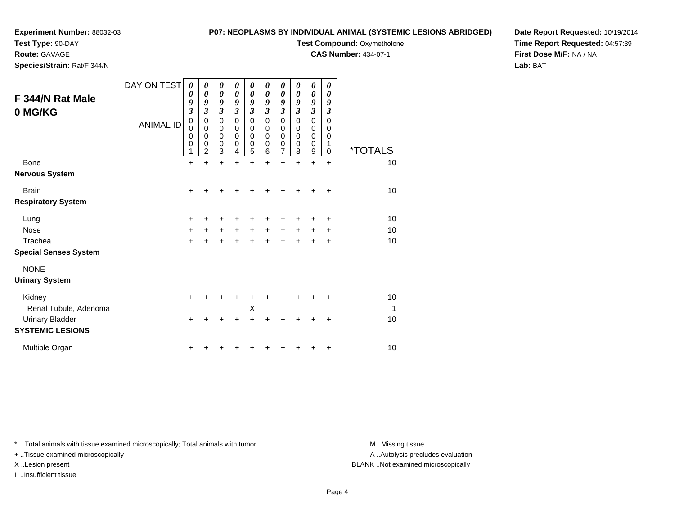# **Test Type:** 90-DAY

**Route:** GAVAGE

**Species/Strain:** Rat/F 344/N

#### **P07: NEOPLASMS BY INDIVIDUAL ANIMAL (SYSTEMIC LESIONS ABRIDGED)**

**Test Compound: Oxymetholone** 

**CAS Number:** 434-07-1

**Date Report Requested:** 10/19/2014**Time Report Requested:** 04:57:39**First Dose M/F:** NA / NA**Lab:** BAT

|                              | DAY ON TEST      | 0              | 0                          | 0                          | 0                | 0                          | 0                | 0              | 0                | 0                | 0         |                       |
|------------------------------|------------------|----------------|----------------------------|----------------------------|------------------|----------------------------|------------------|----------------|------------------|------------------|-----------|-----------------------|
| F 344/N Rat Male             |                  | 0<br>9         | 0<br>9                     | 0<br>9                     | 0<br>9           | $\boldsymbol{\theta}$<br>9 | 0<br>9           | 0<br>9         | 0<br>9           | 0<br>9           | 0<br>9    |                       |
| 0 MG/KG                      |                  | $\mathfrak{z}$ | $\mathfrak{z}$             | $\mathfrak{z}$             | $\mathfrak{z}$   | 3                          | 3                | 3              | 3                | 3                | 3         |                       |
|                              |                  | 0              | $\mathbf 0$                | 0                          | $\mathbf 0$      | $\mathbf 0$                | $\Omega$         | $\mathsf 0$    | $\mathbf 0$      | 0                | $\Omega$  |                       |
|                              | <b>ANIMAL ID</b> | $\mathbf 0$    | $\mathbf 0$                | 0                          | 0                | 0                          | 0                | 0              | 0                | $\boldsymbol{0}$ | 0         |                       |
|                              |                  | 0<br>0         | $\mathbf 0$<br>$\mathbf 0$ | $\mathbf 0$<br>$\mathbf 0$ | $\mathbf 0$<br>0 | $\pmb{0}$<br>$\pmb{0}$     | $\mathbf 0$<br>0 | 0<br>0         | $\mathbf 0$<br>0 | $\mathbf 0$<br>0 | 0<br>1    |                       |
|                              |                  | 1              | $\overline{2}$             | 3                          | 4                | 5                          | 6                | $\overline{7}$ | 8                | 9                | 0         | <i><b>*TOTALS</b></i> |
| <b>Bone</b>                  |                  | $\ddot{}$      | ÷                          | Ŧ.                         | $\ddot{}$        | $\ddot{}$                  | $\ddot{}$        | $\ddot{}$      | $\ddot{}$        | $\ddot{}$        | $\ddot{}$ | 10                    |
| <b>Nervous System</b>        |                  |                |                            |                            |                  |                            |                  |                |                  |                  |           |                       |
| <b>Brain</b>                 |                  | +              |                            |                            |                  | ٠                          |                  |                |                  |                  | ÷         | 10                    |
| <b>Respiratory System</b>    |                  |                |                            |                            |                  |                            |                  |                |                  |                  |           |                       |
| Lung                         |                  | +              |                            |                            |                  |                            |                  |                |                  |                  | +         | 10                    |
| <b>Nose</b>                  |                  | +              |                            | +                          | $\ddot{}$        | $\ddot{}$                  | $\ddot{}$        |                |                  |                  | ÷         | 10                    |
| Trachea                      |                  | $\ddot{}$      |                            |                            | $\ddot{}$        | ÷                          | ÷                | $\div$         | ÷                | +                | $\ddot{}$ | 10                    |
| <b>Special Senses System</b> |                  |                |                            |                            |                  |                            |                  |                |                  |                  |           |                       |
| <b>NONE</b>                  |                  |                |                            |                            |                  |                            |                  |                |                  |                  |           |                       |
| <b>Urinary System</b>        |                  |                |                            |                            |                  |                            |                  |                |                  |                  |           |                       |
| Kidney                       |                  | +              |                            |                            |                  |                            |                  |                |                  |                  |           | 10                    |
| Renal Tubule, Adenoma        |                  |                |                            |                            |                  | X                          |                  |                |                  |                  |           | 1                     |
| <b>Urinary Bladder</b>       |                  | $\ddot{}$      |                            |                            |                  | $\ddot{}$                  |                  |                |                  |                  |           | 10                    |
| <b>SYSTEMIC LESIONS</b>      |                  |                |                            |                            |                  |                            |                  |                |                  |                  |           |                       |
| Multiple Organ               |                  |                |                            |                            |                  |                            |                  |                |                  |                  | +         | 10                    |

\* ..Total animals with tissue examined microscopically; Total animals with tumor **M** . Missing tissue M ..Missing tissue

+ ..Tissue examined microscopically

I ..Insufficient tissue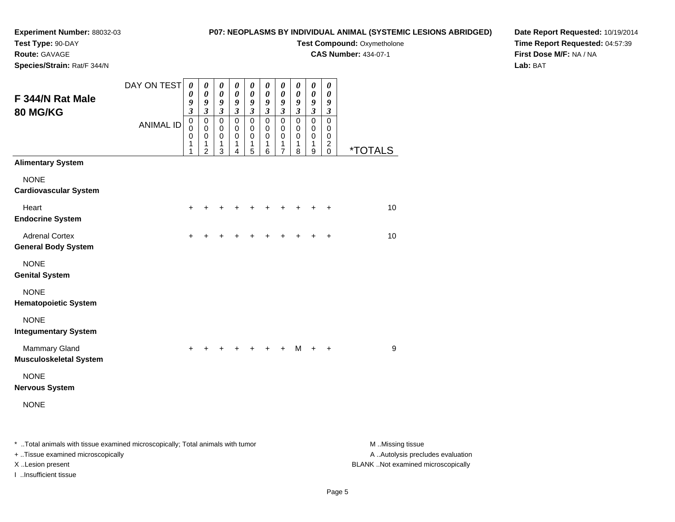**Test Type:** 90-DAY**Route:** GAVAGE

**Species/Strain:** Rat/F 344/N

#### **P07: NEOPLASMS BY INDIVIDUAL ANIMAL (SYSTEMIC LESIONS ABRIDGED)**

**Test Compound: Oxymetholone** 

**CAS Number:** 434-07-1

**Date Report Requested:** 10/19/2014**Time Report Requested:** 04:57:39**First Dose M/F:** NA / NA**Lab:** BAT

| F 344/N Rat Male<br>80 MG/KG                          | DAY ON TEST      | 0<br>0<br>9<br>$\boldsymbol{\beta}$              | $\pmb{\theta}$<br>0<br>9<br>$\mathfrak{z}$                       | 0<br>$\boldsymbol{\theta}$<br>9<br>$\mathfrak{z}$   | $\pmb{\theta}$<br>$\boldsymbol{\theta}$<br>9<br>$\mathfrak{z}$ | $\boldsymbol{\theta}$<br>$\boldsymbol{\theta}$<br>9<br>$\mathfrak{z}$ | 0<br>0<br>9<br>$\mathfrak{z}$                       | $\boldsymbol{\theta}$<br>0<br>9<br>$\mathfrak{z}$   | $\boldsymbol{\theta}$<br>$\boldsymbol{\theta}$<br>9<br>$\mathfrak{z}$ | $\boldsymbol{\theta}$<br>$\boldsymbol{\theta}$<br>$\boldsymbol{g}$<br>$\mathfrak{z}$ | $\boldsymbol{\theta}$<br>0<br>9<br>$\mathfrak{z}$                          |                       |
|-------------------------------------------------------|------------------|--------------------------------------------------|------------------------------------------------------------------|-----------------------------------------------------|----------------------------------------------------------------|-----------------------------------------------------------------------|-----------------------------------------------------|-----------------------------------------------------|-----------------------------------------------------------------------|--------------------------------------------------------------------------------------|----------------------------------------------------------------------------|-----------------------|
|                                                       | <b>ANIMAL ID</b> | $\mathbf 0$<br>$\Omega$<br>$\mathbf 0$<br>1<br>1 | $\mathsf 0$<br>$\mathbf 0$<br>$\mathbf 0$<br>1<br>$\overline{2}$ | $\mathbf 0$<br>$\mathbf 0$<br>$\mathbf 0$<br>1<br>3 | $\mathsf 0$<br>$\mathbf 0$<br>$\mathbf 0$<br>1<br>4            | $\mathbf 0$<br>$\mathbf 0$<br>$\mathbf 0$<br>1<br>5                   | $\mathsf 0$<br>$\mathbf 0$<br>$\mathbf 0$<br>1<br>6 | $\mathsf 0$<br>$\mathbf 0$<br>$\mathbf 0$<br>1<br>7 | $\mathsf 0$<br>$\mathbf 0$<br>$\mathbf 0$<br>1<br>8                   | $\pmb{0}$<br>0<br>$\mathbf 0$<br>$\mathbf{1}$<br>9                                   | $\mathbf 0$<br>$\mathbf 0$<br>$\mathbf 0$<br>$\overline{c}$<br>$\mathbf 0$ | <i><b>*TOTALS</b></i> |
| <b>Alimentary System</b>                              |                  |                                                  |                                                                  |                                                     |                                                                |                                                                       |                                                     |                                                     |                                                                       |                                                                                      |                                                                            |                       |
| <b>NONE</b><br><b>Cardiovascular System</b>           |                  |                                                  |                                                                  |                                                     |                                                                |                                                                       |                                                     |                                                     |                                                                       |                                                                                      |                                                                            |                       |
| Heart<br><b>Endocrine System</b>                      |                  | $+$                                              |                                                                  |                                                     |                                                                |                                                                       |                                                     |                                                     |                                                                       |                                                                                      | $\ddot{}$                                                                  | 10                    |
| <b>Adrenal Cortex</b><br><b>General Body System</b>   |                  | $\ddot{}$                                        | +                                                                |                                                     | +                                                              | +                                                                     | +                                                   |                                                     | +                                                                     | $\ddot{}$                                                                            | $\ddot{}$                                                                  | 10                    |
| <b>NONE</b><br><b>Genital System</b>                  |                  |                                                  |                                                                  |                                                     |                                                                |                                                                       |                                                     |                                                     |                                                                       |                                                                                      |                                                                            |                       |
| <b>NONE</b><br><b>Hematopoietic System</b>            |                  |                                                  |                                                                  |                                                     |                                                                |                                                                       |                                                     |                                                     |                                                                       |                                                                                      |                                                                            |                       |
| <b>NONE</b><br><b>Integumentary System</b>            |                  |                                                  |                                                                  |                                                     |                                                                |                                                                       |                                                     |                                                     |                                                                       |                                                                                      |                                                                            |                       |
| <b>Mammary Gland</b><br><b>Musculoskeletal System</b> |                  | $\ddot{}$                                        |                                                                  |                                                     |                                                                |                                                                       | +                                                   |                                                     | M                                                                     | $\ddot{}$                                                                            | $\ddot{}$                                                                  | 9                     |
| <b>NONE</b><br><b>Nervous System</b>                  |                  |                                                  |                                                                  |                                                     |                                                                |                                                                       |                                                     |                                                     |                                                                       |                                                                                      |                                                                            |                       |
| <b>NONE</b>                                           |                  |                                                  |                                                                  |                                                     |                                                                |                                                                       |                                                     |                                                     |                                                                       |                                                                                      |                                                                            |                       |
|                                                       | .                |                                                  |                                                                  |                                                     |                                                                |                                                                       |                                                     |                                                     |                                                                       |                                                                                      |                                                                            |                       |

\* ..Total animals with tissue examined microscopically; Total animals with tumor **M** ...Missing tissue M ...Missing tissue

+ ..Tissue examined microscopically

I ..Insufficient tissue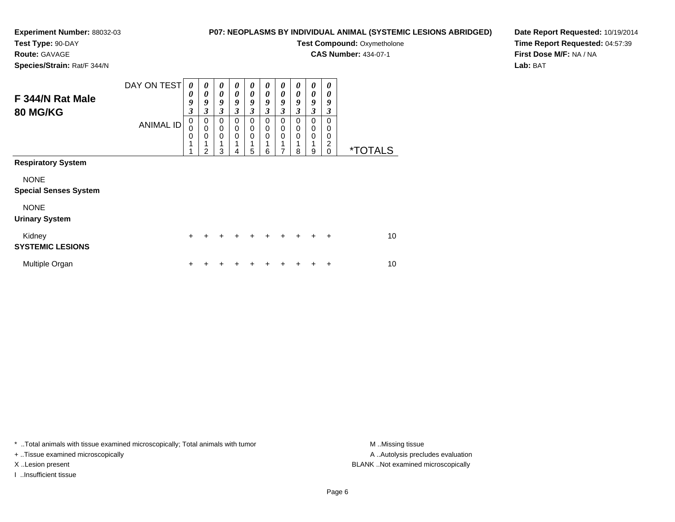### **Experiment Number:** 88032-03**Test Type:** 90-DAY

#### **P07: NEOPLASMS BY INDIVIDUAL ANIMAL (SYSTEMIC LESIONS ABRIDGED)**

**Test Compound: Oxymetholone** 

**CAS Number:** 434-07-1

**Species/Strain:** Rat/F 344/N

**Route:** GAVAGE

### **Date Report Requested:** 10/19/2014**Time Report Requested:** 04:57:39**First Dose M/F:** NA / NA**Lab:** BAT

| F 344/N Rat Male<br><b>80 MG/KG</b>         | DAY ON TEST<br><b>ANIMAL ID</b> | 0<br>0<br>9<br>$\boldsymbol{\beta}$<br>$\pmb{0}$<br>$\mathbf 0$<br>$\mathbf 0$<br>1 | $\boldsymbol{\theta}$<br>$\boldsymbol{\theta}$<br>9<br>$\boldsymbol{\beta}$<br>0<br>$\mathbf 0$<br>$\mathbf 0$<br>2 | 0<br>$\boldsymbol{\theta}$<br>9<br>3<br>0<br>0<br>$\mathbf 0$<br>3 | 0<br>$\boldsymbol{\theta}$<br>9<br>3<br>0<br>0<br>$\mathbf 0$<br>4 | 0<br>$\pmb{\theta}$<br>9<br>3<br>0<br>0<br>$\mathbf 0$<br>1<br>5 | 0<br>0<br>9<br>3<br>0<br>0<br>0<br>6 | 0<br>$\pmb{\theta}$<br>9<br>3<br>0<br>$\boldsymbol{0}$<br>0<br>7 | 0<br>0<br>9<br>3<br>$\Omega$<br>0<br>$\Omega$<br>8 | 0<br>$\boldsymbol{\theta}$<br>9<br>3<br>0<br>0<br>$\mathbf 0$<br>9 | 0<br>$\boldsymbol{\theta}$<br>9<br>3<br>0<br>0<br>0<br>2<br>$\Omega$ | <i><b>*TOTALS</b></i> |
|---------------------------------------------|---------------------------------|-------------------------------------------------------------------------------------|---------------------------------------------------------------------------------------------------------------------|--------------------------------------------------------------------|--------------------------------------------------------------------|------------------------------------------------------------------|--------------------------------------|------------------------------------------------------------------|----------------------------------------------------|--------------------------------------------------------------------|----------------------------------------------------------------------|-----------------------|
| <b>Respiratory System</b>                   |                                 |                                                                                     |                                                                                                                     |                                                                    |                                                                    |                                                                  |                                      |                                                                  |                                                    |                                                                    |                                                                      |                       |
| <b>NONE</b><br><b>Special Senses System</b> |                                 |                                                                                     |                                                                                                                     |                                                                    |                                                                    |                                                                  |                                      |                                                                  |                                                    |                                                                    |                                                                      |                       |
| <b>NONE</b><br><b>Urinary System</b>        |                                 |                                                                                     |                                                                                                                     |                                                                    |                                                                    |                                                                  |                                      |                                                                  |                                                    |                                                                    |                                                                      |                       |
| Kidney<br><b>SYSTEMIC LESIONS</b>           |                                 | $\ddot{}$                                                                           | +                                                                                                                   | +                                                                  | ٠                                                                  | ÷                                                                | ÷                                    | ÷                                                                | ÷                                                  | +                                                                  | ÷                                                                    | 10                    |
| Multiple Organ                              |                                 | $\pm$                                                                               |                                                                                                                     |                                                                    |                                                                    |                                                                  |                                      |                                                                  |                                                    |                                                                    | +                                                                    | 10                    |

\* ..Total animals with tissue examined microscopically; Total animals with tumor **M** . Missing tissue M ..Missing tissue

+ ..Tissue examined microscopically

I ..Insufficient tissue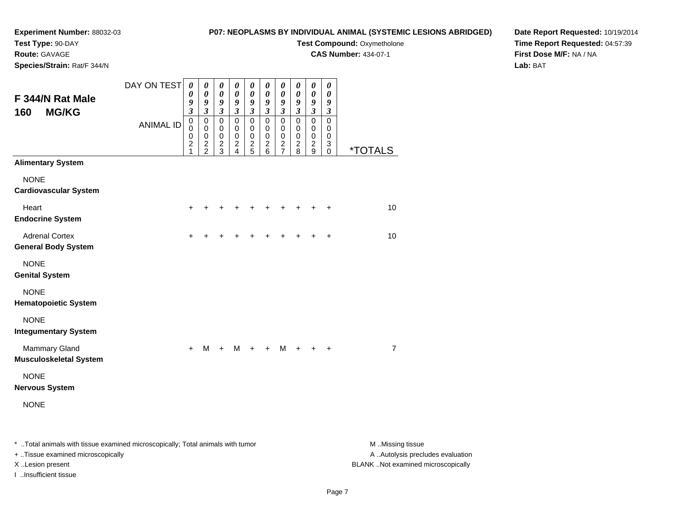# **Test Type:** 90-DAY

**Route:** GAVAGE

**Species/Strain:** Rat/F 344/N

#### **P07: NEOPLASMS BY INDIVIDUAL ANIMAL (SYSTEMIC LESIONS ABRIDGED)**

# **Test Compound: Oxymetholone**

**CAS Number:** 434-07-1

**Date Report Requested:** 10/19/2014**Time Report Requested:** 04:57:39**First Dose M/F:** NA / NA**Lab:** BAT

| F 344/N Rat Male<br><b>MG/KG</b><br>160                                 | DAY ON TEST<br><b>ANIMAL ID</b> | $\boldsymbol{\theta}$<br>0<br>9<br>$\overline{\mathbf{3}}$<br>$\mathbf 0$<br>$\mathbf 0$<br>$\pmb{0}$<br>$\boldsymbol{2}$<br>1 | $\boldsymbol{\theta}$<br>$\boldsymbol{\theta}$<br>$\boldsymbol{g}$<br>$\boldsymbol{\beta}$<br>$\pmb{0}$<br>$\mathbf 0$<br>$\pmb{0}$<br>$\frac{2}{2}$ | 0<br>$\boldsymbol{\theta}$<br>9<br>$\mathfrak{z}$<br>$\mathbf 0$<br>$\mathbf 0$<br>$\pmb{0}$<br>$\frac{2}{3}$ | $\boldsymbol{\theta}$<br>$\pmb{\theta}$<br>9<br>$\boldsymbol{\mathfrak{z}}$<br>$\mathbf 0$<br>$\mathbf 0$<br>$\pmb{0}$<br>$\frac{2}{4}$ | 0<br>$\boldsymbol{\theta}$<br>$\boldsymbol{g}$<br>$\mathfrak{z}$<br>$\mathbf 0$<br>$\mathbf 0$<br>$\mathbf 0$<br>$\frac{2}{5}$ | $\pmb{\theta}$<br>$\pmb{\theta}$<br>9<br>$\boldsymbol{\beta}$<br>$\mathbf 0$<br>$\mathbf 0$<br>$\pmb{0}$<br>$\frac{2}{6}$ | 0<br>$\pmb{\theta}$<br>9<br>$\mathfrak{z}$<br>$\mathbf 0$<br>$\mathbf 0$<br>$\pmb{0}$<br>$\frac{2}{7}$ | 0<br>$\pmb{\theta}$<br>9<br>$\boldsymbol{\mathfrak{z}}$<br>$\mathbf 0$<br>$\mathbf 0$<br>0<br>$\frac{2}{8}$ | 0<br>$\pmb{\theta}$<br>$\boldsymbol{g}$<br>$\mathfrak{z}$<br>$\mathbf 0$<br>$\mathbf 0$<br>$\mathbf 0$<br>$\overline{c}$<br>9 | $\boldsymbol{\theta}$<br>$\boldsymbol{\theta}$<br>9<br>$\boldsymbol{\beta}$<br>$\mathsf 0$<br>0<br>$\pmb{0}$<br>$\ensuremath{\mathsf{3}}$<br>0 | <i><b>*TOTALS</b></i> |
|-------------------------------------------------------------------------|---------------------------------|--------------------------------------------------------------------------------------------------------------------------------|------------------------------------------------------------------------------------------------------------------------------------------------------|---------------------------------------------------------------------------------------------------------------|-----------------------------------------------------------------------------------------------------------------------------------------|--------------------------------------------------------------------------------------------------------------------------------|---------------------------------------------------------------------------------------------------------------------------|--------------------------------------------------------------------------------------------------------|-------------------------------------------------------------------------------------------------------------|-------------------------------------------------------------------------------------------------------------------------------|------------------------------------------------------------------------------------------------------------------------------------------------|-----------------------|
| <b>Alimentary System</b><br><b>NONE</b><br><b>Cardiovascular System</b> |                                 |                                                                                                                                |                                                                                                                                                      |                                                                                                               |                                                                                                                                         |                                                                                                                                |                                                                                                                           |                                                                                                        |                                                                                                             |                                                                                                                               |                                                                                                                                                |                       |
| Heart<br><b>Endocrine System</b>                                        |                                 | $\ddot{}$                                                                                                                      |                                                                                                                                                      |                                                                                                               | +                                                                                                                                       |                                                                                                                                | +                                                                                                                         | $\div$                                                                                                 | +                                                                                                           |                                                                                                                               | $\ddot{}$                                                                                                                                      | 10                    |
| <b>Adrenal Cortex</b><br><b>General Body System</b>                     |                                 | +                                                                                                                              |                                                                                                                                                      |                                                                                                               |                                                                                                                                         |                                                                                                                                |                                                                                                                           |                                                                                                        |                                                                                                             |                                                                                                                               | +                                                                                                                                              | 10                    |
| <b>NONE</b><br><b>Genital System</b>                                    |                                 |                                                                                                                                |                                                                                                                                                      |                                                                                                               |                                                                                                                                         |                                                                                                                                |                                                                                                                           |                                                                                                        |                                                                                                             |                                                                                                                               |                                                                                                                                                |                       |
| <b>NONE</b><br><b>Hematopoietic System</b>                              |                                 |                                                                                                                                |                                                                                                                                                      |                                                                                                               |                                                                                                                                         |                                                                                                                                |                                                                                                                           |                                                                                                        |                                                                                                             |                                                                                                                               |                                                                                                                                                |                       |
| <b>NONE</b><br><b>Integumentary System</b>                              |                                 |                                                                                                                                |                                                                                                                                                      |                                                                                                               |                                                                                                                                         |                                                                                                                                |                                                                                                                           |                                                                                                        |                                                                                                             |                                                                                                                               |                                                                                                                                                |                       |
| <b>Mammary Gland</b><br><b>Musculoskeletal System</b>                   |                                 | $\ddot{}$                                                                                                                      | M                                                                                                                                                    | $+$                                                                                                           | M                                                                                                                                       | $+$                                                                                                                            | $\ddot{}$                                                                                                                 | M                                                                                                      | $\ddot{}$                                                                                                   | $+$                                                                                                                           | $\ddot{}$                                                                                                                                      | 7                     |
| <b>NONE</b><br><b>Nervous System</b>                                    |                                 |                                                                                                                                |                                                                                                                                                      |                                                                                                               |                                                                                                                                         |                                                                                                                                |                                                                                                                           |                                                                                                        |                                                                                                             |                                                                                                                               |                                                                                                                                                |                       |
| <b>NONE</b>                                                             |                                 |                                                                                                                                |                                                                                                                                                      |                                                                                                               |                                                                                                                                         |                                                                                                                                |                                                                                                                           |                                                                                                        |                                                                                                             |                                                                                                                               |                                                                                                                                                |                       |

\* ..Total animals with tissue examined microscopically; Total animals with tumor **M** . Missing tissue M ..Missing tissue

+ ..Tissue examined microscopically

I ..Insufficient tissue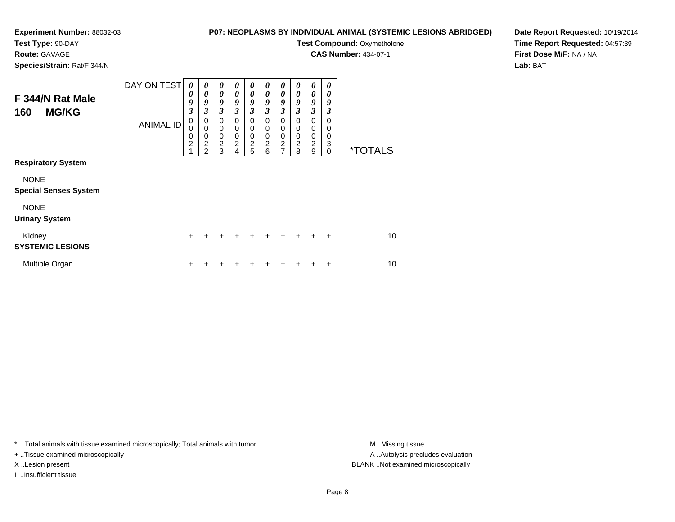## **Test Type:** 90-DAY

**Route:** GAVAGE

**Species/Strain:** Rat/F 344/N

### **P07: NEOPLASMS BY INDIVIDUAL ANIMAL (SYSTEMIC LESIONS ABRIDGED)**

**Test Compound: Oxymetholone** 

**CAS Number:** 434-07-1

**Date Report Requested:** 10/19/2014**Time Report Requested:** 04:57:39**First Dose M/F:** NA / NA**Lab:** BAT

| F 344/N Rat Male<br><b>MG/KG</b><br>160     | DAY ON TEST<br><b>ANIMAL ID</b> | 0<br>$\boldsymbol{\theta}$<br>9<br>$\mathfrak{z}$<br>$\mathbf 0$<br>$\mathbf 0$<br>$\mathbf 0$<br>$\overline{2}$<br>$\overline{1}$ | 0<br>0<br>9<br>3<br>$\mathbf 0$<br>$\mathbf 0$<br>$\mathbf 0$<br>$\overline{c}$<br>$\overline{2}$ | 0<br>0<br>9<br>3<br>$\mathbf 0$<br>$\pmb{0}$<br>$\mathbf 0$<br>$\overline{c}$<br>3 | 0<br>0<br>9<br>3<br>0<br>$\mathbf 0$<br>0<br>$\overline{c}$<br>4 | 0<br>0<br>9<br>$\mathfrak{z}$<br>0<br>0<br>0<br>$\overline{2}$<br>5 | 0<br>0<br>9<br>3<br>0<br>0<br>0<br>$\overline{2}$<br>6 | 0<br>0<br>9<br>3<br>0<br>0<br>0<br>$\overline{\mathbf{c}}$<br>$\overline{ }$ | 0<br>0<br>9<br>3<br>$\Omega$<br>0<br>0<br>2<br>8 | 0<br>0<br>9<br>3<br>0<br>0<br>$\mathbf 0$<br>$\overline{c}$<br>9 | 0<br>0<br>9<br>3<br>0<br>0<br>0<br>3<br>$\Omega$ | <i><b>*TOTALS</b></i> |
|---------------------------------------------|---------------------------------|------------------------------------------------------------------------------------------------------------------------------------|---------------------------------------------------------------------------------------------------|------------------------------------------------------------------------------------|------------------------------------------------------------------|---------------------------------------------------------------------|--------------------------------------------------------|------------------------------------------------------------------------------|--------------------------------------------------|------------------------------------------------------------------|--------------------------------------------------|-----------------------|
| <b>Respiratory System</b>                   |                                 |                                                                                                                                    |                                                                                                   |                                                                                    |                                                                  |                                                                     |                                                        |                                                                              |                                                  |                                                                  |                                                  |                       |
| <b>NONE</b><br><b>Special Senses System</b> |                                 |                                                                                                                                    |                                                                                                   |                                                                                    |                                                                  |                                                                     |                                                        |                                                                              |                                                  |                                                                  |                                                  |                       |
| <b>NONE</b><br><b>Urinary System</b>        |                                 |                                                                                                                                    |                                                                                                   |                                                                                    |                                                                  |                                                                     |                                                        |                                                                              |                                                  |                                                                  |                                                  |                       |
| Kidney<br><b>SYSTEMIC LESIONS</b>           |                                 | $\ddot{}$                                                                                                                          |                                                                                                   | +                                                                                  | ÷                                                                | +                                                                   | ÷                                                      | +                                                                            | $\div$                                           | ÷                                                                | $\ddot{}$                                        | 10                    |
| Multiple Organ                              |                                 | $\ddot{}$                                                                                                                          |                                                                                                   |                                                                                    |                                                                  |                                                                     |                                                        |                                                                              |                                                  |                                                                  | ÷                                                | 10                    |

\* ..Total animals with tissue examined microscopically; Total animals with tumor **M** . Missing tissue M ..Missing tissue

+ ..Tissue examined microscopically

I ..Insufficient tissue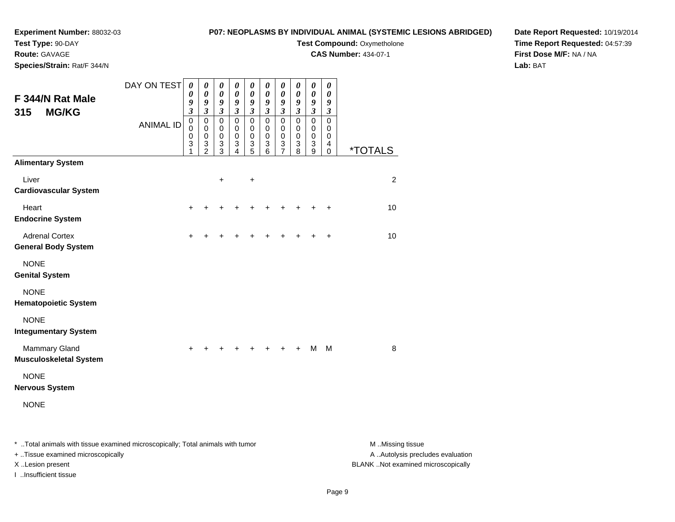### **Experiment Number:** 88032-03**Test Type:** 90-DAY

### **P07: NEOPLASMS BY INDIVIDUAL ANIMAL (SYSTEMIC LESIONS ABRIDGED)**

**Test Compound: Oxymetholone** 

**CAS Number:** 434-07-1

**Date Report Requested:** 10/19/2014**Time Report Requested:** 04:57:39**First Dose M/F:** NA / NA**Lab:** BAT

**Species/Strain:** Rat/F 344/N

**Route:** GAVAGE

| F 344/N Rat Male                                                               | DAY ON TEST      | $\boldsymbol{\theta}$<br>0<br>9                                | $\boldsymbol{\theta}$<br>$\boldsymbol{\theta}$<br>9                    | 0<br>0<br>9                                    | $\pmb{\theta}$<br>$\boldsymbol{\theta}$<br>9                                    | $\pmb{\theta}$<br>0<br>9                                                             | $\pmb{\theta}$<br>0<br>9                                                                           | $\boldsymbol{\theta}$<br>$\boldsymbol{\theta}$<br>9                                            | 0<br>0<br>9                                                          | $\pmb{\theta}$<br>$\boldsymbol{\theta}$<br>$\boldsymbol{g}$              | 0<br>0<br>9                                                                                   |                       |
|--------------------------------------------------------------------------------|------------------|----------------------------------------------------------------|------------------------------------------------------------------------|------------------------------------------------|---------------------------------------------------------------------------------|--------------------------------------------------------------------------------------|----------------------------------------------------------------------------------------------------|------------------------------------------------------------------------------------------------|----------------------------------------------------------------------|--------------------------------------------------------------------------|-----------------------------------------------------------------------------------------------|-----------------------|
| <b>MG/KG</b><br>315                                                            | <b>ANIMAL ID</b> | $\boldsymbol{\mathfrak{z}}$<br>$\mathbf 0$<br>0<br>0<br>3<br>1 | $\mathfrak{z}$<br>$\pmb{0}$<br>$\pmb{0}$<br>$\pmb{0}$<br>$\frac{3}{2}$ | 3<br>$\mathbf 0$<br>0<br>$\mathbf 0$<br>3<br>3 | $\mathfrak{z}$<br>$\pmb{0}$<br>0<br>$\pmb{0}$<br>$\ensuremath{\mathsf{3}}$<br>4 | $\boldsymbol{\beta}$<br>$\pmb{0}$<br>$\pmb{0}$<br>$\mathbf 0$<br>$\overline{3}$<br>5 | $\boldsymbol{\beta}$<br>$\pmb{0}$<br>0<br>$\pmb{0}$<br>$\ensuremath{\mathsf{3}}$<br>$\overline{6}$ | $\mathfrak{z}$<br>$\mathbf 0$<br>0<br>$\pmb{0}$<br>$\ensuremath{\mathsf{3}}$<br>$\overline{7}$ | $\boldsymbol{\mathfrak{z}}$<br>$\mathbf 0$<br>0<br>$\,0\,$<br>3<br>8 | $\mathfrak{z}$<br>$\mathbf 0$<br>0<br>$\pmb{0}$<br>3<br>$\boldsymbol{9}$ | $\boldsymbol{\beta}$<br>$\mathbf 0$<br>0<br>$\,0\,$<br>$\overline{\mathbf{4}}$<br>$\mathbf 0$ | <i><b>*TOTALS</b></i> |
| <b>Alimentary System</b>                                                       |                  |                                                                |                                                                        |                                                |                                                                                 |                                                                                      |                                                                                                    |                                                                                                |                                                                      |                                                                          |                                                                                               |                       |
| Liver<br><b>Cardiovascular System</b>                                          |                  |                                                                |                                                                        | $\ddot{}$                                      |                                                                                 | $\ddot{}$                                                                            |                                                                                                    |                                                                                                |                                                                      |                                                                          |                                                                                               | $\overline{c}$        |
| Heart<br><b>Endocrine System</b>                                               |                  | $\div$                                                         |                                                                        |                                                |                                                                                 |                                                                                      |                                                                                                    |                                                                                                |                                                                      |                                                                          | $\ddot{}$                                                                                     | 10                    |
| <b>Adrenal Cortex</b><br><b>General Body System</b>                            |                  | ٠                                                              |                                                                        |                                                |                                                                                 |                                                                                      |                                                                                                    |                                                                                                |                                                                      |                                                                          | $\ddot{}$                                                                                     | 10                    |
| <b>NONE</b><br><b>Genital System</b>                                           |                  |                                                                |                                                                        |                                                |                                                                                 |                                                                                      |                                                                                                    |                                                                                                |                                                                      |                                                                          |                                                                                               |                       |
| <b>NONE</b><br><b>Hematopoietic System</b>                                     |                  |                                                                |                                                                        |                                                |                                                                                 |                                                                                      |                                                                                                    |                                                                                                |                                                                      |                                                                          |                                                                                               |                       |
| <b>NONE</b><br><b>Integumentary System</b>                                     |                  |                                                                |                                                                        |                                                |                                                                                 |                                                                                      |                                                                                                    |                                                                                                |                                                                      |                                                                          |                                                                                               |                       |
| <b>Mammary Gland</b><br><b>Musculoskeletal System</b>                          |                  |                                                                |                                                                        |                                                |                                                                                 |                                                                                      |                                                                                                    |                                                                                                |                                                                      | M                                                                        | M                                                                                             | 8                     |
| <b>NONE</b><br><b>Nervous System</b>                                           |                  |                                                                |                                                                        |                                                |                                                                                 |                                                                                      |                                                                                                    |                                                                                                |                                                                      |                                                                          |                                                                                               |                       |
| <b>NONE</b>                                                                    |                  |                                                                |                                                                        |                                                |                                                                                 |                                                                                      |                                                                                                    |                                                                                                |                                                                      |                                                                          |                                                                                               |                       |
| * Total animals with tissue examined microscopically; Total animals with tumor |                  |                                                                |                                                                        |                                                |                                                                                 |                                                                                      |                                                                                                    |                                                                                                |                                                                      |                                                                          |                                                                                               | M Missing tissue      |

+ ..Tissue examined microscopically

I ..Insufficient tissue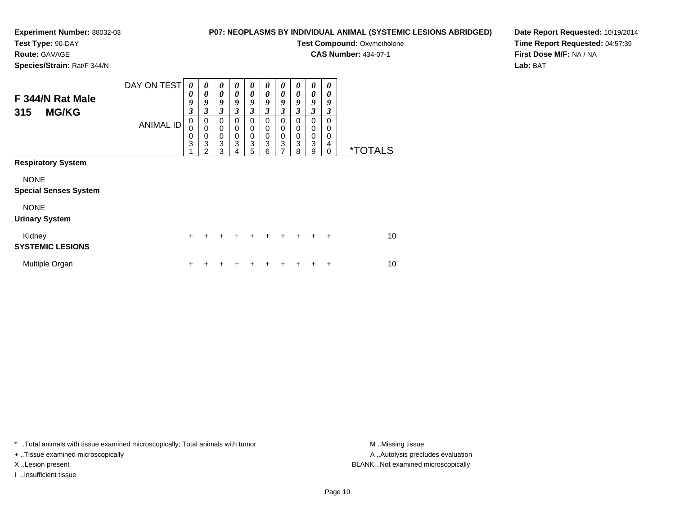# **Test Type:** 90-DAY

**Route:** GAVAGE

**Species/Strain:** Rat/F 344/N

### **P07: NEOPLASMS BY INDIVIDUAL ANIMAL (SYSTEMIC LESIONS ABRIDGED)**

**Test Compound: Oxymetholone** 

**CAS Number:** 434-07-1

 $\overline{\phantom{0}}$ ┯

**Date Report Requested:** 10/19/2014**Time Report Requested:** 04:57:39**First Dose M/F:** NA / NA**Lab:** BAT

| F 344/N Rat Male                            | DAY ON TEST      | 0<br>0<br>9                       | 0<br>0<br>9                     | 0<br>$\boldsymbol{\theta}$<br>9                         | 0<br>0<br>9      | 0<br>0<br>9                                | 0<br>0<br>9           | 0<br>0<br>9                        | 0<br>0<br>9                     | 0<br>0<br>9                     | 0<br>0<br>9           |                       |
|---------------------------------------------|------------------|-----------------------------------|---------------------------------|---------------------------------------------------------|------------------|--------------------------------------------|-----------------------|------------------------------------|---------------------------------|---------------------------------|-----------------------|-----------------------|
| <b>MG/KG</b><br>315                         |                  | 3                                 | 3                               | 3                                                       | 3                | 3                                          | 3                     | 3                                  | 3                               | 3                               | 3                     |                       |
|                                             | <b>ANIMAL ID</b> | 0<br>$\mathbf 0$<br>$\frac{0}{3}$ | 0<br>$\mathbf 0$<br>0<br>3<br>2 | 0<br>0<br>$\mathbf 0$<br>$\ensuremath{\mathsf{3}}$<br>3 | 0<br>0<br>0<br>3 | 0<br>0<br>$\pmb{0}$<br>$\overline{3}$<br>5 | 0<br>0<br>0<br>3<br>6 | 0<br>0<br>0<br>3<br>$\overline{7}$ | 0<br>0<br>$\mathbf 0$<br>3<br>8 | 0<br>0<br>$\mathbf 0$<br>3<br>9 | 0<br>0<br>0<br>4<br>0 | <i><b>*TOTALS</b></i> |
| <b>Respiratory System</b>                   |                  |                                   |                                 |                                                         |                  |                                            |                       |                                    |                                 |                                 |                       |                       |
| <b>NONE</b><br><b>Special Senses System</b> |                  |                                   |                                 |                                                         |                  |                                            |                       |                                    |                                 |                                 |                       |                       |
| <b>NONE</b><br><b>Urinary System</b>        |                  |                                   |                                 |                                                         |                  |                                            |                       |                                    |                                 |                                 |                       |                       |
| Kidney<br><b>SYSTEMIC LESIONS</b>           |                  | $\pm$                             |                                 |                                                         |                  |                                            |                       |                                    |                                 |                                 | $\ddot{}$             | 10                    |
| Multiple Organ                              |                  | ٠                                 |                                 |                                                         |                  |                                            |                       |                                    |                                 |                                 | ÷                     | 10                    |

┯ ┯  $\overline{\phantom{a}}$  $\overline{\phantom{a}}$ 

\* ..Total animals with tissue examined microscopically; Total animals with tumor **M** . Missing tissue M ..Missing tissue

+ ..Tissue examined microscopically

I ..Insufficient tissue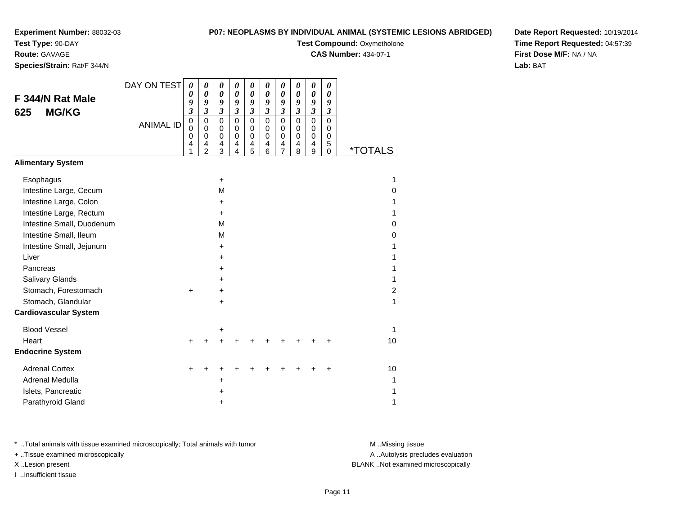**Test Type:** 90-DAY

**Route:** GAVAGE

**Species/Strain:** Rat/F 344/N

### **P07: NEOPLASMS BY INDIVIDUAL ANIMAL (SYSTEMIC LESIONS ABRIDGED)**

**Test Compound: Oxymetholone** 

**CAS Number:** 434-07-1

**Date Report Requested:** 10/19/2014**Time Report Requested:** 04:57:39**First Dose M/F:** NA / NA**Lab:** BAT

| F 344/N Rat Male<br><b>MG/KG</b><br>625                                                                                                                                                                                                                                                           | DAY ON TEST<br><b>ANIMAL ID</b> | $\boldsymbol{\theta}$<br>0<br>9<br>$\mathfrak{z}$<br>$\pmb{0}$<br>$\mathbf 0$<br>$\mathbf 0$<br>$\overline{\mathbf{4}}$<br>1 | 0<br>0<br>9<br>$\mathfrak{z}$<br>$\mathbf 0$<br>$\Omega$<br>$\mathbf 0$<br>$\overline{\mathbf{4}}$<br>$\overline{2}$ | 0<br>0<br>9<br>$\boldsymbol{\beta}$<br>$\mathbf 0$<br>0<br>$\pmb{0}$<br>4<br>3                           | 0<br>$\boldsymbol{\theta}$<br>9<br>$\boldsymbol{\beta}$<br>$\mathbf 0$<br>$\Omega$<br>$\mathbf 0$<br>$\overline{4}$<br>4 | 0<br>$\boldsymbol{\theta}$<br>9<br>$\boldsymbol{\mathfrak{z}}$<br>$\mathsf 0$<br>$\mathbf 0$<br>$\boldsymbol{0}$<br>$\overline{\mathbf{4}}$<br>5 | 0<br>0<br>9<br>$\overline{\mathbf{3}}$<br>0<br>0<br>0<br>4<br>6 | 0<br>$\boldsymbol{\theta}$<br>9<br>$\overline{\mathbf{3}}$<br>0<br>$\mathbf 0$<br>0<br>4<br>$\overline{7}$ | 0<br>0<br>9<br>$\boldsymbol{\mathfrak{z}}$<br>$\mathbf 0$<br>0<br>$\mathbf 0$<br>4<br>8 | 0<br>0<br>9<br>$\boldsymbol{\beta}$<br>$\mathbf 0$<br>$\mathbf 0$<br>$\mathbf 0$<br>$\overline{\mathbf{4}}$<br>9 | 0<br>0<br>9<br>$\boldsymbol{\beta}$<br>$\mathbf 0$<br>0<br>0<br>5<br>$\mathbf 0$ | <i><b>*TOTALS</b></i>                                                 |
|---------------------------------------------------------------------------------------------------------------------------------------------------------------------------------------------------------------------------------------------------------------------------------------------------|---------------------------------|------------------------------------------------------------------------------------------------------------------------------|----------------------------------------------------------------------------------------------------------------------|----------------------------------------------------------------------------------------------------------|--------------------------------------------------------------------------------------------------------------------------|--------------------------------------------------------------------------------------------------------------------------------------------------|-----------------------------------------------------------------|------------------------------------------------------------------------------------------------------------|-----------------------------------------------------------------------------------------|------------------------------------------------------------------------------------------------------------------|----------------------------------------------------------------------------------|-----------------------------------------------------------------------|
| <b>Alimentary System</b>                                                                                                                                                                                                                                                                          |                                 |                                                                                                                              |                                                                                                                      |                                                                                                          |                                                                                                                          |                                                                                                                                                  |                                                                 |                                                                                                            |                                                                                         |                                                                                                                  |                                                                                  |                                                                       |
| Esophagus<br>Intestine Large, Cecum<br>Intestine Large, Colon<br>Intestine Large, Rectum<br>Intestine Small, Duodenum<br>Intestine Small, Ileum<br>Intestine Small, Jejunum<br>Liver<br>Pancreas<br>Salivary Glands<br>Stomach, Forestomach<br>Stomach, Glandular<br><b>Cardiovascular System</b> |                                 | $\ddot{}$                                                                                                                    |                                                                                                                      | +<br>M<br>$\ddot{}$<br>$\ddot{}$<br>М<br>M<br>$\ddot{}$<br>$\ddot{}$<br>+<br>$\ddot{}$<br>$\ddot{}$<br>+ |                                                                                                                          |                                                                                                                                                  |                                                                 |                                                                                                            |                                                                                         |                                                                                                                  |                                                                                  | 1<br>0<br>1<br>1<br>0<br>0<br>1<br>1<br>1<br>1<br>$\overline{2}$<br>1 |
| <b>Blood Vessel</b>                                                                                                                                                                                                                                                                               |                                 |                                                                                                                              |                                                                                                                      | +                                                                                                        |                                                                                                                          |                                                                                                                                                  |                                                                 |                                                                                                            |                                                                                         |                                                                                                                  |                                                                                  | 1                                                                     |
| Heart<br><b>Endocrine System</b>                                                                                                                                                                                                                                                                  |                                 | $\ddot{}$                                                                                                                    |                                                                                                                      | +                                                                                                        |                                                                                                                          |                                                                                                                                                  |                                                                 |                                                                                                            |                                                                                         |                                                                                                                  |                                                                                  | 10                                                                    |
| <b>Adrenal Cortex</b><br>Adrenal Medulla<br>Islets, Pancreatic<br>Parathyroid Gland                                                                                                                                                                                                               |                                 |                                                                                                                              |                                                                                                                      | +<br>+<br>+                                                                                              |                                                                                                                          |                                                                                                                                                  |                                                                 |                                                                                                            |                                                                                         |                                                                                                                  |                                                                                  | 10<br>1<br>1<br>1                                                     |

\* ..Total animals with tissue examined microscopically; Total animals with tumor **M** . Missing tissue M ..Missing tissue

+ ..Tissue examined microscopically

I ..Insufficient tissue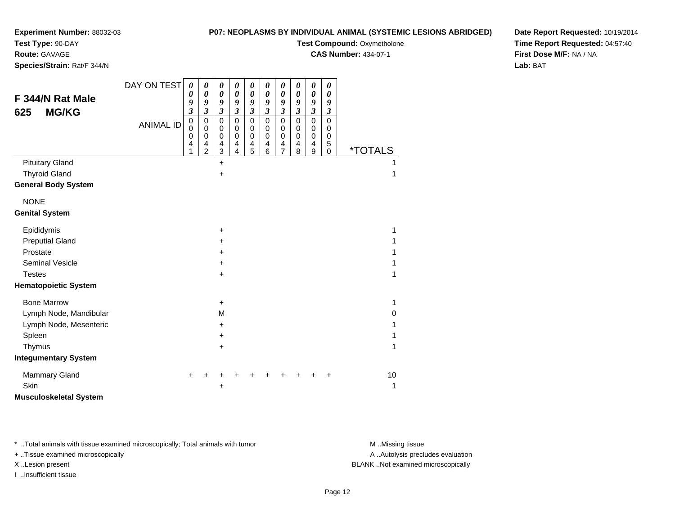# **Test Type:** 90-DAY

**Route:** GAVAGE

**Species/Strain:** Rat/F 344/N

### **P07: NEOPLASMS BY INDIVIDUAL ANIMAL (SYSTEMIC LESIONS ABRIDGED)**

**Test Compound: Oxymetholone** 

**CAS Number:** 434-07-1

**Date Report Requested:** 10/19/2014**Time Report Requested:** 04:57:40**First Dose M/F:** NA / NA**Lab:** BAT

| F 344/N Rat Male<br><b>MG/KG</b><br>625 | DAY ON TEST<br><b>ANIMAL ID</b> | $\boldsymbol{\theta}$<br>$\boldsymbol{\theta}$<br>9<br>$\boldsymbol{\mathfrak{z}}$<br>$\pmb{0}$<br>$\mathbf 0$<br>$\pmb{0}$ | 0<br>$\pmb{\theta}$<br>9<br>$\mathfrak{z}$<br>$\mathbf 0$<br>$\mathbf 0$<br>0 | 0<br>$\pmb{\theta}$<br>9<br>$\mathfrak{z}$<br>0<br>0<br>0 | $\pmb{\theta}$<br>$\boldsymbol{\theta}$<br>9<br>$\mathfrak{z}$<br>$\mathbf 0$<br>$\mathbf 0$<br>$\mathbf 0$ | $\boldsymbol{\theta}$<br>$\pmb{\theta}$<br>9<br>$\boldsymbol{\mathfrak{z}}$<br>$\mathbf 0$<br>$\,0\,$<br>$\mathbf 0$ | $\boldsymbol{\theta}$<br>0<br>9<br>$\mathfrak{z}$<br>$\mathbf 0$<br>$\pmb{0}$<br>$\mathbf 0$ | $\boldsymbol{\theta}$<br>$\boldsymbol{\theta}$<br>9<br>$\boldsymbol{\beta}$<br>$\mathbf 0$<br>$\,0\,$<br>$\mathbf 0$ | $\boldsymbol{\theta}$<br>$\boldsymbol{\theta}$<br>9<br>$\boldsymbol{\beta}$<br>$\mathbf 0$<br>$\mathbf 0$<br>0 | $\boldsymbol{\theta}$<br>$\boldsymbol{\theta}$<br>9<br>$\mathfrak{z}$<br>$\mathbf 0$<br>$\,0\,$<br>$\pmb{0}$ | $\boldsymbol{\theta}$<br>$\boldsymbol{\theta}$<br>9<br>$\boldsymbol{\beta}$<br>0<br>$\pmb{0}$<br>0 |                       |
|-----------------------------------------|---------------------------------|-----------------------------------------------------------------------------------------------------------------------------|-------------------------------------------------------------------------------|-----------------------------------------------------------|-------------------------------------------------------------------------------------------------------------|----------------------------------------------------------------------------------------------------------------------|----------------------------------------------------------------------------------------------|----------------------------------------------------------------------------------------------------------------------|----------------------------------------------------------------------------------------------------------------|--------------------------------------------------------------------------------------------------------------|----------------------------------------------------------------------------------------------------|-----------------------|
|                                         |                                 | 4<br>1                                                                                                                      | 4<br>$\overline{2}$                                                           | 4<br>3                                                    | 4<br>4                                                                                                      | 4<br>5                                                                                                               | 4<br>6                                                                                       | 4<br>$\overline{7}$                                                                                                  | 4<br>8                                                                                                         | 4<br>9                                                                                                       | 5<br>$\mathbf 0$                                                                                   | <i><b>*TOTALS</b></i> |
| <b>Pituitary Gland</b>                  |                                 |                                                                                                                             |                                                                               | $\ddot{}$                                                 |                                                                                                             |                                                                                                                      |                                                                                              |                                                                                                                      |                                                                                                                |                                                                                                              |                                                                                                    |                       |
| <b>Thyroid Gland</b>                    |                                 |                                                                                                                             |                                                                               | +                                                         |                                                                                                             |                                                                                                                      |                                                                                              |                                                                                                                      |                                                                                                                |                                                                                                              |                                                                                                    | 1                     |
| <b>General Body System</b>              |                                 |                                                                                                                             |                                                                               |                                                           |                                                                                                             |                                                                                                                      |                                                                                              |                                                                                                                      |                                                                                                                |                                                                                                              |                                                                                                    |                       |
| <b>NONE</b>                             |                                 |                                                                                                                             |                                                                               |                                                           |                                                                                                             |                                                                                                                      |                                                                                              |                                                                                                                      |                                                                                                                |                                                                                                              |                                                                                                    |                       |
| <b>Genital System</b>                   |                                 |                                                                                                                             |                                                                               |                                                           |                                                                                                             |                                                                                                                      |                                                                                              |                                                                                                                      |                                                                                                                |                                                                                                              |                                                                                                    |                       |
| Epididymis                              |                                 |                                                                                                                             |                                                                               | +                                                         |                                                                                                             |                                                                                                                      |                                                                                              |                                                                                                                      |                                                                                                                |                                                                                                              |                                                                                                    | 1                     |
| <b>Preputial Gland</b>                  |                                 |                                                                                                                             |                                                                               | +                                                         |                                                                                                             |                                                                                                                      |                                                                                              |                                                                                                                      |                                                                                                                |                                                                                                              |                                                                                                    |                       |
| Prostate                                |                                 |                                                                                                                             |                                                                               | $\pm$                                                     |                                                                                                             |                                                                                                                      |                                                                                              |                                                                                                                      |                                                                                                                |                                                                                                              |                                                                                                    |                       |
| <b>Seminal Vesicle</b>                  |                                 |                                                                                                                             |                                                                               | $\pm$                                                     |                                                                                                             |                                                                                                                      |                                                                                              |                                                                                                                      |                                                                                                                |                                                                                                              |                                                                                                    |                       |
| <b>Testes</b>                           |                                 |                                                                                                                             |                                                                               | +                                                         |                                                                                                             |                                                                                                                      |                                                                                              |                                                                                                                      |                                                                                                                |                                                                                                              |                                                                                                    | 1                     |
| <b>Hematopoietic System</b>             |                                 |                                                                                                                             |                                                                               |                                                           |                                                                                                             |                                                                                                                      |                                                                                              |                                                                                                                      |                                                                                                                |                                                                                                              |                                                                                                    |                       |
| <b>Bone Marrow</b>                      |                                 |                                                                                                                             |                                                                               | $\ddot{}$                                                 |                                                                                                             |                                                                                                                      |                                                                                              |                                                                                                                      |                                                                                                                |                                                                                                              |                                                                                                    | 1                     |
| Lymph Node, Mandibular                  |                                 |                                                                                                                             |                                                                               | М                                                         |                                                                                                             |                                                                                                                      |                                                                                              |                                                                                                                      |                                                                                                                |                                                                                                              |                                                                                                    | 0                     |
| Lymph Node, Mesenteric                  |                                 |                                                                                                                             |                                                                               | +                                                         |                                                                                                             |                                                                                                                      |                                                                                              |                                                                                                                      |                                                                                                                |                                                                                                              |                                                                                                    | 1                     |
| Spleen                                  |                                 |                                                                                                                             |                                                                               | $\ddot{}$                                                 |                                                                                                             |                                                                                                                      |                                                                                              |                                                                                                                      |                                                                                                                |                                                                                                              |                                                                                                    |                       |
| Thymus                                  |                                 |                                                                                                                             |                                                                               | +                                                         |                                                                                                             |                                                                                                                      |                                                                                              |                                                                                                                      |                                                                                                                |                                                                                                              |                                                                                                    | 1                     |
| <b>Integumentary System</b>             |                                 |                                                                                                                             |                                                                               |                                                           |                                                                                                             |                                                                                                                      |                                                                                              |                                                                                                                      |                                                                                                                |                                                                                                              |                                                                                                    |                       |
| <b>Mammary Gland</b>                    |                                 |                                                                                                                             |                                                                               |                                                           |                                                                                                             |                                                                                                                      |                                                                                              |                                                                                                                      |                                                                                                                |                                                                                                              | ٠                                                                                                  | 10                    |
| Skin                                    |                                 |                                                                                                                             |                                                                               |                                                           |                                                                                                             |                                                                                                                      |                                                                                              |                                                                                                                      |                                                                                                                |                                                                                                              |                                                                                                    | 1                     |
| <b>Musculoskeletal System</b>           |                                 |                                                                                                                             |                                                                               |                                                           |                                                                                                             |                                                                                                                      |                                                                                              |                                                                                                                      |                                                                                                                |                                                                                                              |                                                                                                    |                       |

\* ..Total animals with tissue examined microscopically; Total animals with tumor **M** . Missing tissue M ..Missing tissue

+ ..Tissue examined microscopically

I ..Insufficient tissue

A ..Autolysis precludes evaluation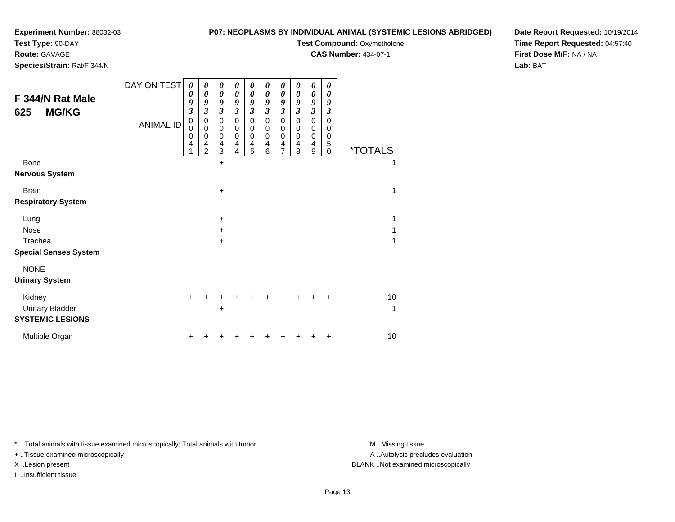### **Test Type:** 90-DAY

**Route:** GAVAGE

**Species/Strain:** Rat/F 344/N

#### **P07: NEOPLASMS BY INDIVIDUAL ANIMAL (SYSTEMIC LESIONS ABRIDGED)**

# **Test Compound: Oxymetholone**

**CAS Number:** 434-07-1

**Date Report Requested:** 10/19/2014**Time Report Requested:** 04:57:40**First Dose M/F:** NA / NA**Lab:** BAT

|                                         | DAY ON TEST      | 0                                     | 0                                       | 0                                       | 0                     | 0                                  | 0                               | 0                                                     | 0                                 | 0                                   | 0                              |                       |
|-----------------------------------------|------------------|---------------------------------------|-----------------------------------------|-----------------------------------------|-----------------------|------------------------------------|---------------------------------|-------------------------------------------------------|-----------------------------------|-------------------------------------|--------------------------------|-----------------------|
| F 344/N Rat Male<br><b>MG/KG</b><br>625 |                  | 0<br>9<br>$\overline{\mathbf{3}}$     | $\boldsymbol{\theta}$<br>9<br>3         | 0<br>9<br>$\boldsymbol{\beta}$          | 0<br>9<br>3           | 0<br>9<br>$\mathfrak{z}$           | 0<br>9<br>3                     | $\boldsymbol{\theta}$<br>9<br>$\overline{\mathbf{3}}$ | 0<br>9<br>$\overline{\mathbf{3}}$ | 0<br>9<br>$\mathfrak{z}$            | 0<br>9<br>$\boldsymbol{\beta}$ |                       |
|                                         | <b>ANIMAL ID</b> | $\pmb{0}$<br>$\mathbf 0$<br>$\pmb{0}$ | $\pmb{0}$<br>$\mathbf 0$<br>$\mathbf 0$ | $\mathbf 0$<br>$\pmb{0}$<br>$\mathbf 0$ | 0<br>0<br>$\mathbf 0$ | $\pmb{0}$<br>$\boldsymbol{0}$<br>0 | 0<br>$\mathbf 0$<br>$\mathbf 0$ | $\pmb{0}$<br>$\,0\,$<br>$\pmb{0}$                     | $\mathbf 0$<br>0<br>$\Omega$      | $\pmb{0}$<br>$\pmb{0}$<br>$\pmb{0}$ | $\mathbf 0$<br>0<br>0          |                       |
|                                         |                  | 4                                     | 4<br>$\overline{c}$                     | 4<br>3                                  | 4<br>4                | 4<br>5                             | 4<br>6                          | 4<br>$\overline{7}$                                   | 4<br>8                            | 4<br>9                              | 5<br>$\Omega$                  | <i><b>*TOTALS</b></i> |
| Bone                                    |                  |                                       |                                         | $\ddot{}$                               |                       |                                    |                                 |                                                       |                                   |                                     |                                | 1                     |
| <b>Nervous System</b>                   |                  |                                       |                                         |                                         |                       |                                    |                                 |                                                       |                                   |                                     |                                |                       |
| <b>Brain</b>                            |                  |                                       |                                         | +                                       |                       |                                    |                                 |                                                       |                                   |                                     |                                | 1                     |
| <b>Respiratory System</b>               |                  |                                       |                                         |                                         |                       |                                    |                                 |                                                       |                                   |                                     |                                |                       |
| Lung                                    |                  |                                       |                                         | $\ddot{}$                               |                       |                                    |                                 |                                                       |                                   |                                     |                                | 1                     |
| <b>Nose</b>                             |                  |                                       |                                         | $\ddot{}$                               |                       |                                    |                                 |                                                       |                                   |                                     |                                |                       |
| Trachea                                 |                  |                                       |                                         | $\ddot{}$                               |                       |                                    |                                 |                                                       |                                   |                                     |                                | 1                     |
| <b>Special Senses System</b>            |                  |                                       |                                         |                                         |                       |                                    |                                 |                                                       |                                   |                                     |                                |                       |
| <b>NONE</b>                             |                  |                                       |                                         |                                         |                       |                                    |                                 |                                                       |                                   |                                     |                                |                       |
| <b>Urinary System</b>                   |                  |                                       |                                         |                                         |                       |                                    |                                 |                                                       |                                   |                                     |                                |                       |
| Kidney                                  |                  | $\pm$                                 |                                         |                                         |                       |                                    |                                 |                                                       |                                   |                                     |                                | 10                    |
| <b>Urinary Bladder</b>                  |                  |                                       |                                         | +                                       |                       |                                    |                                 |                                                       |                                   |                                     |                                | 1                     |
| <b>SYSTEMIC LESIONS</b>                 |                  |                                       |                                         |                                         |                       |                                    |                                 |                                                       |                                   |                                     |                                |                       |
| Multiple Organ                          |                  |                                       |                                         |                                         |                       |                                    |                                 |                                                       |                                   |                                     |                                | 10                    |

\* ..Total animals with tissue examined microscopically; Total animals with tumor **M** . Missing tissue M ..Missing tissue

+ ..Tissue examined microscopically

I ..Insufficient tissue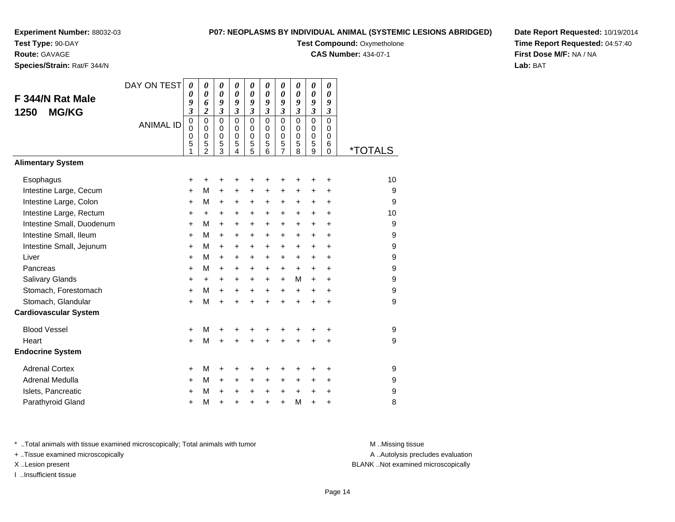**Test Type:** 90-DAY

# **Route:** GAVAGE

**Species/Strain:** Rat/F 344/N

#### **P07: NEOPLASMS BY INDIVIDUAL ANIMAL (SYSTEMIC LESIONS ABRIDGED)**

**Test Compound: Oxymetholone** 

**CAS Number:** 434-07-1

**Date Report Requested:** 10/19/2014**Time Report Requested:** 04:57:40**First Dose M/F:** NA / NA**Lab:** BAT

| F 344/N Rat Male<br>1250<br><b>MG/KG</b><br><b>Alimentary System</b> | DAY ON TEST<br><b>ANIMAL ID</b> | $\boldsymbol{\theta}$<br>0<br>9<br>3<br>$\mathbf 0$<br>$\Omega$<br>0<br>5<br>1 | $\boldsymbol{\theta}$<br>0<br>6<br>$\overline{2}$<br>$\mathbf 0$<br>$\Omega$<br>0<br>5<br>$\overline{2}$ | 0<br>0<br>9<br>$\mathfrak{z}$<br>$\mathbf 0$<br>$\mathbf 0$<br>0<br>5<br>3 | $\boldsymbol{\theta}$<br>0<br>9<br>$\mathfrak{z}$<br>$\Omega$<br>$\Omega$<br>$\Omega$<br>5<br>4 | $\boldsymbol{\theta}$<br>$\boldsymbol{\theta}$<br>9<br>$\mathfrak{z}$<br>$\mathbf 0$<br>$\mathbf 0$<br>$\mathbf 0$<br>5<br>5 | 0<br>$\boldsymbol{\theta}$<br>9<br>$\mathfrak{z}$<br>$\Omega$<br>$\mathbf 0$<br>$\mathbf 0$<br>5<br>6 | 0<br>0<br>9<br>$\mathfrak{z}$<br>$\mathbf 0$<br>$\mathbf 0$<br>$\mathbf 0$<br>5<br>7 | $\boldsymbol{\theta}$<br>$\boldsymbol{\theta}$<br>9<br>$\mathfrak{z}$<br>$\mathbf 0$<br>$\mathbf 0$<br>$\mathbf 0$<br>5<br>8 | 0<br>$\boldsymbol{\theta}$<br>9<br>$\mathfrak{z}$<br>$\Omega$<br>0<br>$\mathbf 0$<br>5<br>9 | 0<br>$\boldsymbol{\theta}$<br>9<br>$\mathfrak{z}$<br>$\Omega$<br>$\Omega$<br>$\Omega$<br>6<br>0 | <i><b>*TOTALS</b></i> |
|----------------------------------------------------------------------|---------------------------------|--------------------------------------------------------------------------------|----------------------------------------------------------------------------------------------------------|----------------------------------------------------------------------------|-------------------------------------------------------------------------------------------------|------------------------------------------------------------------------------------------------------------------------------|-------------------------------------------------------------------------------------------------------|--------------------------------------------------------------------------------------|------------------------------------------------------------------------------------------------------------------------------|---------------------------------------------------------------------------------------------|-------------------------------------------------------------------------------------------------|-----------------------|
|                                                                      |                                 |                                                                                |                                                                                                          |                                                                            |                                                                                                 |                                                                                                                              |                                                                                                       |                                                                                      |                                                                                                                              |                                                                                             |                                                                                                 |                       |
| Esophagus                                                            |                                 | +                                                                              | +                                                                                                        | +                                                                          | +                                                                                               |                                                                                                                              | +                                                                                                     | +                                                                                    | +                                                                                                                            | +                                                                                           | +                                                                                               | 10                    |
| Intestine Large, Cecum                                               |                                 | $\ddot{}$                                                                      | М                                                                                                        | $\ddot{}$                                                                  | +                                                                                               | +                                                                                                                            | +                                                                                                     | +                                                                                    | +                                                                                                                            | +                                                                                           | +                                                                                               | 9                     |
| Intestine Large, Colon                                               |                                 | +                                                                              | М                                                                                                        | $\ddot{}$                                                                  | $\ddot{}$                                                                                       | +                                                                                                                            | +                                                                                                     | +                                                                                    | +                                                                                                                            | +                                                                                           | +                                                                                               | 9                     |
| Intestine Large, Rectum                                              |                                 | +                                                                              | $\ddot{}$                                                                                                | $\ddot{}$                                                                  | $\ddot{}$                                                                                       | $\ddot{}$                                                                                                                    | $\ddot{}$                                                                                             | +                                                                                    | +                                                                                                                            | +                                                                                           | +                                                                                               | 10                    |
| Intestine Small, Duodenum                                            |                                 | $\ddot{}$                                                                      | М                                                                                                        | $\ddot{}$                                                                  | $\ddot{}$                                                                                       | $\ddot{}$                                                                                                                    | $\ddot{}$                                                                                             | $\ddot{}$                                                                            | $\ddot{}$                                                                                                                    | $\ddot{}$                                                                                   | $\ddot{}$                                                                                       | 9                     |
| Intestine Small, Ileum                                               |                                 | +                                                                              | м                                                                                                        | $\pm$                                                                      | $\ddot{}$                                                                                       | $\ddot{}$                                                                                                                    | $\ddot{}$                                                                                             | +                                                                                    | +                                                                                                                            | $\ddot{}$                                                                                   | +                                                                                               | 9                     |
| Intestine Small, Jejunum                                             |                                 | $\ddot{}$                                                                      | м                                                                                                        | $+$                                                                        | $\ddot{}$                                                                                       | $\ddot{}$                                                                                                                    | $\ddot{}$                                                                                             | $\ddot{}$                                                                            | $\ddot{}$                                                                                                                    | $\ddot{}$                                                                                   | $\ddot{}$                                                                                       | 9                     |
| Liver                                                                |                                 | $\ddot{}$                                                                      | м                                                                                                        | $+$                                                                        | $\ddot{}$                                                                                       | $+$                                                                                                                          | $\ddot{}$                                                                                             | +                                                                                    | $\ddot{}$                                                                                                                    | $\ddot{}$                                                                                   | $\ddot{}$                                                                                       | 9                     |
| Pancreas                                                             |                                 | $\ddot{}$                                                                      | м                                                                                                        | $+$                                                                        | $\ddot{}$                                                                                       | $\ddot{}$                                                                                                                    | $+$                                                                                                   | $\ddot{}$                                                                            | $+$                                                                                                                          | $\ddot{}$                                                                                   | $\ddot{}$                                                                                       | 9                     |
| Salivary Glands                                                      |                                 | +                                                                              | $\pm$                                                                                                    | $\pm$                                                                      | +                                                                                               | $\ddot{}$                                                                                                                    | $\ddot{}$                                                                                             | +                                                                                    | M                                                                                                                            | $+$                                                                                         | +                                                                                               | 9                     |
| Stomach, Forestomach                                                 |                                 | $\ddot{}$                                                                      | М                                                                                                        | $+$                                                                        | $\ddot{}$                                                                                       | $\ddot{}$                                                                                                                    | $\ddot{}$                                                                                             | $\ddot{}$                                                                            | $\ddot{}$                                                                                                                    | $\ddot{}$                                                                                   | $\ddot{}$                                                                                       | 9                     |
| Stomach, Glandular                                                   |                                 | $\ddot{}$                                                                      | M                                                                                                        | $+$                                                                        | $\ddot{}$                                                                                       | $\ddot{}$                                                                                                                    | $\ddot{}$                                                                                             | $\ddot{}$                                                                            | $\ddot{}$                                                                                                                    | $\ddot{}$                                                                                   | $\ddot{}$                                                                                       | 9                     |
| <b>Cardiovascular System</b>                                         |                                 |                                                                                |                                                                                                          |                                                                            |                                                                                                 |                                                                                                                              |                                                                                                       |                                                                                      |                                                                                                                              |                                                                                             |                                                                                                 |                       |
| <b>Blood Vessel</b>                                                  |                                 | $\ddot{}$                                                                      | М                                                                                                        | +                                                                          | +                                                                                               |                                                                                                                              | +                                                                                                     | +                                                                                    | +                                                                                                                            | +                                                                                           | +                                                                                               | 9                     |
| Heart                                                                |                                 | $\ddot{}$                                                                      | M                                                                                                        | $\ddot{}$                                                                  | +                                                                                               | $\ddot{}$                                                                                                                    | $\ddot{}$                                                                                             | $\ddot{}$                                                                            | $\ddot{}$                                                                                                                    | $\ddot{}$                                                                                   | +                                                                                               | 9                     |
| <b>Endocrine System</b>                                              |                                 |                                                                                |                                                                                                          |                                                                            |                                                                                                 |                                                                                                                              |                                                                                                       |                                                                                      |                                                                                                                              |                                                                                             |                                                                                                 |                       |
| <b>Adrenal Cortex</b>                                                |                                 | +                                                                              | М                                                                                                        | +                                                                          | +                                                                                               |                                                                                                                              | +                                                                                                     | +                                                                                    | +                                                                                                                            | +                                                                                           | +                                                                                               | 9                     |
| <b>Adrenal Medulla</b>                                               |                                 | +                                                                              | М                                                                                                        | $\ddot{}$                                                                  | +                                                                                               | $\ddot{}$                                                                                                                    | $\ddot{}$                                                                                             | +                                                                                    | +                                                                                                                            | $\ddot{}$                                                                                   | +                                                                                               | 9                     |
| Islets, Pancreatic                                                   |                                 | +                                                                              | М                                                                                                        | $\ddot{}$                                                                  | +                                                                                               | $\ddot{}$                                                                                                                    | $\ddot{}$                                                                                             | +                                                                                    | $\ddot{}$                                                                                                                    | $\ddot{}$                                                                                   | +                                                                                               | 9                     |
| Parathyroid Gland                                                    |                                 | +                                                                              | М                                                                                                        | +                                                                          | +                                                                                               | $\ddot{}$                                                                                                                    | $\ddot{}$                                                                                             | +                                                                                    | M                                                                                                                            | $\ddot{}$                                                                                   | +                                                                                               | 8                     |

\* ..Total animals with tissue examined microscopically; Total animals with tumor **M** . Missing tissue M ..Missing tissue

+ ..Tissue examined microscopically

I ..Insufficient tissue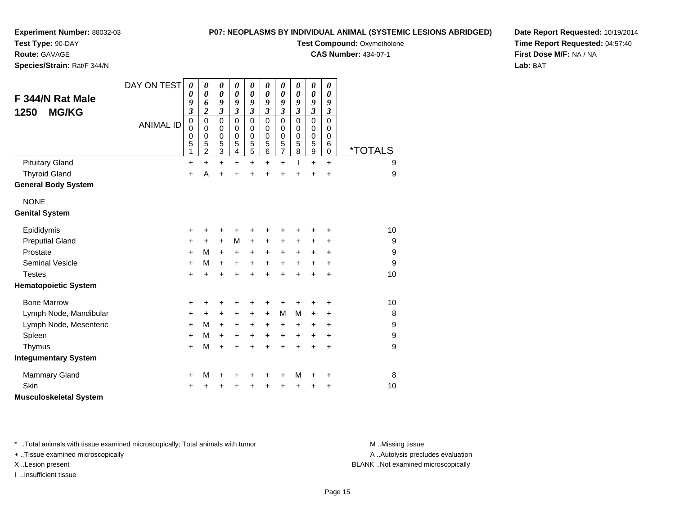#### **P07: NEOPLASMS BY INDIVIDUAL ANIMAL (SYSTEMIC LESIONS ABRIDGED)**

**Experiment Number:** 88032-03

**Test Type:** 90-DAY**Route:** GAVAGE

**Species/Strain:** Rat/F 344/N

**Test Compound: Oxymetholone** 

**CAS Number:** 434-07-1

**Date Report Requested:** 10/19/2014**Time Report Requested:** 04:57:40**First Dose M/F:** NA / NA**Lab:** BAT

| F 344/N Rat Male<br><b>MG/KG</b><br>1250 | DAY ON TEST      | 0<br>0<br>9<br>$\mathfrak{z}$   | 0<br>0<br>6<br>$\overline{\mathbf{c}}$                 | 0<br>$\boldsymbol{\theta}$<br>9<br>$\overline{\mathbf{3}}$ | 0<br>$\boldsymbol{\theta}$<br>9<br>$\overline{\mathbf{3}}$ | 0<br>$\pmb{\theta}$<br>9<br>$\mathfrak{z}$ | 0<br>$\boldsymbol{\theta}$<br>9<br>$\mathfrak{z}$ | 0<br>$\boldsymbol{\theta}$<br>9<br>$\mathfrak{z}$ | 0<br>$\boldsymbol{\theta}$<br>9<br>$\mathfrak{z}$ | $\boldsymbol{\theta}$<br>$\pmb{\theta}$<br>9<br>$\mathfrak{z}$ | 0<br>$\boldsymbol{\theta}$<br>9<br>$\mathfrak{z}$   |                       |
|------------------------------------------|------------------|---------------------------------|--------------------------------------------------------|------------------------------------------------------------|------------------------------------------------------------|--------------------------------------------|---------------------------------------------------|---------------------------------------------------|---------------------------------------------------|----------------------------------------------------------------|-----------------------------------------------------|-----------------------|
|                                          | <b>ANIMAL ID</b> | $\mathbf 0$<br>0<br>0<br>5<br>1 | 0<br>$\mathbf 0$<br>$\mathbf 0$<br>5<br>$\overline{c}$ | $\mathbf 0$<br>0<br>0<br>5<br>$\overline{3}$               | $\mathbf 0$<br>0<br>$\mathbf 0$<br>5<br>4                  | $\mathbf 0$<br>$\pmb{0}$<br>0<br>5<br>5    | $\mathbf 0$<br>0<br>$\mathbf 0$<br>5<br>$\,6$     | $\mathbf 0$<br>0<br>$\pmb{0}$<br>5<br>$\bar{7}$   | $\mathbf 0$<br>0<br>$\mathbf 0$<br>5<br>8         | 0<br>0<br>$\mathbf 0$<br>5<br>$\overline{9}$                   | $\mathbf 0$<br>0<br>$\mathbf 0$<br>6<br>$\mathbf 0$ | <i><b>*TOTALS</b></i> |
| <b>Pituitary Gland</b>                   |                  | $\ddot{}$                       | $\ddot{}$                                              | $\ddot{}$                                                  | $\ddot{}$                                                  | $\ddot{}$                                  | +                                                 | $\ddot{}$                                         | I                                                 | $\ddot{}$                                                      | $\ddot{}$                                           | 9                     |
| <b>Thyroid Gland</b>                     |                  | $\ddot{}$                       | Α                                                      | +                                                          | +                                                          | +                                          |                                                   |                                                   |                                                   |                                                                | $\ddot{}$                                           | 9                     |
| <b>General Body System</b>               |                  |                                 |                                                        |                                                            |                                                            |                                            |                                                   |                                                   |                                                   |                                                                |                                                     |                       |
| <b>NONE</b>                              |                  |                                 |                                                        |                                                            |                                                            |                                            |                                                   |                                                   |                                                   |                                                                |                                                     |                       |
| <b>Genital System</b>                    |                  |                                 |                                                        |                                                            |                                                            |                                            |                                                   |                                                   |                                                   |                                                                |                                                     |                       |
| Epididymis                               |                  | +                               | ٠                                                      | +                                                          |                                                            | +                                          |                                                   |                                                   |                                                   |                                                                | +                                                   | 10                    |
| <b>Preputial Gland</b>                   |                  | +                               | $\ddot{}$                                              | $\ddot{}$                                                  | M                                                          | $\ddot{}$                                  | +                                                 | $\ddot{}$                                         | +                                                 | +                                                              | +                                                   | 9                     |
| Prostate                                 |                  | +                               | М                                                      | $\ddot{}$                                                  | $\ddot{}$                                                  | $\ddot{}$                                  | $\ddot{}$                                         | $\ddot{}$                                         | $\ddot{}$                                         | $\ddot{}$                                                      | $\ddot{}$                                           | 9                     |
| <b>Seminal Vesicle</b>                   |                  | $\ddot{}$                       | м                                                      | $\ddot{}$                                                  | $\ddot{}$                                                  | $\ddot{}$                                  | $\ddot{}$                                         | $\ddot{}$                                         | $\ddot{}$                                         | $\ddot{}$                                                      | $\ddot{}$                                           | 9                     |
| <b>Testes</b>                            |                  | $\ddot{}$                       | $\ddot{}$                                              | $\ddot{}$                                                  | +                                                          | $\ddot{}$                                  | $\ddot{}$                                         | $\ddot{}$                                         |                                                   | $\ddot{}$                                                      | $\ddot{}$                                           | 10                    |
| <b>Hematopoietic System</b>              |                  |                                 |                                                        |                                                            |                                                            |                                            |                                                   |                                                   |                                                   |                                                                |                                                     |                       |
| <b>Bone Marrow</b>                       |                  | +                               | +                                                      | +                                                          | +                                                          | +                                          | +                                                 | +                                                 |                                                   |                                                                | +                                                   | 10                    |
| Lymph Node, Mandibular                   |                  | +                               | $\ddot{}$                                              | +                                                          | $\ddot{}$                                                  | $\ddot{}$                                  | $+$                                               | M                                                 | M                                                 | +                                                              | $\ddot{}$                                           | 8                     |
| Lymph Node, Mesenteric                   |                  | $\ddot{}$                       | M                                                      | $+$                                                        | $\ddot{}$                                                  | $\ddot{}$                                  | +                                                 | $\ddot{}$                                         | $\ddot{}$                                         | $\ddot{}$                                                      | $\ddot{}$                                           | 9                     |
| Spleen                                   |                  | $\ddot{}$                       | м                                                      | $\ddot{}$                                                  | +                                                          | +                                          | +                                                 | $\ddot{}$                                         | $\ddot{}$                                         | +                                                              | $\ddot{}$                                           | $\boldsymbol{9}$      |
| Thymus                                   |                  | $\ddot{}$                       | M                                                      | $\ddot{}$                                                  | $\ddot{}$                                                  | $\ddot{}$                                  | $\ddot{}$                                         | $\ddot{}$                                         | $\ddot{}$                                         | $\ddot{}$                                                      | $\ddot{}$                                           | 9                     |
| <b>Integumentary System</b>              |                  |                                 |                                                        |                                                            |                                                            |                                            |                                                   |                                                   |                                                   |                                                                |                                                     |                       |
| <b>Mammary Gland</b>                     |                  | +                               | M                                                      | +                                                          | +                                                          | +                                          | +                                                 | +                                                 | M                                                 | +                                                              | +                                                   | 8                     |
| <b>Skin</b>                              |                  | +                               |                                                        | +                                                          |                                                            | +                                          |                                                   |                                                   |                                                   | +                                                              | ٠                                                   | 10                    |
| <b>Musculoskeletal System</b>            |                  |                                 |                                                        |                                                            |                                                            |                                            |                                                   |                                                   |                                                   |                                                                |                                                     |                       |

\* ..Total animals with tissue examined microscopically; Total animals with tumor **M** . Missing tissue M ..Missing tissue

+ ..Tissue examined microscopically

I ..Insufficient tissue

A ..Autolysis precludes evaluation

X ..Lesion present BLANK ..Not examined microscopically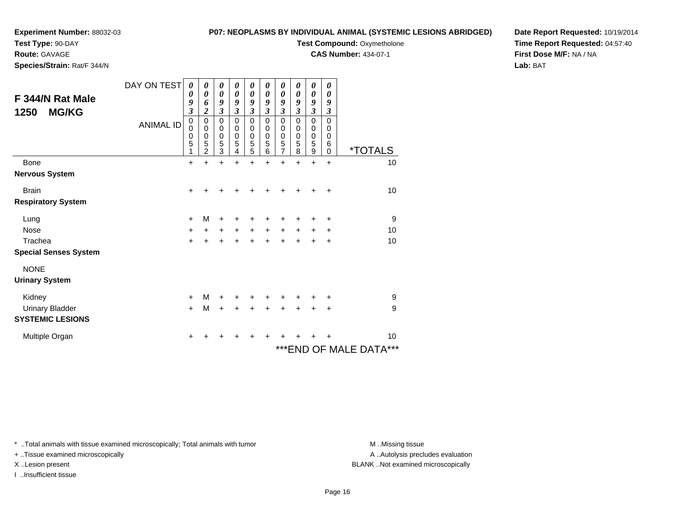**Test Type:** 90-DAY

**Route:** GAVAGE

**Species/Strain:** Rat/F 344/N

#### **P07: NEOPLASMS BY INDIVIDUAL ANIMAL (SYSTEMIC LESIONS ABRIDGED)**

**Test Compound: Oxymetholone** 

**CAS Number:** 434-07-1

**Date Report Requested:** 10/19/2014**Time Report Requested:** 04:57:40**First Dose M/F:** NA / NA**Lab:** BAT

| F 344/N Rat Male<br><b>MG/KG</b><br>1250 | DAY ON TEST<br><b>ANIMAL ID</b> | 0<br>0<br>9<br>$\overline{\mathbf{3}}$<br>0<br>0<br>0<br>5 | $\boldsymbol{\theta}$<br>0<br>6<br>$\overline{\mathbf{c}}$<br>0<br>0<br>0<br>5<br>$\overline{2}$ | 0<br>$\boldsymbol{\theta}$<br>9<br>$\mathfrak{z}$<br>0<br>0<br>0<br>5<br>3 | 0<br>0<br>9<br>$\overline{\mathbf{3}}$<br>0<br>$\mathbf 0$<br>$\mathbf 0$<br>5<br>4 | $\boldsymbol{\theta}$<br>$\boldsymbol{\theta}$<br>9<br>$\overline{\mathbf{3}}$<br>$\mathbf 0$<br>$\boldsymbol{0}$<br>$\pmb{0}$<br>5<br>5 | 0<br>0<br>9<br>$\mathfrak{z}$<br>0<br>0<br>$\mathbf 0$<br>5<br>6 | 0<br>$\boldsymbol{\theta}$<br>9<br>$\mathfrak{z}$<br>0<br>$\pmb{0}$<br>$\pmb{0}$<br>$\frac{5}{7}$ | 0<br>0<br>9<br>$\mathfrak{z}$<br>0<br>0<br>$\mathbf 0$<br>5<br>8 | 0<br>$\boldsymbol{\theta}$<br>9<br>$\overline{\mathbf{3}}$<br>$\mathbf 0$<br>$\pmb{0}$<br>$\begin{array}{c} 0 \\ 5 \\ 9 \end{array}$ | 0<br>0<br>9<br>$\mathfrak{z}$<br>$\mathbf 0$<br>0<br>0<br>6<br>0 | <i><b>*TOTALS</b></i>   |
|------------------------------------------|---------------------------------|------------------------------------------------------------|--------------------------------------------------------------------------------------------------|----------------------------------------------------------------------------|-------------------------------------------------------------------------------------|------------------------------------------------------------------------------------------------------------------------------------------|------------------------------------------------------------------|---------------------------------------------------------------------------------------------------|------------------------------------------------------------------|--------------------------------------------------------------------------------------------------------------------------------------|------------------------------------------------------------------|-------------------------|
| <b>Bone</b>                              |                                 | $\ddot{}$                                                  | $\ddot{}$                                                                                        | $\ddot{}$                                                                  | $\ddot{}$                                                                           | $\ddot{}$                                                                                                                                | $\ddot{}$                                                        | $\ddot{}$                                                                                         | $\ddot{}$                                                        | $\ddot{}$                                                                                                                            | $\ddot{}$                                                        | 10                      |
| <b>Nervous System</b>                    |                                 |                                                            |                                                                                                  |                                                                            |                                                                                     |                                                                                                                                          |                                                                  |                                                                                                   |                                                                  |                                                                                                                                      |                                                                  |                         |
| <b>Brain</b>                             |                                 | $\ddot{}$                                                  | +                                                                                                | +                                                                          |                                                                                     |                                                                                                                                          |                                                                  |                                                                                                   |                                                                  |                                                                                                                                      | ٠                                                                | 10                      |
| <b>Respiratory System</b>                |                                 |                                                            |                                                                                                  |                                                                            |                                                                                     |                                                                                                                                          |                                                                  |                                                                                                   |                                                                  |                                                                                                                                      |                                                                  |                         |
| Lung                                     |                                 | $\ddot{}$                                                  | M                                                                                                | +                                                                          |                                                                                     | +                                                                                                                                        |                                                                  |                                                                                                   |                                                                  | +                                                                                                                                    | ٠                                                                | $\boldsymbol{9}$        |
| <b>Nose</b>                              |                                 | +                                                          | $\ddot{}$                                                                                        | $\ddot{}$                                                                  | $\ddot{}$                                                                           | $\ddot{}$                                                                                                                                | $\ddot{}$                                                        | $\ddot{}$                                                                                         | $\ddot{}$                                                        | $\ddot{}$                                                                                                                            | +                                                                | 10                      |
| Trachea                                  |                                 | $\ddot{}$                                                  |                                                                                                  | $\ddot{}$                                                                  |                                                                                     | $\ddot{}$                                                                                                                                |                                                                  |                                                                                                   |                                                                  |                                                                                                                                      | +                                                                | 10                      |
| <b>Special Senses System</b>             |                                 |                                                            |                                                                                                  |                                                                            |                                                                                     |                                                                                                                                          |                                                                  |                                                                                                   |                                                                  |                                                                                                                                      |                                                                  |                         |
| <b>NONE</b>                              |                                 |                                                            |                                                                                                  |                                                                            |                                                                                     |                                                                                                                                          |                                                                  |                                                                                                   |                                                                  |                                                                                                                                      |                                                                  |                         |
| <b>Urinary System</b>                    |                                 |                                                            |                                                                                                  |                                                                            |                                                                                     |                                                                                                                                          |                                                                  |                                                                                                   |                                                                  |                                                                                                                                      |                                                                  |                         |
| Kidney                                   |                                 | $\ddot{}$                                                  | м                                                                                                | $\ddot{}$                                                                  | +                                                                                   | $\ddot{}$                                                                                                                                | +                                                                | +                                                                                                 |                                                                  | ٠                                                                                                                                    | ٠                                                                | 9                       |
| <b>Urinary Bladder</b>                   |                                 | $+$                                                        | M                                                                                                | $\ddot{}$                                                                  | $\ddot{}$                                                                           | $\ddot{}$                                                                                                                                | $\ddot{}$                                                        | $\ddot{}$                                                                                         | $\ddot{}$                                                        | $+$                                                                                                                                  | $\ddot{}$                                                        | 9                       |
| <b>SYSTEMIC LESIONS</b>                  |                                 |                                                            |                                                                                                  |                                                                            |                                                                                     |                                                                                                                                          |                                                                  |                                                                                                   |                                                                  |                                                                                                                                      |                                                                  |                         |
| Multiple Organ                           |                                 | +                                                          |                                                                                                  |                                                                            |                                                                                     |                                                                                                                                          |                                                                  |                                                                                                   |                                                                  |                                                                                                                                      |                                                                  | 10                      |
|                                          |                                 |                                                            |                                                                                                  |                                                                            |                                                                                     |                                                                                                                                          |                                                                  |                                                                                                   |                                                                  |                                                                                                                                      |                                                                  | *** END OF MALE DATA*** |

\* ..Total animals with tissue examined microscopically; Total animals with tumor **M** . Missing tissue M ..Missing tissue

+ ..Tissue examined microscopically

I ..Insufficient tissue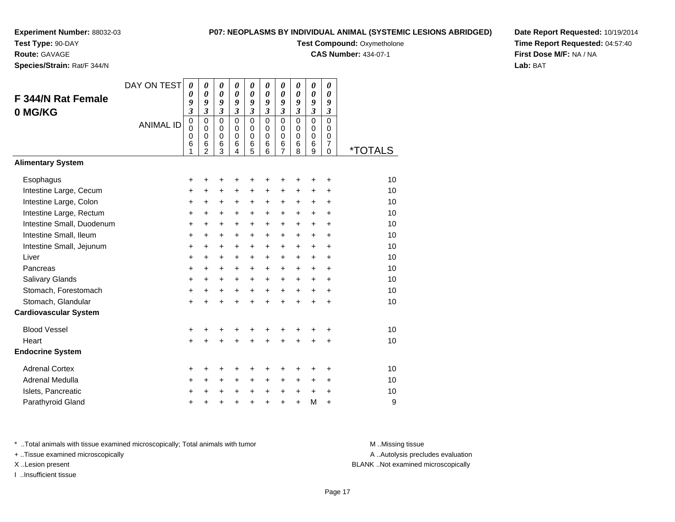**Test Type:** 90-DAY

**Route:** GAVAGE

**Species/Strain:** Rat/F 344/N

#### **P07: NEOPLASMS BY INDIVIDUAL ANIMAL (SYSTEMIC LESIONS ABRIDGED)**

**Test Compound: Oxymetholone** 

**CAS Number:** 434-07-1

**Date Report Requested:** 10/19/2014**Time Report Requested:** 04:57:40**First Dose M/F:** NA / NA**Lab:** BAT

| F 344/N Rat Female<br>0 MG/KG<br><b>Alimentary System</b> | DAY ON TEST<br><b>ANIMAL ID</b> | $\boldsymbol{\theta}$<br>0<br>9<br>3<br>$\pmb{0}$<br>$\mathbf 0$<br>0<br>6<br>1 | $\pmb{\theta}$<br>$\boldsymbol{\theta}$<br>9<br>$\overline{\mathbf{3}}$<br>$\mathbf 0$<br>$\mathbf 0$<br>$\mathbf 0$<br>6<br>$\overline{2}$ | $\boldsymbol{\theta}$<br>$\boldsymbol{\theta}$<br>9<br>$\mathfrak{z}$<br>$\Omega$<br>$\mathbf 0$<br>$\mathbf 0$<br>$6\phantom{1}6$<br>3 | 0<br>$\boldsymbol{\theta}$<br>9<br>$\mathfrak{z}$<br>$\Omega$<br>$\mathbf 0$<br>$\mathbf 0$<br>$6\phantom{1}6$<br>4 | $\pmb{\theta}$<br>$\boldsymbol{\theta}$<br>9<br>$\mathfrak{z}$<br>$\mathbf 0$<br>$\mathbf 0$<br>$\pmb{0}$<br>$6\phantom{1}6$<br>5 | 0<br>$\boldsymbol{\theta}$<br>9<br>$\mathfrak{z}$<br>$\Omega$<br>$\Omega$<br>$\Omega$<br>6<br>6 | 0<br>$\boldsymbol{\theta}$<br>9<br>$\mathfrak{z}$<br>$\mathbf 0$<br>0<br>$\mathbf 0$<br>$6\phantom{1}6$<br>$\overline{7}$ | $\boldsymbol{\theta}$<br>$\boldsymbol{\theta}$<br>9<br>$\overline{\mathbf{3}}$<br>$\Omega$<br>0<br>0<br>$\,6$<br>8 | 0<br>$\boldsymbol{\theta}$<br>9<br>$\overline{\mathbf{3}}$<br>$\mathbf 0$<br>$\pmb{0}$<br>$\mathbf 0$<br>6<br>9 | 0<br>0<br>9<br>$\mathfrak{z}$<br>$\Omega$<br>0<br>0<br>$\overline{7}$<br>$\mathbf 0$ | <i><b>*TOTALS</b></i> |
|-----------------------------------------------------------|---------------------------------|---------------------------------------------------------------------------------|---------------------------------------------------------------------------------------------------------------------------------------------|-----------------------------------------------------------------------------------------------------------------------------------------|---------------------------------------------------------------------------------------------------------------------|-----------------------------------------------------------------------------------------------------------------------------------|-------------------------------------------------------------------------------------------------|---------------------------------------------------------------------------------------------------------------------------|--------------------------------------------------------------------------------------------------------------------|-----------------------------------------------------------------------------------------------------------------|--------------------------------------------------------------------------------------|-----------------------|
|                                                           |                                 |                                                                                 |                                                                                                                                             |                                                                                                                                         |                                                                                                                     |                                                                                                                                   |                                                                                                 |                                                                                                                           |                                                                                                                    |                                                                                                                 |                                                                                      |                       |
| Esophagus                                                 |                                 | +                                                                               | +                                                                                                                                           | +                                                                                                                                       | +                                                                                                                   | +                                                                                                                                 | +                                                                                               | +                                                                                                                         | +                                                                                                                  | +                                                                                                               | +                                                                                    | 10                    |
| Intestine Large, Cecum                                    |                                 | +                                                                               | $\ddot{}$                                                                                                                                   | $\ddot{}$                                                                                                                               | $\ddot{}$                                                                                                           | $\ddot{}$                                                                                                                         | $\ddot{}$                                                                                       | $\ddot{}$                                                                                                                 | $\ddot{}$                                                                                                          | $\ddot{}$                                                                                                       | $\ddot{}$                                                                            | 10                    |
| Intestine Large, Colon                                    |                                 | +                                                                               | +                                                                                                                                           | $\ddot{}$                                                                                                                               | +                                                                                                                   | +                                                                                                                                 | +                                                                                               | +                                                                                                                         | $\ddot{}$                                                                                                          | $\pm$                                                                                                           | $\ddot{}$                                                                            | 10                    |
| Intestine Large, Rectum                                   |                                 | +                                                                               | $\ddot{}$                                                                                                                                   | $\ddot{}$                                                                                                                               | $\ddot{}$                                                                                                           | $\ddot{}$                                                                                                                         | $\ddot{}$                                                                                       | $\ddot{}$                                                                                                                 | $\ddot{}$                                                                                                          | $\ddot{}$                                                                                                       | $\ddot{}$                                                                            | 10                    |
| Intestine Small, Duodenum                                 |                                 | +                                                                               | $\ddot{}$                                                                                                                                   | $\ddot{}$                                                                                                                               | $\ddot{}$                                                                                                           | $\ddot{}$                                                                                                                         | $\ddot{}$                                                                                       | $\ddot{}$                                                                                                                 | $\ddot{}$                                                                                                          | $+$                                                                                                             | $\ddot{}$                                                                            | 10                    |
| Intestine Small, Ileum                                    |                                 | $\ddot{}$                                                                       | $\ddot{}$                                                                                                                                   | $\ddot{}$                                                                                                                               | $+$                                                                                                                 | $+$                                                                                                                               | $\ddot{}$                                                                                       | $\ddot{}$                                                                                                                 | $\ddot{}$                                                                                                          | $+$                                                                                                             | $\ddot{}$                                                                            | 10                    |
| Intestine Small, Jejunum                                  |                                 | +                                                                               | $\ddot{}$                                                                                                                                   | $\ddot{}$                                                                                                                               | $\ddot{}$                                                                                                           | $\ddot{}$                                                                                                                         | $\ddot{}$                                                                                       | $\ddot{}$                                                                                                                 | $\ddot{}$                                                                                                          | $+$                                                                                                             | $\ddot{}$                                                                            | 10                    |
| Liver                                                     |                                 | $\ddot{}$                                                                       | +                                                                                                                                           | $\ddot{}$                                                                                                                               | $\ddot{}$                                                                                                           | $\ddot{}$                                                                                                                         | $\ddot{}$                                                                                       | $\ddot{}$                                                                                                                 | $\ddot{}$                                                                                                          | $\ddot{}$                                                                                                       | $\ddot{}$                                                                            | 10                    |
| Pancreas                                                  |                                 | +                                                                               | +                                                                                                                                           | $\ddot{}$                                                                                                                               | $\ddot{}$                                                                                                           | $\ddot{}$                                                                                                                         | $\ddot{}$                                                                                       | $\ddot{}$                                                                                                                 | $\ddot{}$                                                                                                          | $\pm$                                                                                                           | +                                                                                    | 10                    |
| Salivary Glands                                           |                                 | $\ddot{}$                                                                       | $\ddot{}$                                                                                                                                   | $\ddot{}$                                                                                                                               | $\ddot{}$                                                                                                           | $\ddot{}$                                                                                                                         | $\ddot{}$                                                                                       | $\ddot{}$                                                                                                                 | $\ddot{}$                                                                                                          | $\ddot{}$                                                                                                       | $\ddot{}$                                                                            | 10                    |
| Stomach, Forestomach                                      |                                 | +                                                                               | +                                                                                                                                           | $\ddot{}$                                                                                                                               | $+$                                                                                                                 | $\ddot{}$                                                                                                                         | $+$                                                                                             | $\ddot{}$                                                                                                                 | $+$                                                                                                                | $\ddot{}$                                                                                                       | $\ddot{}$                                                                            | 10                    |
| Stomach, Glandular                                        |                                 | $\ddot{}$                                                                       | $\ddot{}$                                                                                                                                   | $\ddot{}$                                                                                                                               |                                                                                                                     | $\ddot{}$                                                                                                                         | $\ddot{}$                                                                                       | $\ddot{}$                                                                                                                 | $\ddot{}$                                                                                                          | $\ddot{}$                                                                                                       | $\ddot{}$                                                                            | 10                    |
| <b>Cardiovascular System</b>                              |                                 |                                                                                 |                                                                                                                                             |                                                                                                                                         |                                                                                                                     |                                                                                                                                   |                                                                                                 |                                                                                                                           |                                                                                                                    |                                                                                                                 |                                                                                      |                       |
| <b>Blood Vessel</b>                                       |                                 | +                                                                               | +                                                                                                                                           | +                                                                                                                                       |                                                                                                                     | +                                                                                                                                 | +                                                                                               | +                                                                                                                         |                                                                                                                    | +                                                                                                               | +                                                                                    | 10                    |
| Heart                                                     |                                 | $\ddot{}$                                                                       | +                                                                                                                                           | $\ddot{}$                                                                                                                               | $\ddot{}$                                                                                                           | $\ddot{}$                                                                                                                         | $\ddot{}$                                                                                       | $\ddot{}$                                                                                                                 | $\ddot{}$                                                                                                          | +                                                                                                               | +                                                                                    | 10                    |
| <b>Endocrine System</b>                                   |                                 |                                                                                 |                                                                                                                                             |                                                                                                                                         |                                                                                                                     |                                                                                                                                   |                                                                                                 |                                                                                                                           |                                                                                                                    |                                                                                                                 |                                                                                      |                       |
| <b>Adrenal Cortex</b>                                     |                                 | +                                                                               | ٠                                                                                                                                           | +                                                                                                                                       |                                                                                                                     | ٠                                                                                                                                 | ٠                                                                                               | ٠                                                                                                                         | +                                                                                                                  | +                                                                                                               | +                                                                                    | 10                    |
| Adrenal Medulla                                           |                                 | +                                                                               | +                                                                                                                                           | $\ddot{}$                                                                                                                               | $\ddot{}$                                                                                                           | $\ddot{}$                                                                                                                         | $\ddot{}$                                                                                       | +                                                                                                                         | $\ddot{}$                                                                                                          | $\ddot{}$                                                                                                       | $\ddot{}$                                                                            | 10                    |
| Islets, Pancreatic                                        |                                 | +                                                                               | +                                                                                                                                           | $\ddot{}$                                                                                                                               | $\ddot{}$                                                                                                           | $\ddot{}$                                                                                                                         | $\ddot{}$                                                                                       | $\ddot{}$                                                                                                                 | $\ddot{}$                                                                                                          | $\ddot{}$                                                                                                       | $\ddot{}$                                                                            | 10                    |
| Parathyroid Gland                                         |                                 | ÷                                                                               |                                                                                                                                             |                                                                                                                                         |                                                                                                                     | ÷                                                                                                                                 | $\ddot{}$                                                                                       | $\ddot{}$                                                                                                                 | $\ddot{}$                                                                                                          | M                                                                                                               | $\ddot{}$                                                                            | 9                     |

\* ..Total animals with tissue examined microscopically; Total animals with tumor **M** . Missing tissue M ..Missing tissue

+ ..Tissue examined microscopically

I ..Insufficient tissue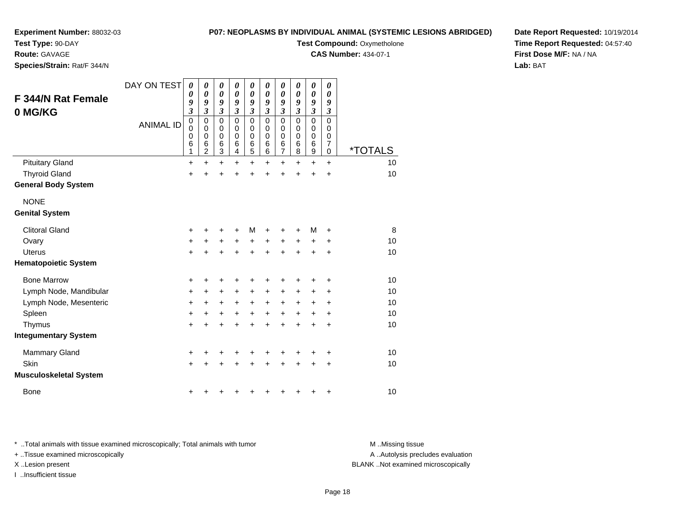**Test Type:** 90-DAY

#### **Route:** GAVAGE

**Species/Strain:** Rat/F 344/N

#### **P07: NEOPLASMS BY INDIVIDUAL ANIMAL (SYSTEMIC LESIONS ABRIDGED)**

### **Test Compound: Oxymetholone**

**CAS Number:** 434-07-1

**Date Report Requested:** 10/19/2014**Time Report Requested:** 04:57:40**First Dose M/F:** NA / NA**Lab:** BAT

| <b>F 344/N Rat Female</b><br>0 MG/KG | DAY ON TEST<br><b>ANIMAL ID</b> | 0<br>0<br>9<br>$\boldsymbol{\mathfrak{z}}$<br>$\mathbf 0$<br>0<br>0<br>6<br>1 | 0<br>0<br>9<br>$\boldsymbol{\mathfrak{z}}$<br>$\mathbf 0$<br>0<br>$\mathbf 0$<br>6<br>$\overline{2}$ | 0<br>0<br>9<br>$\mathfrak{z}$<br>$\mathbf 0$<br>0<br>$\mathbf 0$<br>6<br>3 | 0<br>$\theta$<br>9<br>3<br>$\mathbf 0$<br>$\Omega$<br>$\mathbf 0$<br>6<br>4 | 0<br>$\boldsymbol{\theta}$<br>9<br>$\mathfrak{z}$<br>$\mathbf 0$<br>0<br>$\mathbf 0$<br>$\,6$<br>5 | 0<br>0<br>9<br>3<br>$\mathbf 0$<br>0<br>$\mathbf 0$<br>6<br>6 | 0<br>0<br>9<br>3<br>$\mathbf 0$<br>0<br>0<br>6<br>7 | 0<br>0<br>9<br>$\boldsymbol{\mathfrak{z}}$<br>$\mathbf 0$<br>$\Omega$<br>$\mathbf 0$<br>6<br>8 | 0<br>$\boldsymbol{\theta}$<br>9<br>$\mathfrak{z}$<br>$\mathbf 0$<br>0<br>$\mathbf 0$<br>6<br>$\boldsymbol{9}$ | 0<br>$\boldsymbol{\theta}$<br>9<br>$\boldsymbol{\beta}$<br>$\mathbf 0$<br>0<br>$\pmb{0}$<br>$\overline{7}$<br>$\pmb{0}$ | <i><b>*TOTALS</b></i> |
|--------------------------------------|---------------------------------|-------------------------------------------------------------------------------|------------------------------------------------------------------------------------------------------|----------------------------------------------------------------------------|-----------------------------------------------------------------------------|----------------------------------------------------------------------------------------------------|---------------------------------------------------------------|-----------------------------------------------------|------------------------------------------------------------------------------------------------|---------------------------------------------------------------------------------------------------------------|-------------------------------------------------------------------------------------------------------------------------|-----------------------|
| <b>Pituitary Gland</b>               |                                 | +                                                                             | $\ddot{}$                                                                                            | $\ddot{}$                                                                  | $\ddot{}$                                                                   | $\ddot{}$                                                                                          | +                                                             | +                                                   | +                                                                                              | $\ddot{}$                                                                                                     | $\ddot{}$                                                                                                               | 10                    |
| <b>Thyroid Gland</b>                 |                                 | $\ddot{}$                                                                     | +                                                                                                    | $\ddot{}$                                                                  | +                                                                           | +                                                                                                  | ÷                                                             | ÷                                                   | +                                                                                              | +                                                                                                             | $\ddot{}$                                                                                                               | 10                    |
| <b>General Body System</b>           |                                 |                                                                               |                                                                                                      |                                                                            |                                                                             |                                                                                                    |                                                               |                                                     |                                                                                                |                                                                                                               |                                                                                                                         |                       |
| <b>NONE</b>                          |                                 |                                                                               |                                                                                                      |                                                                            |                                                                             |                                                                                                    |                                                               |                                                     |                                                                                                |                                                                                                               |                                                                                                                         |                       |
| <b>Genital System</b>                |                                 |                                                                               |                                                                                                      |                                                                            |                                                                             |                                                                                                    |                                                               |                                                     |                                                                                                |                                                                                                               |                                                                                                                         |                       |
| <b>Clitoral Gland</b>                |                                 | +                                                                             |                                                                                                      | +                                                                          | +                                                                           | м                                                                                                  |                                                               | ٠                                                   | $\ddot{}$                                                                                      | М                                                                                                             | ÷                                                                                                                       | 8                     |
| Ovary                                |                                 | +                                                                             | $\pm$                                                                                                | +                                                                          | +                                                                           | $\ddot{}$                                                                                          | $\ddot{}$                                                     | +                                                   | $\ddot{}$                                                                                      | +                                                                                                             | +                                                                                                                       | 10                    |
| <b>Uterus</b>                        |                                 | $\ddot{}$                                                                     |                                                                                                      | $\ddot{}$                                                                  | +                                                                           | $\ddot{}$                                                                                          | ÷                                                             | +                                                   | $\ddot{}$                                                                                      | +                                                                                                             | $\ddot{}$                                                                                                               | 10                    |
| <b>Hematopoietic System</b>          |                                 |                                                                               |                                                                                                      |                                                                            |                                                                             |                                                                                                    |                                                               |                                                     |                                                                                                |                                                                                                               |                                                                                                                         |                       |
| <b>Bone Marrow</b>                   |                                 | +                                                                             | +                                                                                                    | +                                                                          | +                                                                           | +                                                                                                  | +                                                             | +                                                   | +                                                                                              |                                                                                                               | +                                                                                                                       | 10                    |
| Lymph Node, Mandibular               |                                 | $\ddot{}$                                                                     | +                                                                                                    | +                                                                          | $\pm$                                                                       | $\pm$                                                                                              | $\ddot{}$                                                     | $\pm$                                               | $\ddot{}$                                                                                      | +                                                                                                             | $\ddot{}$                                                                                                               | 10                    |
| Lymph Node, Mesenteric               |                                 | $\ddot{}$                                                                     | +                                                                                                    | +                                                                          | $\ddot{}$                                                                   | $\ddot{}$                                                                                          | $\ddot{}$                                                     | $\ddot{}$                                           | $\ddot{}$                                                                                      | $\ddot{}$                                                                                                     | $\ddot{}$                                                                                                               | 10                    |
| Spleen                               |                                 | $\ddot{}$                                                                     | $\ddot{}$                                                                                            | +                                                                          | $\ddot{}$                                                                   | $\ddot{}$                                                                                          | $\ddot{}$                                                     | +                                                   | $\ddot{}$                                                                                      | $\ddot{}$                                                                                                     | +                                                                                                                       | 10                    |
| Thymus                               |                                 | $\ddot{}$                                                                     | +                                                                                                    | $\ddot{}$                                                                  | +                                                                           | $\ddot{}$                                                                                          | ÷                                                             | +                                                   | ÷                                                                                              | +                                                                                                             | +                                                                                                                       | 10                    |
| <b>Integumentary System</b>          |                                 |                                                                               |                                                                                                      |                                                                            |                                                                             |                                                                                                    |                                                               |                                                     |                                                                                                |                                                                                                               |                                                                                                                         |                       |
| <b>Mammary Gland</b>                 |                                 | +                                                                             | +                                                                                                    | +                                                                          |                                                                             | +                                                                                                  |                                                               |                                                     |                                                                                                |                                                                                                               | +                                                                                                                       | 10                    |
| Skin                                 |                                 | $\ddot{}$                                                                     |                                                                                                      | $\ddot{}$                                                                  | $\ddot{}$                                                                   | +                                                                                                  |                                                               | +                                                   | +                                                                                              | +                                                                                                             | +                                                                                                                       | 10                    |
| <b>Musculoskeletal System</b>        |                                 |                                                                               |                                                                                                      |                                                                            |                                                                             |                                                                                                    |                                                               |                                                     |                                                                                                |                                                                                                               |                                                                                                                         |                       |
| <b>Bone</b>                          |                                 | +                                                                             |                                                                                                      | ٠                                                                          |                                                                             |                                                                                                    |                                                               | ٠                                                   | ٠                                                                                              |                                                                                                               | +                                                                                                                       | 10                    |

\* ..Total animals with tissue examined microscopically; Total animals with tumor **M** . Missing tissue M ..Missing tissue

+ ..Tissue examined microscopically

I ..Insufficient tissue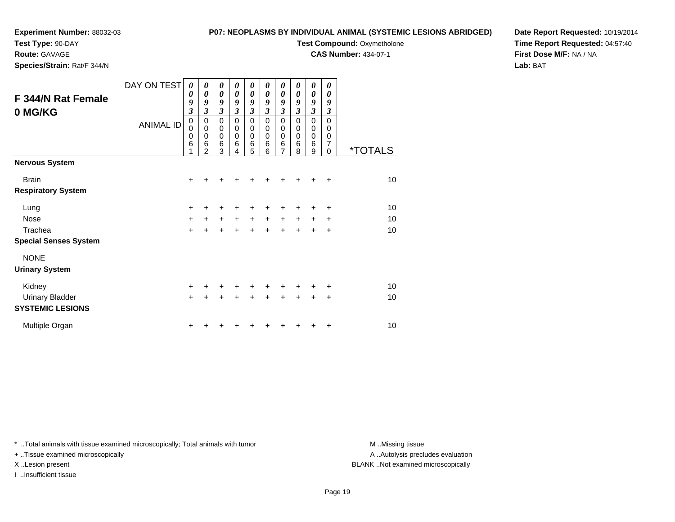# **Test Type:** 90-DAY

**Route:** GAVAGE

**Species/Strain:** Rat/F 344/N

#### **P07: NEOPLASMS BY INDIVIDUAL ANIMAL (SYSTEMIC LESIONS ABRIDGED)**

**Test Compound: Oxymetholone** 

**CAS Number:** 434-07-1

**Date Report Requested:** 10/19/2014**Time Report Requested:** 04:57:40**First Dose M/F:** NA / NA**Lab:** BAT

| F 344/N Rat Female<br>0 MG/KG | DAY ON TEST<br><b>ANIMAL ID</b> | 0<br>0<br>9<br>$\overline{\mathbf{3}}$<br>$\mathbf 0$<br>$\mathbf 0$<br>0<br>6 | 0<br>0<br>9<br>3<br>0<br>$\mathbf 0$<br>0<br>6 | 0<br>$\boldsymbol{\theta}$<br>9<br>$\mathfrak{z}$<br>$\pmb{0}$<br>$\mathbf 0$<br>$\mathbf 0$<br>6 | 0<br>0<br>9<br>3<br>$\mathbf 0$<br>0<br>$\mathbf 0$<br>6 | 0<br>0<br>9<br>$\boldsymbol{\beta}$<br>$\mathbf 0$<br>$\mathbf 0$<br>$\mathbf 0$<br>$\,6$ | 0<br>0<br>9<br>$\mathfrak{z}$<br>$\mathbf 0$<br>0<br>$\mathbf 0$<br>6 | 0<br>0<br>9<br>$\mathfrak{z}$<br>$\mathbf 0$<br>0<br>0<br>$\,6$ | 0<br>0<br>9<br>$\mathfrak{z}$<br>$\mathbf 0$<br>0<br>0<br>6 | 0<br>0<br>9<br>$\mathfrak{z}$<br>$\mathbf 0$<br>0<br>0<br>6 | 0<br>0<br>9<br>3<br>$\overline{0}$<br>0<br>0<br>7 |                       |
|-------------------------------|---------------------------------|--------------------------------------------------------------------------------|------------------------------------------------|---------------------------------------------------------------------------------------------------|----------------------------------------------------------|-------------------------------------------------------------------------------------------|-----------------------------------------------------------------------|-----------------------------------------------------------------|-------------------------------------------------------------|-------------------------------------------------------------|---------------------------------------------------|-----------------------|
|                               |                                 |                                                                                | $\overline{2}$                                 | 3                                                                                                 | 4                                                        | 5                                                                                         | 6                                                                     | $\overline{7}$                                                  | 8                                                           | 9                                                           | $\Omega$                                          | <i><b>*TOTALS</b></i> |
| <b>Nervous System</b>         |                                 |                                                                                |                                                |                                                                                                   |                                                          |                                                                                           |                                                                       |                                                                 |                                                             |                                                             |                                                   |                       |
| <b>Brain</b>                  |                                 | +                                                                              | ٠                                              | +                                                                                                 |                                                          |                                                                                           |                                                                       | +                                                               | ÷                                                           | ٠                                                           | $\ddot{}$                                         | 10 <sup>1</sup>       |
| <b>Respiratory System</b>     |                                 |                                                                                |                                                |                                                                                                   |                                                          |                                                                                           |                                                                       |                                                                 |                                                             |                                                             |                                                   |                       |
| Lung                          |                                 | +                                                                              | +                                              | +                                                                                                 | +                                                        | +                                                                                         | +                                                                     | ٠                                                               | ٠                                                           | ٠                                                           | +                                                 | 10                    |
| Nose                          |                                 | $\ddot{}$                                                                      | $\ddot{}$                                      | $\ddot{}$                                                                                         | $+$                                                      | $\ddot{}$                                                                                 | $\ddot{}$                                                             | $\ddot{}$                                                       | $\ddot{}$                                                   | $\ddot{}$                                                   | ÷                                                 | 10                    |
| Trachea                       |                                 | $\ddot{}$                                                                      | $\ddot{}$                                      | $\ddot{}$                                                                                         | $\ddot{}$                                                | $+$                                                                                       | $\ddot{}$                                                             | $\ddot{}$                                                       | $\ddot{}$                                                   | $\ddot{}$                                                   | $\ddot{}$                                         | 10                    |
| <b>Special Senses System</b>  |                                 |                                                                                |                                                |                                                                                                   |                                                          |                                                                                           |                                                                       |                                                                 |                                                             |                                                             |                                                   |                       |
| <b>NONE</b>                   |                                 |                                                                                |                                                |                                                                                                   |                                                          |                                                                                           |                                                                       |                                                                 |                                                             |                                                             |                                                   |                       |
| <b>Urinary System</b>         |                                 |                                                                                |                                                |                                                                                                   |                                                          |                                                                                           |                                                                       |                                                                 |                                                             |                                                             |                                                   |                       |
| Kidney                        |                                 | $\ddot{}$                                                                      | +                                              | $\ddot{}$                                                                                         | $\ddot{}$                                                | $\ddot{}$                                                                                 | $\pm$                                                                 | $\pm$                                                           | ÷                                                           | ٠                                                           | ÷                                                 | 10                    |
| <b>Urinary Bladder</b>        |                                 | $\ddot{}$                                                                      | $\ddot{}$                                      | $\ddot{}$                                                                                         |                                                          | $\ddot{}$                                                                                 | ÷                                                                     | $\ddot{}$                                                       | $\ddot{}$                                                   | $\ddot{}$                                                   | $\ddot{}$                                         | 10                    |
| <b>SYSTEMIC LESIONS</b>       |                                 |                                                                                |                                                |                                                                                                   |                                                          |                                                                                           |                                                                       |                                                                 |                                                             |                                                             |                                                   |                       |
| Multiple Organ                |                                 | +                                                                              |                                                |                                                                                                   |                                                          |                                                                                           |                                                                       |                                                                 |                                                             | +                                                           | +                                                 | 10                    |

\* ..Total animals with tissue examined microscopically; Total animals with tumor **M** . Missing tissue M ..Missing tissue

+ ..Tissue examined microscopically

I ..Insufficient tissue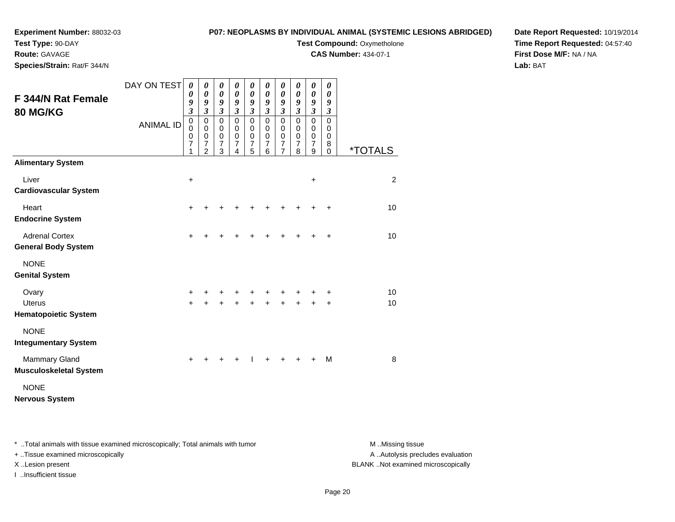### **Experiment Number:** 88032-03**Test Type:** 90-DAY

### **P07: NEOPLASMS BY INDIVIDUAL ANIMAL (SYSTEMIC LESIONS ABRIDGED)Test Compound: Oxymetholone**

**CAS Number:** 434-07-1

**Route:** GAVAGE

**Species/Strain:** Rat/F 344/N

### **Date Report Requested:** 10/19/2014**Time Report Requested:** 04:57:40**First Dose M/F:** NA / NA**Lab:** BAT

|                                                       | DAY ON TEST      | $\boldsymbol{\theta}$<br>$\boldsymbol{\theta}$             | 0<br>0                                                     | $\pmb{\theta}$<br>$\boldsymbol{\theta}$       | $\pmb{\theta}$<br>$\pmb{\theta}$ | 0<br>$\pmb{\theta}$          | 0<br>0                                            | $\boldsymbol{\theta}$<br>$\boldsymbol{\theta}$ | $\boldsymbol{\theta}$<br>$\boldsymbol{\theta}$ | 0<br>$\boldsymbol{\theta}$                         | 0<br>0                                    |                       |
|-------------------------------------------------------|------------------|------------------------------------------------------------|------------------------------------------------------------|-----------------------------------------------|----------------------------------|------------------------------|---------------------------------------------------|------------------------------------------------|------------------------------------------------|----------------------------------------------------|-------------------------------------------|-----------------------|
| <b>F 344/N Rat Female</b><br><b>80 MG/KG</b>          |                  | 9<br>$\mathfrak{z}$                                        | 9<br>$\overline{\mathbf{3}}$                               | 9<br>$\mathfrak{z}$                           | 9<br>$\overline{\mathbf{3}}$     | 9<br>$\overline{\mathbf{3}}$ | 9<br>$\mathfrak{z}$                               | 9<br>$\mathfrak{z}$                            | 9<br>$\mathfrak{z}$                            | 9<br>$\mathfrak{z}$                                | 9<br>$\boldsymbol{\beta}$                 |                       |
|                                                       | <b>ANIMAL ID</b> | $\,0\,$<br>$\mathbf 0$<br>$\pmb{0}$<br>$\overline{7}$<br>1 | 0<br>$\mathsf 0$<br>$\boldsymbol{0}$<br>7<br>$\mathcal{P}$ | $\mathbf 0$<br>$\pmb{0}$<br>$\,0\,$<br>7<br>3 | 0<br>0<br>0<br>7<br>4            | 0<br>0<br>$\,0\,$<br>7<br>5  | $\mathbf 0$<br>$\mathbf 0$<br>$\pmb{0}$<br>7<br>6 | 0<br>$\pmb{0}$<br>$\pmb{0}$<br>$\frac{7}{7}$   | $\mathbf 0$<br>0<br>$\mathbf 0$<br>7<br>8      | $\pmb{0}$<br>0<br>$\pmb{0}$<br>$\overline{7}$<br>9 | $\mathbf 0$<br>0<br>0<br>8<br>$\mathbf 0$ | <i><b>*TOTALS</b></i> |
| <b>Alimentary System</b>                              |                  |                                                            |                                                            |                                               |                                  |                              |                                                   |                                                |                                                |                                                    |                                           |                       |
| Liver<br><b>Cardiovascular System</b>                 |                  | $\ddot{}$                                                  |                                                            |                                               |                                  |                              |                                                   |                                                |                                                | $\ddot{}$                                          |                                           | $\overline{2}$        |
| Heart<br><b>Endocrine System</b>                      |                  | $\ddot{}$                                                  |                                                            |                                               |                                  |                              |                                                   |                                                |                                                |                                                    | ٠                                         | 10                    |
| <b>Adrenal Cortex</b><br><b>General Body System</b>   |                  | $\ddot{}$                                                  |                                                            |                                               |                                  |                              |                                                   |                                                |                                                |                                                    | ÷                                         | 10                    |
| <b>NONE</b><br><b>Genital System</b>                  |                  |                                                            |                                                            |                                               |                                  |                              |                                                   |                                                |                                                |                                                    |                                           |                       |
| Ovary<br><b>Uterus</b><br><b>Hematopoietic System</b> |                  | +<br>$+$                                                   |                                                            |                                               |                                  |                              |                                                   |                                                |                                                |                                                    | +<br>÷                                    | 10<br>10              |
| <b>NONE</b><br><b>Integumentary System</b>            |                  |                                                            |                                                            |                                               |                                  |                              |                                                   |                                                |                                                |                                                    |                                           |                       |
| <b>Mammary Gland</b><br><b>Musculoskeletal System</b> |                  | ÷                                                          |                                                            |                                               |                                  |                              |                                                   |                                                |                                                |                                                    | M                                         | 8                     |
| <b>NONE</b><br><b>Nervous System</b>                  |                  |                                                            |                                                            |                                               |                                  |                              |                                                   |                                                |                                                |                                                    |                                           |                       |

\* ..Total animals with tissue examined microscopically; Total animals with tumor **M** . Missing tissue M ..Missing tissue

+ ..Tissue examined microscopically

I ..Insufficient tissue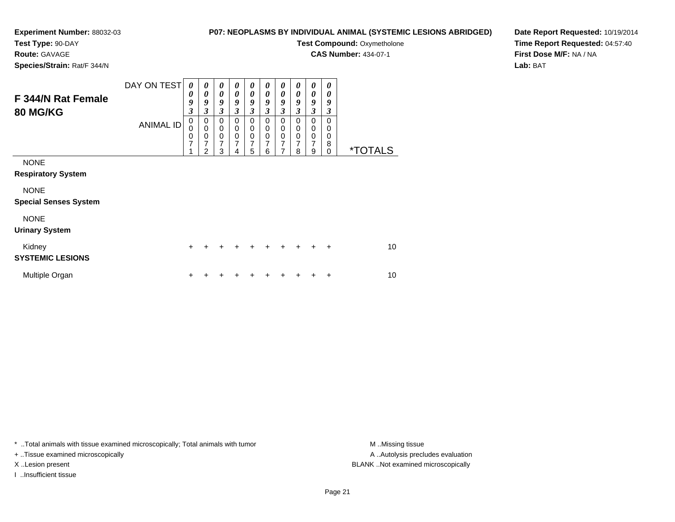### **Experiment Number:** 88032-03**Test Type:** 90-DAY

### **P07: NEOPLASMS BY INDIVIDUAL ANIMAL (SYSTEMIC LESIONS ABRIDGED)**

**Test Compound: Oxymetholone** 

**CAS Number:** 434-07-1

**Species/Strain:** Rat/F 344/N

**Route:** GAVAGE

### **Date Report Requested:** 10/19/2014**Time Report Requested:** 04:57:40**First Dose M/F:** NA / NA**Lab:** BAT

| F 344/N Rat Female<br><b>80 MG/KG</b>       | DAY ON TEST<br><b>ANIMAL ID</b> | 0<br>0<br>9<br>$\boldsymbol{\mathfrak{z}}$<br>$\Omega$<br>$\Omega$<br>0<br>$\overline{7}$ | 0<br>$\boldsymbol{\theta}$<br>9<br>$\overline{\mathbf{3}}$<br>$\mathbf 0$<br>$\pmb{0}$<br>$\pmb{0}$<br>7 | 0<br>$\boldsymbol{\theta}$<br>9<br>3<br>$\Omega$<br>$\Omega$<br>0<br>7 | 0<br>$\boldsymbol{\theta}$<br>$\boldsymbol{g}$<br>3<br>$\Omega$<br>$\mathbf 0$<br>0<br>$\overline{7}$ | 0<br>0<br>$\boldsymbol{g}$<br>3<br>$\Omega$<br>$\mathbf 0$<br>$\mathbf 0$<br>7 | 0<br>$\boldsymbol{\theta}$<br>9<br>3<br>$\Omega$<br>$\mathbf 0$<br>$\mathbf 0$<br>7 | 0<br>0<br>$\boldsymbol{g}$<br>$\mathfrak{z}$<br>$\Omega$<br>0<br>$\mathbf 0$<br>$\overline{7}$ | 0<br>0<br>9<br>3<br>$\Omega$<br>$\mathbf 0$<br>$\mathbf 0$<br>$\overline{7}$ | 0<br>$\boldsymbol{\theta}$<br>9<br>3<br>$\Omega$<br>$\mathbf 0$<br>$\mathbf 0$<br>$\overline{7}$ | 0<br>0<br>9<br>3<br>$\Omega$<br>0<br>0<br>8 |                       |
|---------------------------------------------|---------------------------------|-------------------------------------------------------------------------------------------|----------------------------------------------------------------------------------------------------------|------------------------------------------------------------------------|-------------------------------------------------------------------------------------------------------|--------------------------------------------------------------------------------|-------------------------------------------------------------------------------------|------------------------------------------------------------------------------------------------|------------------------------------------------------------------------------|--------------------------------------------------------------------------------------------------|---------------------------------------------|-----------------------|
| <b>NONE</b><br><b>Respiratory System</b>    |                                 |                                                                                           | $\mathcal{P}$                                                                                            | 3                                                                      | 4                                                                                                     | 5                                                                              | 6                                                                                   | 7                                                                                              | 8                                                                            | 9                                                                                                | 0                                           | <i><b>*TOTALS</b></i> |
| <b>NONE</b><br><b>Special Senses System</b> |                                 |                                                                                           |                                                                                                          |                                                                        |                                                                                                       |                                                                                |                                                                                     |                                                                                                |                                                                              |                                                                                                  |                                             |                       |
| <b>NONE</b><br><b>Urinary System</b>        |                                 |                                                                                           |                                                                                                          |                                                                        |                                                                                                       |                                                                                |                                                                                     |                                                                                                |                                                                              |                                                                                                  |                                             |                       |
| Kidney<br><b>SYSTEMIC LESIONS</b>           |                                 | $\div$                                                                                    |                                                                                                          |                                                                        |                                                                                                       |                                                                                | ÷                                                                                   | $\div$                                                                                         | $+$                                                                          | $\div$                                                                                           | $\div$                                      | 10                    |
| Multiple Organ                              |                                 | ┿                                                                                         |                                                                                                          |                                                                        |                                                                                                       |                                                                                |                                                                                     |                                                                                                |                                                                              |                                                                                                  | ÷                                           | 10                    |

\* ..Total animals with tissue examined microscopically; Total animals with tumor **M** . Missing tissue M ..Missing tissue

+ ..Tissue examined microscopically

I ..Insufficient tissue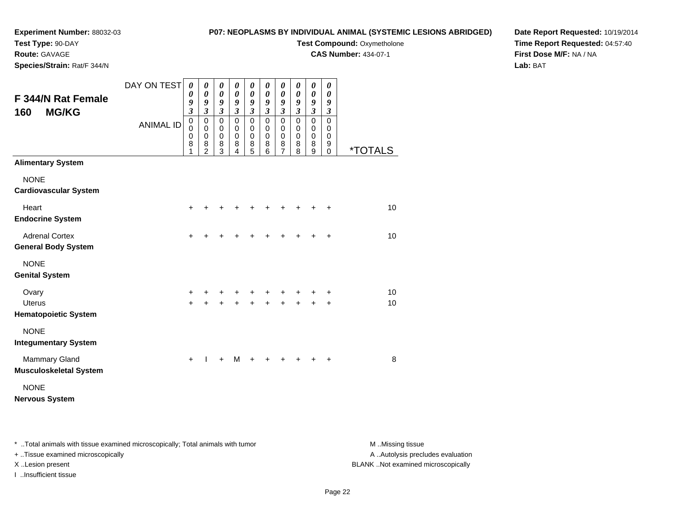# **Test Type:** 90-DAY

**Route:** GAVAGE

**Species/Strain:** Rat/F 344/N

### **P07: NEOPLASMS BY INDIVIDUAL ANIMAL (SYSTEMIC LESIONS ABRIDGED)**

**Test Compound: Oxymetholone** 

**CAS Number:** 434-07-1

**Date Report Requested:** 10/19/2014**Time Report Requested:** 04:57:40**First Dose M/F:** NA / NA**Lab:** BAT

| <b>F 344/N Rat Female</b><br><b>MG/KG</b><br>160      | DAY ON TEST      | $\boldsymbol{\theta}$<br>0<br>9<br>$\overline{\mathbf{3}}$ | 0<br>$\boldsymbol{\theta}$<br>9<br>$\mathfrak{z}$         | 0<br>0<br>9<br>$\boldsymbol{\mathfrak{z}}$   | 0<br>$\boldsymbol{\theta}$<br>9<br>$\mathfrak{z}$ | 0<br>0<br>9<br>$\mathfrak{z}$                               | 0<br>0<br>9<br>$\overline{\mathbf{3}}$ | 0<br>0<br>9<br>$\overline{\mathbf{3}}$            | 0<br>$\boldsymbol{\theta}$<br>9<br>$\boldsymbol{\mathfrak{z}}$ | 0<br>0<br>9<br>$\mathfrak{z}$                          | 0<br>0<br>9<br>$\boldsymbol{\beta}$       |                       |
|-------------------------------------------------------|------------------|------------------------------------------------------------|-----------------------------------------------------------|----------------------------------------------|---------------------------------------------------|-------------------------------------------------------------|----------------------------------------|---------------------------------------------------|----------------------------------------------------------------|--------------------------------------------------------|-------------------------------------------|-----------------------|
|                                                       | <b>ANIMAL ID</b> | $\mathbf 0$<br>$\mathbf 0$<br>0<br>8<br>1                  | $\pmb{0}$<br>$\Omega$<br>$\pmb{0}$<br>8<br>$\overline{2}$ | $\mathbf 0$<br>0<br>0<br>8<br>$\overline{3}$ | $\mathbf 0$<br>0<br>$\mathbf 0$<br>8<br>4         | $\mathbf 0$<br>0<br>$\boldsymbol{0}$<br>8<br>$\overline{5}$ | $\mathbf 0$<br>0<br>0<br>8<br>6        | 0<br>0<br>$\boldsymbol{0}$<br>8<br>$\overline{7}$ | $\mathbf 0$<br>$\Omega$<br>$\mathbf 0$<br>8<br>8               | $\mathbf 0$<br>0<br>$\mathbf 0$<br>8<br>$\overline{9}$ | $\mathbf 0$<br>0<br>0<br>9<br>$\mathbf 0$ | <i><b>*TOTALS</b></i> |
| <b>Alimentary System</b>                              |                  |                                                            |                                                           |                                              |                                                   |                                                             |                                        |                                                   |                                                                |                                                        |                                           |                       |
| <b>NONE</b><br><b>Cardiovascular System</b>           |                  |                                                            |                                                           |                                              |                                                   |                                                             |                                        |                                                   |                                                                |                                                        |                                           |                       |
| Heart<br><b>Endocrine System</b>                      |                  | +                                                          |                                                           |                                              |                                                   |                                                             |                                        |                                                   |                                                                |                                                        |                                           | 10                    |
| <b>Adrenal Cortex</b><br><b>General Body System</b>   |                  | $\ddot{}$                                                  | +                                                         |                                              |                                                   |                                                             |                                        |                                                   |                                                                |                                                        | $\ddot{}$                                 | 10                    |
| <b>NONE</b><br><b>Genital System</b>                  |                  |                                                            |                                                           |                                              |                                                   |                                                             |                                        |                                                   |                                                                |                                                        |                                           |                       |
| Ovary<br><b>Uterus</b>                                |                  | +<br>$\ddot{}$                                             | +                                                         | +<br>÷                                       |                                                   | +                                                           |                                        |                                                   | $\ddot{}$                                                      |                                                        | +<br>$\ddot{}$                            | 10<br>10              |
| <b>Hematopoietic System</b>                           |                  |                                                            |                                                           |                                              |                                                   |                                                             |                                        |                                                   |                                                                |                                                        |                                           |                       |
| <b>NONE</b><br><b>Integumentary System</b>            |                  |                                                            |                                                           |                                              |                                                   |                                                             |                                        |                                                   |                                                                |                                                        |                                           |                       |
| <b>Mammary Gland</b><br><b>Musculoskeletal System</b> |                  | $\ddot{}$                                                  |                                                           | +                                            | м                                                 |                                                             |                                        |                                                   |                                                                |                                                        |                                           | 8                     |
| <b>NONE</b><br><b>Nervous System</b>                  |                  |                                                            |                                                           |                                              |                                                   |                                                             |                                        |                                                   |                                                                |                                                        |                                           |                       |

\* ..Total animals with tissue examined microscopically; Total animals with tumor **M** . Missing tissue M ..Missing tissue

+ ..Tissue examined microscopically

I ..Insufficient tissue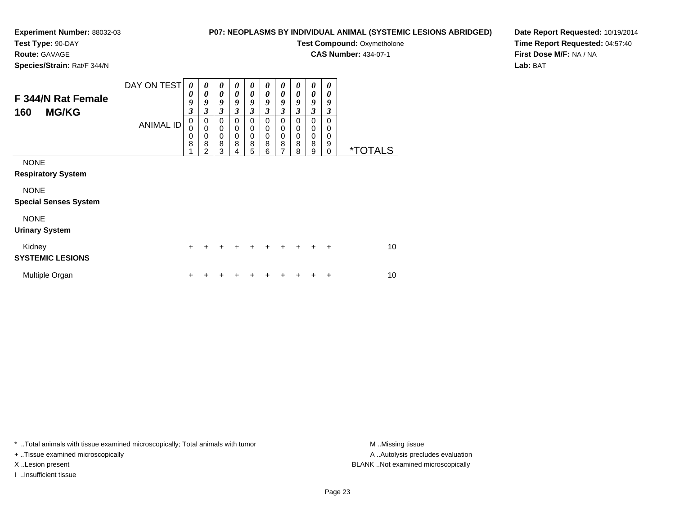# **Test Type:** 90-DAY

**Route:** GAVAGE

**Species/Strain:** Rat/F 344/N

#### **P07: NEOPLASMS BY INDIVIDUAL ANIMAL (SYSTEMIC LESIONS ABRIDGED)**

**Test Compound: Oxymetholone** 

**CAS Number:** 434-07-1

**Date Report Requested:** 10/19/2014**Time Report Requested:** 04:57:40**First Dose M/F:** NA / NA**Lab:** BAT

| F 344/N Rat Female<br>160<br><b>MG/KG</b>   | DAY ON TEST<br><b>ANIMAL ID</b> | $\theta$<br>0<br>9<br>$\overline{\mathbf{3}}$<br>$\mathbf 0$<br>$\Omega$<br>0<br>8 | 0<br>0<br>9<br>$\overline{\mathbf{3}}$<br>$\mathbf 0$<br>$\mathbf 0$<br>$\mathbf 0$<br>8<br>2 | $\boldsymbol{\theta}$<br>$\boldsymbol{\theta}$<br>9<br>$\overline{\mathbf{3}}$<br>$\mathbf 0$<br>$\mathbf 0$<br>$\mathbf 0$<br>8<br>3 | 0<br>0<br>9<br>$\overline{\mathbf{3}}$<br>$\mathbf 0$<br>$\mathbf 0$<br>$\mathbf 0$<br>8<br>4 | 0<br>$\boldsymbol{\theta}$<br>9<br>$\boldsymbol{\beta}$<br>$\mathbf 0$<br>$\mathbf 0$<br>$\mathbf 0$<br>8<br>5 | 0<br>0<br>9<br>3<br>$\pmb{0}$<br>$\mathbf 0$<br>$\pmb{0}$<br>8<br>6 | 0<br>0<br>9<br>$\mathfrak{z}$<br>0<br>0<br>$\pmb{0}$<br>$\bf8$<br>$\overline{7}$ | 0<br>0<br>9<br>$\mathfrak{z}$<br>0<br>0<br>$\mathbf 0$<br>8<br>8 | 0<br>0<br>9<br>$\mathfrak{z}$<br>$\pmb{0}$<br>$\pmb{0}$<br>$\pmb{0}$<br>$\bf8$<br>9 | 0<br>0<br>9<br>3<br>0<br>0<br>0<br>9<br>0 | <i><b>*TOTALS</b></i> |
|---------------------------------------------|---------------------------------|------------------------------------------------------------------------------------|-----------------------------------------------------------------------------------------------|---------------------------------------------------------------------------------------------------------------------------------------|-----------------------------------------------------------------------------------------------|----------------------------------------------------------------------------------------------------------------|---------------------------------------------------------------------|----------------------------------------------------------------------------------|------------------------------------------------------------------|-------------------------------------------------------------------------------------|-------------------------------------------|-----------------------|
| <b>NONE</b><br><b>Respiratory System</b>    |                                 |                                                                                    |                                                                                               |                                                                                                                                       |                                                                                               |                                                                                                                |                                                                     |                                                                                  |                                                                  |                                                                                     |                                           |                       |
| <b>NONE</b><br><b>Special Senses System</b> |                                 |                                                                                    |                                                                                               |                                                                                                                                       |                                                                                               |                                                                                                                |                                                                     |                                                                                  |                                                                  |                                                                                     |                                           |                       |
| <b>NONE</b><br><b>Urinary System</b>        |                                 |                                                                                    |                                                                                               |                                                                                                                                       |                                                                                               |                                                                                                                |                                                                     |                                                                                  |                                                                  |                                                                                     |                                           |                       |
| Kidney<br><b>SYSTEMIC LESIONS</b>           |                                 | $\ddot{}$                                                                          | +                                                                                             | $\ddot{}$                                                                                                                             | +                                                                                             | $\ddot{}$                                                                                                      | $\ddot{}$                                                           | $\ddot{}$                                                                        | $\ddot{}$                                                        | $\ddot{}$                                                                           | $\ddot{}$                                 | 10                    |
| Multiple Organ                              |                                 | ٠                                                                                  |                                                                                               |                                                                                                                                       |                                                                                               |                                                                                                                |                                                                     |                                                                                  |                                                                  |                                                                                     | ٠                                         | 10                    |

\* ..Total animals with tissue examined microscopically; Total animals with tumor **M** . Missing tissue M ..Missing tissue

+ ..Tissue examined microscopically

I ..Insufficient tissue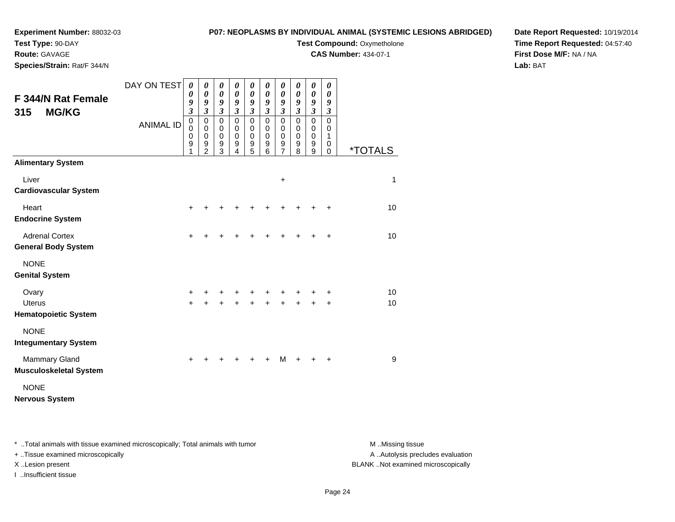#### **P07: NEOPLASMS BY INDIVIDUAL ANIMAL (SYSTEMIC LESIONS ABRIDGED)**

**Test Type:** 90-DAY

**Route:** GAVAGE

**Species/Strain:** Rat/F 344/N

# **Test Compound: Oxymetholone**

**CAS Number:** 434-07-1

**Date Report Requested:** 10/19/2014**Time Report Requested:** 04:57:40**First Dose M/F:** NA / NA**Lab:** BAT

| <b>F 344/N Rat Female</b><br><b>MG/KG</b><br>315      | DAY ON TEST      | 0<br>0<br>$\frac{9}{3}$                                          | 0<br>$\pmb{\theta}$<br>9<br>$\mathfrak{z}$                           | 0<br>$\boldsymbol{\theta}$<br>9<br>$\mathfrak{z}$             | 0<br>0<br>9<br>$\boldsymbol{\beta}$               | 0<br>$\boldsymbol{\theta}$<br>9<br>$\mathfrak{z}$ | 0<br>$\boldsymbol{\theta}$<br>9<br>$\boldsymbol{\beta}$ | $\boldsymbol{\theta}$<br>$\boldsymbol{\theta}$<br>9<br>$\boldsymbol{\mathfrak{z}}$ | 0<br>0<br>9<br>$\boldsymbol{\beta}$                      | $\pmb{\theta}$<br>$\boldsymbol{\theta}$<br>9<br>$\boldsymbol{\mathfrak{z}}$ | 0<br>0<br>9<br>$\boldsymbol{\beta}$  |                       |
|-------------------------------------------------------|------------------|------------------------------------------------------------------|----------------------------------------------------------------------|---------------------------------------------------------------|---------------------------------------------------|---------------------------------------------------|---------------------------------------------------------|------------------------------------------------------------------------------------|----------------------------------------------------------|-----------------------------------------------------------------------------|--------------------------------------|-----------------------|
|                                                       | <b>ANIMAL ID</b> | $\pmb{0}$<br>$\mathbf 0$<br>$\boldsymbol{0}$<br>$\mathsf g$<br>1 | $\pmb{0}$<br>$\mathbf 0$<br>$\,0\,$<br>$\mathsf g$<br>$\overline{2}$ | $\mathbf 0$<br>0<br>$\boldsymbol{0}$<br>$\boldsymbol{9}$<br>3 | $\mathbf 0$<br>$\mathbf 0$<br>$\pmb{0}$<br>9<br>4 | 0<br>0<br>0<br>9<br>5                             | $\mathbf 0$<br>$\Omega$<br>$\mathbf 0$<br>9<br>6        | $\mathbf 0$<br>0<br>$\boldsymbol{0}$<br>$\boldsymbol{9}$<br>$\overline{7}$         | $\mathbf 0$<br>0<br>$\mathbf 0$<br>$\boldsymbol{9}$<br>8 | $\mathsf 0$<br>0<br>$\boldsymbol{0}$<br>$\boldsymbol{9}$<br>9               | $\pmb{0}$<br>0<br>1<br>0<br>$\Omega$ | <i><b>*TOTALS</b></i> |
| <b>Alimentary System</b>                              |                  |                                                                  |                                                                      |                                                               |                                                   |                                                   |                                                         |                                                                                    |                                                          |                                                                             |                                      |                       |
| Liver<br><b>Cardiovascular System</b>                 |                  |                                                                  |                                                                      |                                                               |                                                   |                                                   |                                                         | $\ddot{}$                                                                          |                                                          |                                                                             |                                      | $\mathbf{1}$          |
| Heart<br><b>Endocrine System</b>                      |                  | $\ddot{}$                                                        |                                                                      |                                                               |                                                   |                                                   |                                                         |                                                                                    |                                                          |                                                                             |                                      | 10                    |
| <b>Adrenal Cortex</b><br><b>General Body System</b>   |                  | $\ddot{}$                                                        |                                                                      |                                                               |                                                   | +                                                 | +                                                       | +                                                                                  |                                                          |                                                                             | $\ddot{}$                            | 10                    |
| <b>NONE</b><br><b>Genital System</b>                  |                  |                                                                  |                                                                      |                                                               |                                                   |                                                   |                                                         |                                                                                    |                                                          |                                                                             |                                      |                       |
| Ovary<br><b>Uterus</b><br><b>Hematopoietic System</b> |                  | +<br>$\ddot{}$                                                   |                                                                      |                                                               | +                                                 | +<br>$\ddot{}$                                    | +<br>$\ddot{}$                                          | $\ddot{}$                                                                          |                                                          |                                                                             | +<br>÷                               | 10<br>10              |
| <b>NONE</b><br><b>Integumentary System</b>            |                  |                                                                  |                                                                      |                                                               |                                                   |                                                   |                                                         |                                                                                    |                                                          |                                                                             |                                      |                       |
| Mammary Gland<br><b>Musculoskeletal System</b>        |                  | $\ddot{}$                                                        |                                                                      |                                                               |                                                   |                                                   |                                                         | M                                                                                  |                                                          |                                                                             | $\ddot{}$                            | 9                     |
| <b>NONE</b><br><b>Nervous System</b>                  |                  |                                                                  |                                                                      |                                                               |                                                   |                                                   |                                                         |                                                                                    |                                                          |                                                                             |                                      |                       |

\* ..Total animals with tissue examined microscopically; Total animals with tumor **M** . Missing tissue M ..Missing tissue

+ ..Tissue examined microscopically

I ..Insufficient tissue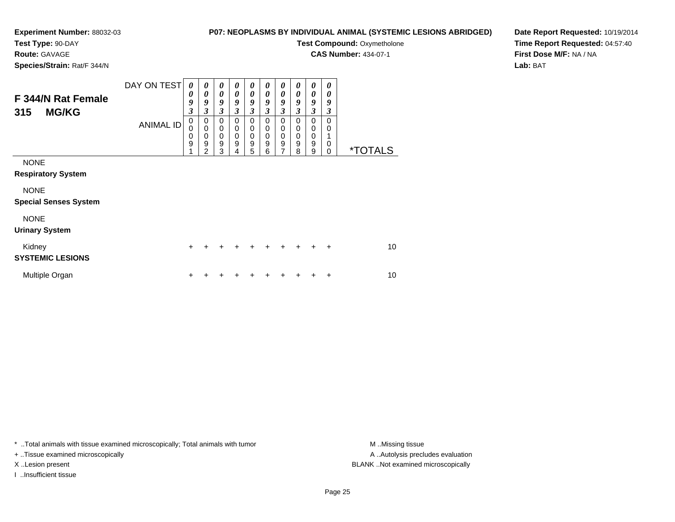**Test Type:** 90-DAY

**Route:** GAVAGE

**Species/Strain:** Rat/F 344/N

### **P07: NEOPLASMS BY INDIVIDUAL ANIMAL (SYSTEMIC LESIONS ABRIDGED)**

**Test Compound: Oxymetholone** 

**CAS Number:** 434-07-1

**Date Report Requested:** 10/19/2014**Time Report Requested:** 04:57:40**First Dose M/F:** NA / NA**Lab:** BAT

| F 344/N Rat Female<br><b>MG/KG</b><br>315   | DAY ON TEST<br><b>ANIMAL ID</b> | 0<br>0<br>9<br>3<br>0<br>$\Omega$ | 0<br>0<br>9<br>$\overline{\mathbf{3}}$<br>0<br>$\mathbf 0$ | 0<br>0<br>9<br>$\overline{\mathbf{3}}$<br>0<br>$\mathbf 0$ | 0<br>$\boldsymbol{\theta}$<br>9<br>3<br>0<br>$\mathbf 0$ | 0<br>0<br>9<br>3<br>0<br>0 | 0<br>0<br>9<br>3<br>0<br>0 | 0<br>$\boldsymbol{\theta}$<br>9<br>$\overline{\mathbf{3}}$<br>0<br>0 | 0<br>0<br>9<br>3<br>0<br>0 | 0<br>$\boldsymbol{\theta}$<br>9<br>$\overline{\mathbf{3}}$<br>0<br>0 | 0<br>0<br>9<br>3<br>0<br>0 |                       |
|---------------------------------------------|---------------------------------|-----------------------------------|------------------------------------------------------------|------------------------------------------------------------|----------------------------------------------------------|----------------------------|----------------------------|----------------------------------------------------------------------|----------------------------|----------------------------------------------------------------------|----------------------------|-----------------------|
|                                             |                                 | 0<br>9                            | $\mathbf 0$<br>9<br>$\mathfrak{p}$                         | $\mathbf 0$<br>9<br>3                                      | $\mathbf 0$<br>9<br>4                                    | 0<br>9<br>5                | 0<br>9<br>6                | $\mathbf 0$<br>9<br>$\overline{7}$                                   | 0<br>9<br>8                | $\mathbf 0$<br>9<br>9                                                | 1<br>0<br>$\mathbf 0$      | <i><b>*TOTALS</b></i> |
| <b>NONE</b><br><b>Respiratory System</b>    |                                 |                                   |                                                            |                                                            |                                                          |                            |                            |                                                                      |                            |                                                                      |                            |                       |
| <b>NONE</b><br><b>Special Senses System</b> |                                 |                                   |                                                            |                                                            |                                                          |                            |                            |                                                                      |                            |                                                                      |                            |                       |
| <b>NONE</b><br><b>Urinary System</b>        |                                 |                                   |                                                            |                                                            |                                                          |                            |                            |                                                                      |                            |                                                                      |                            |                       |
| Kidney<br><b>SYSTEMIC LESIONS</b>           |                                 | $\ddot{}$                         | +                                                          |                                                            |                                                          | $\div$                     | $\ddot{}$                  | $\ddot{}$                                                            | $\ddot{}$                  | $\ddot{}$                                                            | $\ddot{}$                  | 10                    |
| Multiple Organ                              |                                 | ÷                                 |                                                            |                                                            |                                                          |                            |                            |                                                                      |                            | ٠                                                                    | $\ddot{}$                  | 10                    |

\* ..Total animals with tissue examined microscopically; Total animals with tumor **M** . Missing tissue M ..Missing tissue

+ ..Tissue examined microscopically

I ..Insufficient tissue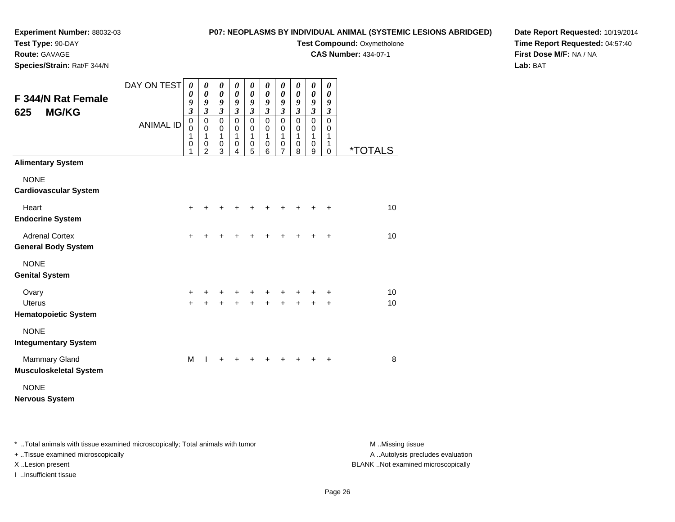### **Experiment Number:** 88032-03**Test Type:** 90-DAY

### **P07: NEOPLASMS BY INDIVIDUAL ANIMAL (SYSTEMIC LESIONS ABRIDGED)**

**Test Compound: Oxymetholone** 

**CAS Number:** 434-07-1

**Species/Strain:** Rat/F 344/N

**Route:** GAVAGE

### **Date Report Requested:** 10/19/2014**Time Report Requested:** 04:57:40**First Dose M/F:** NA / NA**Lab:** BAT

| <b>F 344/N Rat Female</b><br><b>MG/KG</b><br>625      | DAY ON TEST      | $\boldsymbol{\theta}$<br>$\boldsymbol{\theta}$<br>9<br>$\mathfrak{z}$ | 0<br>$\boldsymbol{\theta}$<br>9<br>$\boldsymbol{\mathfrak{z}}$ | 0<br>$\boldsymbol{\theta}$<br>9<br>$\mathfrak{z}$ | 0<br>$\boldsymbol{\theta}$<br>9<br>$\mathfrak{z}$ | $\boldsymbol{\theta}$<br>$\boldsymbol{\theta}$<br>9<br>$\mathfrak{z}$ | 0<br>$\pmb{\theta}$<br>9<br>$\boldsymbol{\mathfrak{z}}$ | $\pmb{\theta}$<br>$\boldsymbol{\theta}$<br>9<br>$\mathfrak{z}$ | 0<br>0<br>9<br>$\boldsymbol{\mathfrak{z}}$ | 0<br>0<br>9<br>$\overline{\mathbf{3}}$ | 0<br>0<br>9<br>$\mathfrak{z}$   |                       |
|-------------------------------------------------------|------------------|-----------------------------------------------------------------------|----------------------------------------------------------------|---------------------------------------------------|---------------------------------------------------|-----------------------------------------------------------------------|---------------------------------------------------------|----------------------------------------------------------------|--------------------------------------------|----------------------------------------|---------------------------------|-----------------------|
|                                                       | <b>ANIMAL ID</b> | $\mathbf 0$<br>0<br>1<br>$\mathbf 0$<br>1                             | $\mathbf 0$<br>0<br>1<br>$\boldsymbol{0}$<br>$\overline{2}$    | $\mathbf 0$<br>$\mathbf 0$<br>1<br>0<br>3         | $\mathbf 0$<br>$\Omega$<br>1<br>0<br>4            | $\mathbf 0$<br>0<br>1<br>0<br>5                                       | $\mathbf 0$<br>0<br>$\mathbf{1}$<br>0<br>6              | $\mathbf 0$<br>0<br>1<br>0<br>$\overline{7}$                   | $\mathbf 0$<br>0<br>1<br>0<br>8            | 0<br>0<br>1<br>0<br>9                  | $\mathbf 0$<br>0<br>1<br>1<br>0 | <i><b>*TOTALS</b></i> |
| <b>Alimentary System</b>                              |                  |                                                                       |                                                                |                                                   |                                                   |                                                                       |                                                         |                                                                |                                            |                                        |                                 |                       |
| <b>NONE</b><br><b>Cardiovascular System</b>           |                  |                                                                       |                                                                |                                                   |                                                   |                                                                       |                                                         |                                                                |                                            |                                        |                                 |                       |
| Heart<br><b>Endocrine System</b>                      |                  | +                                                                     |                                                                |                                                   |                                                   |                                                                       |                                                         |                                                                |                                            |                                        | +                               | 10                    |
| <b>Adrenal Cortex</b><br><b>General Body System</b>   |                  | $\ddot{}$                                                             |                                                                |                                                   | +                                                 | +                                                                     |                                                         | +                                                              | +                                          |                                        | ÷                               | 10                    |
| <b>NONE</b><br><b>Genital System</b>                  |                  |                                                                       |                                                                |                                                   |                                                   |                                                                       |                                                         |                                                                |                                            |                                        |                                 |                       |
| Ovary<br><b>Uterus</b><br><b>Hematopoietic System</b> |                  | $\ddot{}$<br>$\ddot{}$                                                |                                                                | +                                                 | +                                                 | +<br>$\ddot{}$                                                        |                                                         | $\ddot{}$                                                      |                                            |                                        | +<br>$\ddot{}$                  | 10<br>10              |
| <b>NONE</b><br><b>Integumentary System</b>            |                  |                                                                       |                                                                |                                                   |                                                   |                                                                       |                                                         |                                                                |                                            |                                        |                                 |                       |
| <b>Mammary Gland</b><br><b>Musculoskeletal System</b> |                  | M                                                                     |                                                                |                                                   |                                                   |                                                                       |                                                         |                                                                |                                            |                                        | +                               | 8                     |
| <b>NONE</b><br><b>Nervous System</b>                  |                  |                                                                       |                                                                |                                                   |                                                   |                                                                       |                                                         |                                                                |                                            |                                        |                                 |                       |

\* ..Total animals with tissue examined microscopically; Total animals with tumor **M** . Missing tissue M ..Missing tissue

+ ..Tissue examined microscopically

I ..Insufficient tissue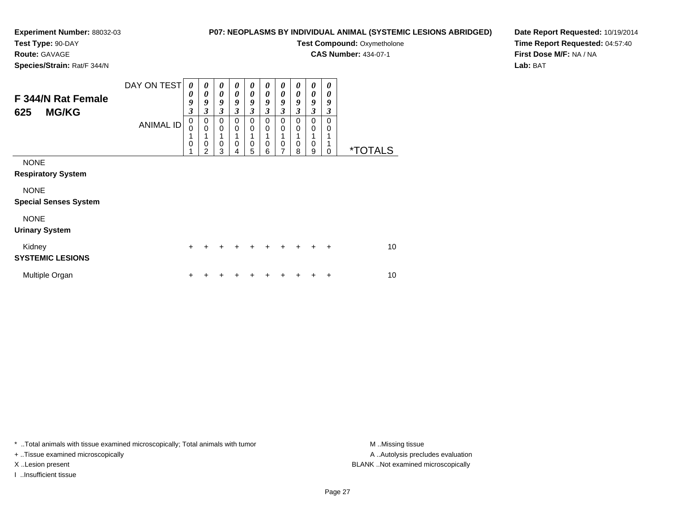### **Test Type:** 90-DAY

**Route:** GAVAGE

**Species/Strain:** Rat/F 344/N

### **P07: NEOPLASMS BY INDIVIDUAL ANIMAL (SYSTEMIC LESIONS ABRIDGED)**

**Test Compound: Oxymetholone** 

**CAS Number:** 434-07-1

**Date Report Requested:** 10/19/2014**Time Report Requested:** 04:57:40**First Dose M/F:** NA / NA**Lab:** BAT

| F 344/N Rat Female<br><b>MG/KG</b><br>625               | DAY ON TEST<br><b>ANIMAL ID</b> | 0<br>0<br>9<br>3<br>$\mathbf 0$<br>$\Omega$<br>1<br>0 | $\boldsymbol{\theta}$<br>0<br>9<br>3<br>0<br>$\mathbf 0$<br>0<br>2 | 0<br>$\boldsymbol{\theta}$<br>9<br>3<br>$\Omega$<br>$\Omega$<br>0 | 0<br>0<br>9<br>3<br>$\mathbf 0$<br>$\mathbf 0$<br>0 | 0<br>0<br>9<br>$\mathfrak{z}$<br>$\Omega$<br>0<br>0 | $\boldsymbol{\theta}$<br>0<br>9<br>3<br>$\mathbf 0$<br>$\mathbf 0$<br>1<br>0 | $\boldsymbol{\theta}$<br>0<br>9<br>$\mathfrak{z}$<br>$\mathbf 0$<br>$\mathbf 0$<br>1<br>$\mathbf 0$<br>7 | 0<br>0<br>9<br>3<br>0<br>0<br>1<br>0 | 0<br>$\boldsymbol{\theta}$<br>9<br>$\mathfrak{z}$<br>$\mathbf 0$<br>$\mathbf 0$<br>1<br>0 | 0<br>0<br>9<br>3<br>0<br>0 | <i><b>*TOTALS</b></i> |
|---------------------------------------------------------|---------------------------------|-------------------------------------------------------|--------------------------------------------------------------------|-------------------------------------------------------------------|-----------------------------------------------------|-----------------------------------------------------|------------------------------------------------------------------------------|----------------------------------------------------------------------------------------------------------|--------------------------------------|-------------------------------------------------------------------------------------------|----------------------------|-----------------------|
| <b>NONE</b><br><b>Respiratory System</b><br><b>NONE</b> |                                 |                                                       |                                                                    | 3                                                                 | 4                                                   | 5                                                   | 6                                                                            |                                                                                                          | 8                                    | 9                                                                                         | 0                          |                       |
| <b>Special Senses System</b>                            |                                 |                                                       |                                                                    |                                                                   |                                                     |                                                     |                                                                              |                                                                                                          |                                      |                                                                                           |                            |                       |
| <b>NONE</b><br><b>Urinary System</b>                    |                                 |                                                       |                                                                    |                                                                   |                                                     |                                                     |                                                                              |                                                                                                          |                                      |                                                                                           |                            |                       |
| Kidney<br><b>SYSTEMIC LESIONS</b>                       |                                 | $\div$                                                | +                                                                  | +                                                                 | +                                                   | +                                                   | ٠                                                                            | ÷                                                                                                        | +                                    | $\div$                                                                                    | $\ddot{}$                  | 10                    |
| Multiple Organ                                          |                                 | +                                                     |                                                                    |                                                                   |                                                     |                                                     |                                                                              |                                                                                                          |                                      |                                                                                           | ÷                          | 10                    |

\* ..Total animals with tissue examined microscopically; Total animals with tumor **M** . Missing tissue M ..Missing tissue

+ ..Tissue examined microscopically

I ..Insufficient tissue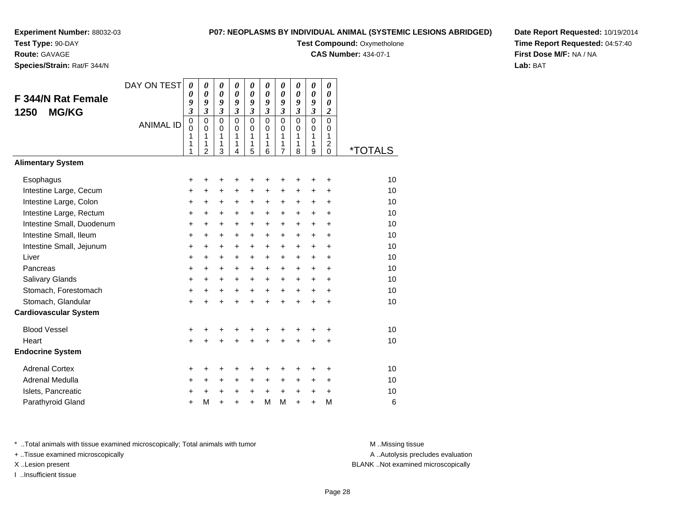**Test Type:** 90-DAY

**Route:** GAVAGE

**Species/Strain:** Rat/F 344/N

#### **P07: NEOPLASMS BY INDIVIDUAL ANIMAL (SYSTEMIC LESIONS ABRIDGED)**

**Test Compound: Oxymetholone** 

**CAS Number:** 434-07-1

**Date Report Requested:** 10/19/2014**Time Report Requested:** 04:57:40**First Dose M/F:** NA / NA**Lab:** BAT

|                              | DAY ON TEST      | $\boldsymbol{\theta}$<br>0   | $\boldsymbol{\theta}$<br>$\boldsymbol{\theta}$ | $\boldsymbol{\theta}$<br>$\boldsymbol{\theta}$ | $\boldsymbol{\theta}$<br>$\boldsymbol{\theta}$ | 0<br>0              | 0<br>0      | 0<br>0                       | 0<br>0                       | 0<br>$\boldsymbol{\theta}$ | 0<br>0           |                       |
|------------------------------|------------------|------------------------------|------------------------------------------------|------------------------------------------------|------------------------------------------------|---------------------|-------------|------------------------------|------------------------------|----------------------------|------------------|-----------------------|
| F 344/N Rat Female           |                  | 9<br>$\overline{\mathbf{3}}$ | 9<br>$\mathfrak{z}$                            | 9<br>$\mathfrak{z}$                            | 9<br>$\mathfrak{z}$                            | 9<br>$\mathfrak{z}$ | 9<br>3      | 9<br>$\overline{\mathbf{3}}$ | 9<br>$\overline{\mathbf{3}}$ | 9<br>3                     | 0                |                       |
| <b>MG/KG</b><br>1250         | <b>ANIMAL ID</b> | $\mathbf 0$                  | $\mathbf 0$                                    | $\mathbf 0$                                    | $\mathbf 0$                                    | $\mathbf 0$         | $\mathbf 0$ | $\mathbf 0$                  | $\mathbf 0$                  | $\overline{0}$             | 2<br>$\mathbf 0$ |                       |
|                              |                  | $\mathbf 0$<br>1             | $\mathbf 0$<br>1                               | $\pmb{0}$<br>1                                 | $\mathbf 0$<br>$\mathbf{1}$                    | $\mathbf 0$<br>1    | 0<br>1      | 0<br>1                       | 0<br>1                       | 0<br>1                     | 0<br>1           |                       |
|                              |                  | 1<br>1                       | 1<br>$\overline{2}$                            | 1<br>3                                         | 1<br>4                                         | 1<br>5              | 1<br>6      | 1<br>$\overline{7}$          | 1<br>8                       | 1<br>9                     | 2<br>$\Omega$    | <i><b>*TOTALS</b></i> |
| <b>Alimentary System</b>     |                  |                              |                                                |                                                |                                                |                     |             |                              |                              |                            |                  |                       |
| Esophagus                    |                  | +                            | +                                              | +                                              | +                                              | +                   | +           | +                            | +                            | +                          | +                | 10                    |
| Intestine Large, Cecum       |                  | +                            | +                                              | $\ddot{}$                                      | $\pm$                                          | +                   | +           | $\pm$                        | +                            | +                          | $\ddot{}$        | 10                    |
| Intestine Large, Colon       |                  | +                            | +                                              | +                                              | +                                              | +                   | +           | +                            | +                            | +                          | $\ddot{}$        | 10                    |
| Intestine Large, Rectum      |                  | $\ddot{}$                    | $\ddot{}$                                      | $\ddot{}$                                      | +                                              | $\ddot{}$           | $\ddot{}$   | +                            | $\ddot{}$                    | $\ddot{}$                  | $\ddot{}$        | 10                    |
| Intestine Small, Duodenum    |                  | $\ddot{}$                    | $\ddot{}$                                      | $\ddot{}$                                      | $\ddot{}$                                      | +                   | $\ddot{}$   | $\ddot{}$                    | +                            | $\ddot{}$                  | $\ddot{}$        | 10                    |
| Intestine Small, Ileum       |                  | +                            | +                                              | $\ddot{}$                                      | +                                              | +                   | +           | +                            | $\pm$                        | +                          | $\ddot{}$        | 10                    |
| Intestine Small, Jejunum     |                  | $\ddot{}$                    | $\ddot{}$                                      | $\ddot{}$                                      | $\ddot{}$                                      | $\ddot{}$           | $\ddot{}$   | $\ddot{}$                    | $\ddot{}$                    | $+$                        | $\ddot{}$        | 10                    |
| Liver                        |                  | +                            | +                                              | $\ddot{}$                                      | +                                              | +                   | $\ddot{}$   | $\ddot{}$                    | $\ddot{}$                    | $\ddot{}$                  | $\ddot{}$        | 10                    |
| Pancreas                     |                  | +                            | +                                              | $\ddot{}$                                      | +                                              | +                   | +           | +                            | +                            | +                          | $\ddot{}$        | 10                    |
| Salivary Glands              |                  | $\ddot{}$                    | $\ddot{}$                                      | $\ddot{}$                                      | $\ddot{}$                                      | +                   | $\ddot{}$   | $\ddot{}$                    | $\ddot{}$                    | $\ddot{}$                  | $\ddot{}$        | 10                    |
| Stomach, Forestomach         |                  | $\ddot{}$                    | $\ddot{}$                                      | $\ddot{}$                                      | $\ddot{}$                                      | $\ddot{}$           | $+$         | $+$                          | $\ddot{}$                    | $\ddot{}$                  | $\ddot{}$        | 10                    |
| Stomach, Glandular           |                  | $\ddot{}$                    | $\ddot{}$                                      | $\ddot{}$                                      | $\ddot{}$                                      | $\ddot{}$           | $\ddot{}$   | $\ddot{}$                    | $\ddot{}$                    | $\ddot{}$                  | $\ddot{}$        | 10                    |
| <b>Cardiovascular System</b> |                  |                              |                                                |                                                |                                                |                     |             |                              |                              |                            |                  |                       |
| <b>Blood Vessel</b>          |                  | +                            | +                                              | +                                              | +                                              | +                   | +           | +                            | +                            | +                          | +                | 10                    |
| Heart                        |                  | $\ddot{}$                    |                                                |                                                |                                                | $\ddot{}$           | ÷           | $\ddot{}$                    | $\ddot{}$                    | $\ddot{}$                  | $\ddot{}$        | 10                    |
| <b>Endocrine System</b>      |                  |                              |                                                |                                                |                                                |                     |             |                              |                              |                            |                  |                       |
| <b>Adrenal Cortex</b>        |                  | +                            | +                                              | +                                              | +                                              | +                   | +           | +                            | +                            | +                          | +                | 10                    |
| Adrenal Medulla              |                  | +                            | +                                              | +                                              | +                                              | +                   | +           | +                            | $\pm$                        | +                          | $\ddot{}$        | 10                    |
| Islets, Pancreatic           |                  | +                            |                                                | $\ddot{}$                                      | +                                              | +                   | $\ddot{}$   | $\ddot{}$                    | +                            | $\ddot{}$                  | $\ddot{}$        | 10                    |
| Parathyroid Gland            |                  | $\ddot{}$                    | M                                              | $\ddot{}$                                      | $\ddot{}$                                      | $\ddot{}$           | M           | M                            | $\ddot{}$                    | $\ddot{}$                  | M                | 6                     |

\* ..Total animals with tissue examined microscopically; Total animals with tumor **M** . Missing tissue M ..Missing tissue

+ ..Tissue examined microscopically

I ..Insufficient tissue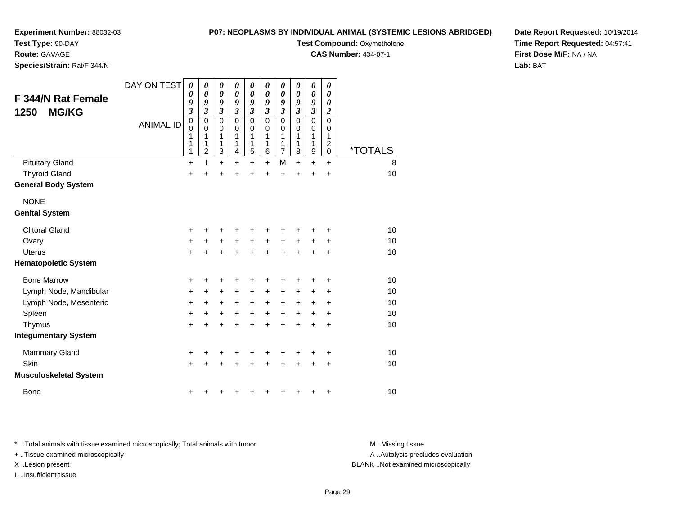**Test Type:** 90-DAY

**Route:** GAVAGE

**Species/Strain:** Rat/F 344/N

#### **P07: NEOPLASMS BY INDIVIDUAL ANIMAL (SYSTEMIC LESIONS ABRIDGED)**

**Test Compound: Oxymetholone** 

**CAS Number:** 434-07-1

**Date Report Requested:** 10/19/2014**Time Report Requested:** 04:57:41**First Dose M/F:** NA / NA**Lab:** BAT

| <b>F 344/N Rat Female</b><br><b>MG/KG</b><br>1250 | DAY ON TEST<br><b>ANIMAL ID</b> | $\boldsymbol{\theta}$<br>0<br>9<br>$\mathfrak{z}$<br>$\mathbf 0$<br>0<br>1<br>1<br>1 | 0<br>$\boldsymbol{\theta}$<br>9<br>$\mathfrak{z}$<br>$\pmb{0}$<br>$\mathbf 0$<br>1<br>1<br>$\overline{2}$ | 0<br>0<br>9<br>$\mathfrak{z}$<br>$\mathbf 0$<br>$\mathbf 0$<br>1<br>1<br>3 | 0<br>$\boldsymbol{\theta}$<br>9<br>$\overline{\mathbf{3}}$<br>0<br>$\mathbf 0$<br>1<br>1<br>4 | 0<br>0<br>9<br>3<br>0<br>$\mathbf 0$<br>1<br>1<br>5 | 0<br>0<br>9<br>3<br>$\mathbf 0$<br>$\mathbf 0$<br>1<br>1<br>6 | 0<br>0<br>9<br>$\overline{\mathbf{3}}$<br>$\mathbf 0$<br>$\mathbf 0$<br>1<br>1<br>7 | 0<br>$\boldsymbol{\theta}$<br>9<br>$\overline{\mathbf{3}}$<br>$\mathbf 0$<br>$\mathbf 0$<br>1<br>1<br>8 | 0<br>0<br>9<br>$\mathfrak{z}$<br>0<br>$\pmb{0}$<br>1<br>1<br>9 | 0<br>0<br>0<br>$\boldsymbol{2}$<br>0<br>0<br>1<br>$\overline{c}$<br>0 | <i><b>*TOTALS</b></i> |
|---------------------------------------------------|---------------------------------|--------------------------------------------------------------------------------------|-----------------------------------------------------------------------------------------------------------|----------------------------------------------------------------------------|-----------------------------------------------------------------------------------------------|-----------------------------------------------------|---------------------------------------------------------------|-------------------------------------------------------------------------------------|---------------------------------------------------------------------------------------------------------|----------------------------------------------------------------|-----------------------------------------------------------------------|-----------------------|
| <b>Pituitary Gland</b>                            |                                 | $\ddot{}$                                                                            |                                                                                                           | $\ddot{}$                                                                  | $\ddot{}$                                                                                     | $\ddot{}$                                           | $\ddot{}$                                                     | M                                                                                   | $+$                                                                                                     | $\ddot{}$                                                      | $+$                                                                   | 8                     |
| <b>Thyroid Gland</b>                              |                                 | +                                                                                    | $\ddot{}$                                                                                                 | $\ddot{}$                                                                  | $\ddot{}$                                                                                     | $\ddot{}$                                           | $\ddot{}$                                                     | $\ddot{}$                                                                           | $\ddot{}$                                                                                               | $\ddot{}$                                                      | $\ddot{}$                                                             | 10                    |
| <b>General Body System</b>                        |                                 |                                                                                      |                                                                                                           |                                                                            |                                                                                               |                                                     |                                                               |                                                                                     |                                                                                                         |                                                                |                                                                       |                       |
| <b>NONE</b>                                       |                                 |                                                                                      |                                                                                                           |                                                                            |                                                                                               |                                                     |                                                               |                                                                                     |                                                                                                         |                                                                |                                                                       |                       |
| <b>Genital System</b>                             |                                 |                                                                                      |                                                                                                           |                                                                            |                                                                                               |                                                     |                                                               |                                                                                     |                                                                                                         |                                                                |                                                                       |                       |
| <b>Clitoral Gland</b>                             |                                 | $\ddot{}$                                                                            |                                                                                                           | +                                                                          |                                                                                               | +                                                   |                                                               |                                                                                     |                                                                                                         |                                                                | +                                                                     | 10                    |
| Ovary                                             |                                 | $\ddot{}$                                                                            | $\pm$                                                                                                     | $\ddot{}$                                                                  | $\ddot{}$                                                                                     | $\ddot{}$                                           | $\ddot{}$                                                     | $\ddot{}$                                                                           | $\ddot{}$                                                                                               | $\ddot{}$                                                      | +                                                                     | 10                    |
| <b>Uterus</b>                                     |                                 | $\ddot{}$                                                                            | +                                                                                                         | $\ddot{}$                                                                  | ÷                                                                                             | $\ddot{}$                                           | ÷                                                             | $\ddot{}$                                                                           | $\ddot{}$                                                                                               | +                                                              | $\ddot{}$                                                             | 10                    |
| <b>Hematopoietic System</b>                       |                                 |                                                                                      |                                                                                                           |                                                                            |                                                                                               |                                                     |                                                               |                                                                                     |                                                                                                         |                                                                |                                                                       |                       |
| <b>Bone Marrow</b>                                |                                 | +                                                                                    | +                                                                                                         | +                                                                          | +                                                                                             | +                                                   | +                                                             | +                                                                                   | +                                                                                                       | +                                                              | +                                                                     | 10                    |
| Lymph Node, Mandibular                            |                                 | +                                                                                    | $\ddot{}$                                                                                                 | +                                                                          | +                                                                                             | +                                                   | +                                                             | +                                                                                   | +                                                                                                       | +                                                              | +                                                                     | 10                    |
| Lymph Node, Mesenteric                            |                                 | $\ddot{}$                                                                            | $\ddot{}$                                                                                                 | $\ddot{}$                                                                  | $\ddot{}$                                                                                     | $+$                                                 | $\ddot{}$                                                     | $+$                                                                                 | $+$                                                                                                     | $\ddot{}$                                                      | $\ddot{}$                                                             | 10                    |
| Spleen                                            |                                 | $\ddot{}$                                                                            | $\ddot{}$                                                                                                 | +                                                                          | +                                                                                             | +                                                   | $\ddot{}$                                                     | +                                                                                   | $\ddot{}$                                                                                               | +                                                              | +                                                                     | 10                    |
| Thymus                                            |                                 | $\ddot{}$                                                                            | $\ddot{}$                                                                                                 | $\ddot{}$                                                                  | $\ddot{}$                                                                                     | $\ddot{}$                                           | $\ddot{}$                                                     | $\ddot{}$                                                                           | $\ddot{}$                                                                                               | $\ddot{}$                                                      | +                                                                     | 10                    |
| <b>Integumentary System</b>                       |                                 |                                                                                      |                                                                                                           |                                                                            |                                                                                               |                                                     |                                                               |                                                                                     |                                                                                                         |                                                                |                                                                       |                       |
| <b>Mammary Gland</b>                              |                                 | +                                                                                    |                                                                                                           | +                                                                          |                                                                                               |                                                     |                                                               |                                                                                     |                                                                                                         |                                                                | +                                                                     | 10                    |
| Skin                                              |                                 | $\ddot{}$                                                                            | +                                                                                                         | +                                                                          | +                                                                                             | $\ddot{}$                                           |                                                               | +                                                                                   | $\ddot{}$                                                                                               | +                                                              | +                                                                     | 10                    |
| <b>Musculoskeletal System</b>                     |                                 |                                                                                      |                                                                                                           |                                                                            |                                                                                               |                                                     |                                                               |                                                                                     |                                                                                                         |                                                                |                                                                       |                       |
| <b>Bone</b>                                       |                                 | +                                                                                    |                                                                                                           | ٠                                                                          |                                                                                               |                                                     |                                                               |                                                                                     |                                                                                                         | +                                                              | +                                                                     | 10                    |

\* ..Total animals with tissue examined microscopically; Total animals with tumor **M** . Missing tissue M ..Missing tissue

+ ..Tissue examined microscopically

I ..Insufficient tissue